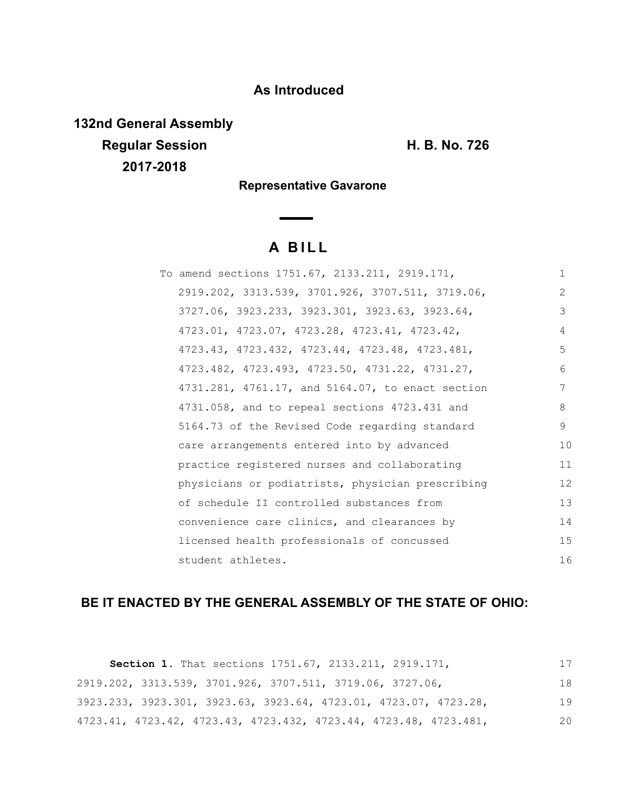## **As Introduced**

**132nd General Assembly Regular Session H. B. No. 726 2017-2018**

**Representative Gavarone**

# **A B I L L**

| To amend sections 1751.67, 2133.211, 2919.171,   | $\mathbf{1}$   |
|--------------------------------------------------|----------------|
| 2919.202, 3313.539, 3701.926, 3707.511, 3719.06, | $\overline{2}$ |
| 3727.06, 3923.233, 3923.301, 3923.63, 3923.64,   | 3              |
| 4723.01, 4723.07, 4723.28, 4723.41, 4723.42,     | 4              |
| 4723.43, 4723.432, 4723.44, 4723.48, 4723.481,   | 5              |
| 4723.482, 4723.493, 4723.50, 4731.22, 4731.27,   | 6              |
| 4731.281, 4761.17, and 5164.07, to enact section | 7              |
| 4731.058, and to repeal sections 4723.431 and    | 8              |
| 5164.73 of the Revised Code regarding standard   | 9              |
| care arrangements entered into by advanced       | 10             |
| practice registered nurses and collaborating     | 11             |
| physicians or podiatrists, physician prescribing | 12             |
| of schedule II controlled substances from        | 13             |
| convenience care clinics, and clearances by      | 14             |
| licensed health professionals of concussed       | 15             |
| student athletes.                                | 16             |

# **BE IT ENACTED BY THE GENERAL ASSEMBLY OF THE STATE OF OHIO:**

| <b>Section 1.</b> That sections 1751.67, 2133.211, 2919.171,     | 17 |
|------------------------------------------------------------------|----|
| 2919.202, 3313.539, 3701.926, 3707.511, 3719.06, 3727.06,        | 18 |
| 3923.233, 3923.301, 3923.63, 3923.64, 4723.01, 4723.07, 4723.28, | 19 |
| 4723.41, 4723.42, 4723.43, 4723.432, 4723.44, 4723.48, 4723.481, | 20 |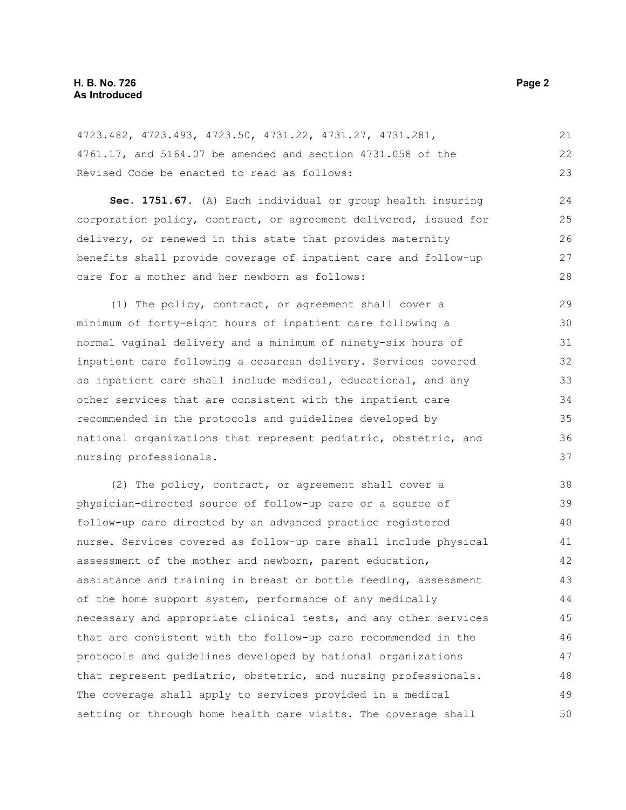#### **H. B. No. 726 Page 2 As Introduced**

| 4723.482, 4723.493, 4723.50, 4731.22, 4731.27, 4731.281,    |    |
|-------------------------------------------------------------|----|
| 4761.17, and 5164.07 be amended and section 4731.058 of the | 22 |
| Revised Code be enacted to read as follows:                 | 23 |

**Sec. 1751.67.** (A) Each individual or group health insuring corporation policy, contract, or agreement delivered, issued for delivery, or renewed in this state that provides maternity benefits shall provide coverage of inpatient care and follow-up care for a mother and her newborn as follows:

(1) The policy, contract, or agreement shall cover a minimum of forty-eight hours of inpatient care following a normal vaginal delivery and a minimum of ninety-six hours of inpatient care following a cesarean delivery. Services covered as inpatient care shall include medical, educational, and any other services that are consistent with the inpatient care recommended in the protocols and guidelines developed by national organizations that represent pediatric, obstetric, and nursing professionals. 29 30 31 32 33 34 35 36 37

(2) The policy, contract, or agreement shall cover a physician-directed source of follow-up care or a source of follow-up care directed by an advanced practice registered nurse. Services covered as follow-up care shall include physical assessment of the mother and newborn, parent education, assistance and training in breast or bottle feeding, assessment of the home support system, performance of any medically necessary and appropriate clinical tests, and any other services that are consistent with the follow-up care recommended in the protocols and guidelines developed by national organizations that represent pediatric, obstetric, and nursing professionals. The coverage shall apply to services provided in a medical setting or through home health care visits. The coverage shall 38 39 40 41 42 43 44 45 46 47 48 49 50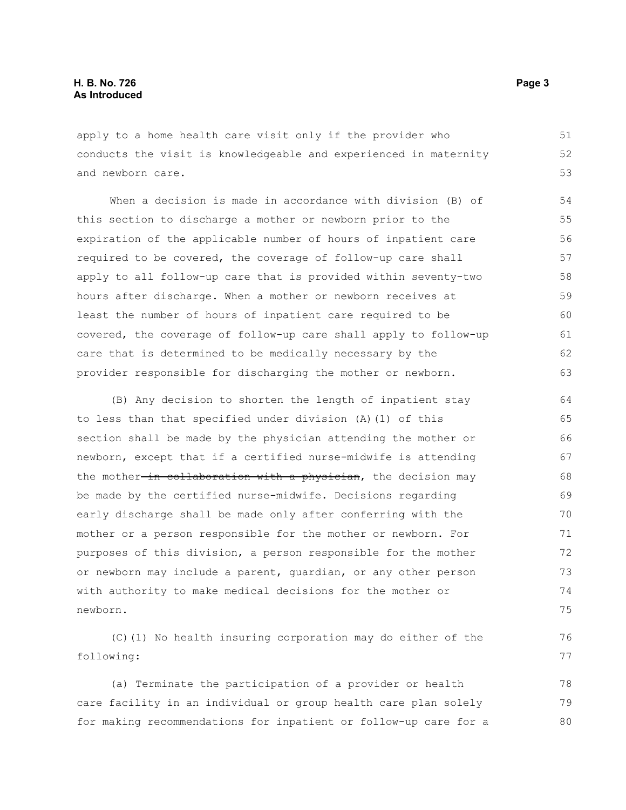apply to a home health care visit only if the provider who conducts the visit is knowledgeable and experienced in maternity and newborn care.

When a decision is made in accordance with division (B) of this section to discharge a mother or newborn prior to the expiration of the applicable number of hours of inpatient care required to be covered, the coverage of follow-up care shall apply to all follow-up care that is provided within seventy-two hours after discharge. When a mother or newborn receives at least the number of hours of inpatient care required to be covered, the coverage of follow-up care shall apply to follow-up care that is determined to be medically necessary by the provider responsible for discharging the mother or newborn. 54 55 56 57 58 59 60 61 62 63

(B) Any decision to shorten the length of inpatient stay to less than that specified under division (A)(1) of this section shall be made by the physician attending the mother or newborn, except that if a certified nurse-midwife is attending the mother-in collaboration with a physician, the decision may be made by the certified nurse-midwife. Decisions regarding early discharge shall be made only after conferring with the mother or a person responsible for the mother or newborn. For purposes of this division, a person responsible for the mother or newborn may include a parent, guardian, or any other person with authority to make medical decisions for the mother or newborn. 64 65 66 67 68 69 70 71 72 73 74 75

(C)(1) No health insuring corporation may do either of the following:

(a) Terminate the participation of a provider or health care facility in an individual or group health care plan solely for making recommendations for inpatient or follow-up care for a 78 79 80

51 52 53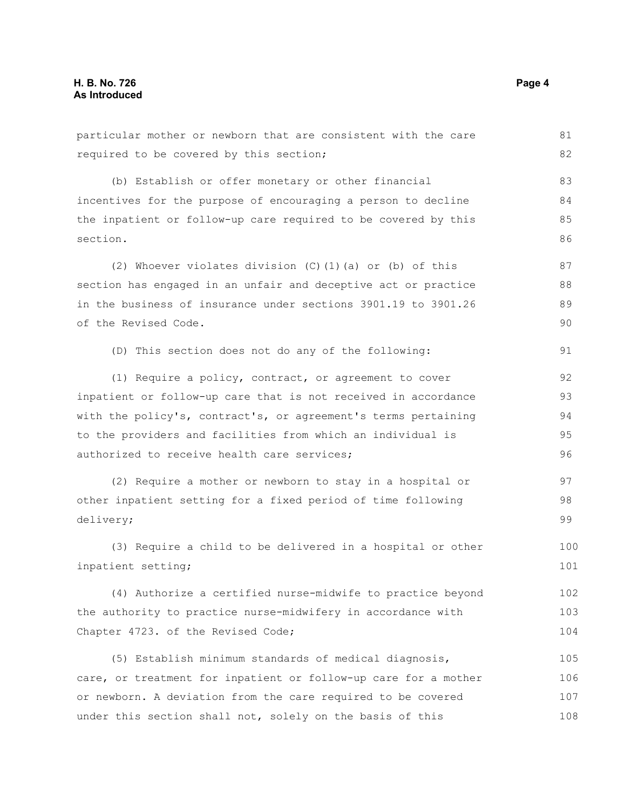particular mother or newborn that are consistent with the care required to be covered by this section; (b) Establish or offer monetary or other financial incentives for the purpose of encouraging a person to decline the inpatient or follow-up care required to be covered by this section. (2) Whoever violates division (C)(1)(a) or (b) of this section has engaged in an unfair and deceptive act or practice in the business of insurance under sections 3901.19 to 3901.26 of the Revised Code. (D) This section does not do any of the following: (1) Require a policy, contract, or agreement to cover inpatient or follow-up care that is not received in accordance with the policy's, contract's, or agreement's terms pertaining to the providers and facilities from which an individual is authorized to receive health care services; (2) Require a mother or newborn to stay in a hospital or other inpatient setting for a fixed period of time following delivery; (3) Require a child to be delivered in a hospital or other inpatient setting; (4) Authorize a certified nurse-midwife to practice beyond the authority to practice nurse-midwifery in accordance with Chapter 4723. of the Revised Code; (5) Establish minimum standards of medical diagnosis, care, or treatment for inpatient or follow-up care for a mother or newborn. A deviation from the care required to be covered under this section shall not, solely on the basis of this 81 82 83 84 85 86 87 88 89 90 91 92 93 94 95 96 97 98 99 100 101 102 103 104 105 106 107 108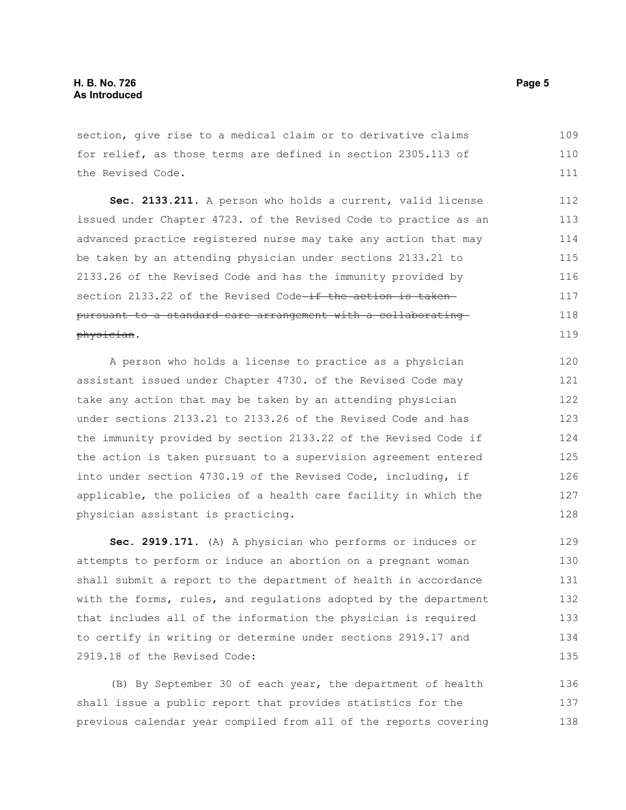section, give rise to a medical claim or to derivative claims for relief, as those terms are defined in section 2305.113 of the Revised Code. 109 110 111

**Sec. 2133.211.** A person who holds a current, valid license issued under Chapter 4723. of the Revised Code to practice as an advanced practice registered nurse may take any action that may be taken by an attending physician under sections 2133.21 to 2133.26 of the Revised Code and has the immunity provided by section 2133.22 of the Revised Code-if the action is takenpursuant to a standard care arrangement with a collaborating physician. 112 113 114 115 116 117 118 119

A person who holds a license to practice as a physician assistant issued under Chapter 4730. of the Revised Code may take any action that may be taken by an attending physician under sections 2133.21 to 2133.26 of the Revised Code and has the immunity provided by section 2133.22 of the Revised Code if the action is taken pursuant to a supervision agreement entered into under section 4730.19 of the Revised Code, including, if applicable, the policies of a health care facility in which the physician assistant is practicing. 120 121 122 123 124 125 126 127 128

**Sec. 2919.171.** (A) A physician who performs or induces or attempts to perform or induce an abortion on a pregnant woman shall submit a report to the department of health in accordance with the forms, rules, and regulations adopted by the department that includes all of the information the physician is required to certify in writing or determine under sections 2919.17 and 2919.18 of the Revised Code: 129 130 131 132 133 134 135

(B) By September 30 of each year, the department of health shall issue a public report that provides statistics for the previous calendar year compiled from all of the reports covering 136 137 138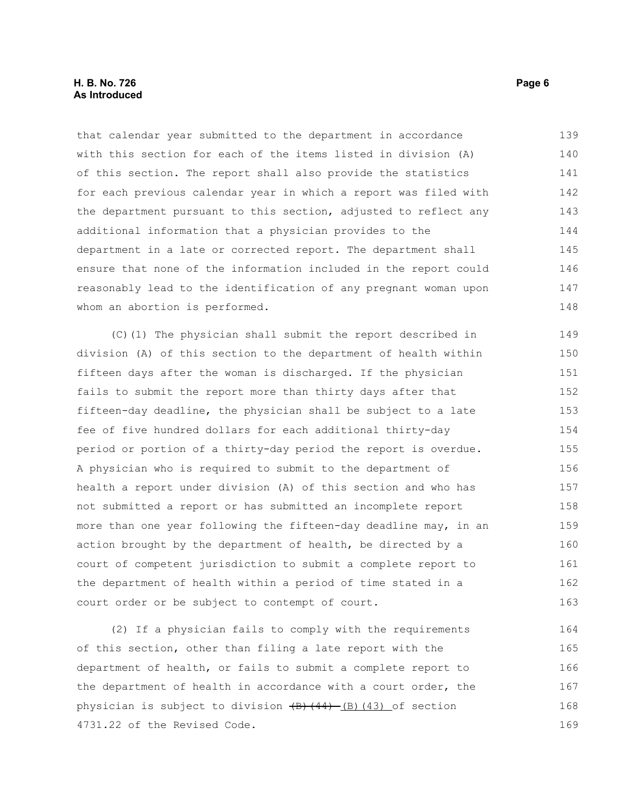#### **H. B. No. 726 Page 6 As Introduced**

that calendar year submitted to the department in accordance with this section for each of the items listed in division (A) of this section. The report shall also provide the statistics for each previous calendar year in which a report was filed with the department pursuant to this section, adjusted to reflect any additional information that a physician provides to the department in a late or corrected report. The department shall ensure that none of the information included in the report could reasonably lead to the identification of any pregnant woman upon whom an abortion is performed. 139 140 141 142 143 144 145 146 147 148

(C)(1) The physician shall submit the report described in division (A) of this section to the department of health within fifteen days after the woman is discharged. If the physician fails to submit the report more than thirty days after that fifteen-day deadline, the physician shall be subject to a late fee of five hundred dollars for each additional thirty-day period or portion of a thirty-day period the report is overdue. A physician who is required to submit to the department of health a report under division (A) of this section and who has not submitted a report or has submitted an incomplete report more than one year following the fifteen-day deadline may, in an action brought by the department of health, be directed by a court of competent jurisdiction to submit a complete report to the department of health within a period of time stated in a court order or be subject to contempt of court. 149 150 151 152 153 154 155 156 157 158 159 160 161 162 163

(2) If a physician fails to comply with the requirements of this section, other than filing a late report with the department of health, or fails to submit a complete report to the department of health in accordance with a court order, the physician is subject to division  $(B)$   $(44)$   $(B)$   $(43)$  of section 4731.22 of the Revised Code. 164 165 166 167 168 169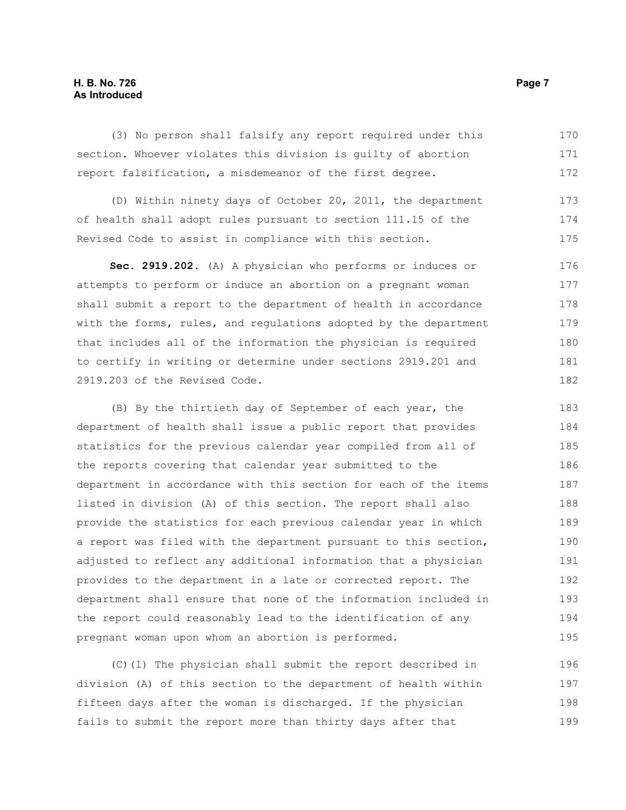#### **H. B. No. 726 Page 7 As Introduced**

(3) No person shall falsify any report required under this section. Whoever violates this division is guilty of abortion report falsification, a misdemeanor of the first degree. 170 171 172

(D) Within ninety days of October 20, 2011, the department of health shall adopt rules pursuant to section 111.15 of the Revised Code to assist in compliance with this section. 173 174 175

**Sec. 2919.202.** (A) A physician who performs or induces or attempts to perform or induce an abortion on a pregnant woman shall submit a report to the department of health in accordance with the forms, rules, and regulations adopted by the department that includes all of the information the physician is required to certify in writing or determine under sections 2919.201 and 2919.203 of the Revised Code.

(B) By the thirtieth day of September of each year, the department of health shall issue a public report that provides statistics for the previous calendar year compiled from all of the reports covering that calendar year submitted to the department in accordance with this section for each of the items listed in division (A) of this section. The report shall also provide the statistics for each previous calendar year in which a report was filed with the department pursuant to this section, adjusted to reflect any additional information that a physician provides to the department in a late or corrected report. The department shall ensure that none of the information included in the report could reasonably lead to the identification of any pregnant woman upon whom an abortion is performed.

(C)(1) The physician shall submit the report described in division (A) of this section to the department of health within fifteen days after the woman is discharged. If the physician fails to submit the report more than thirty days after that 196 197 198 199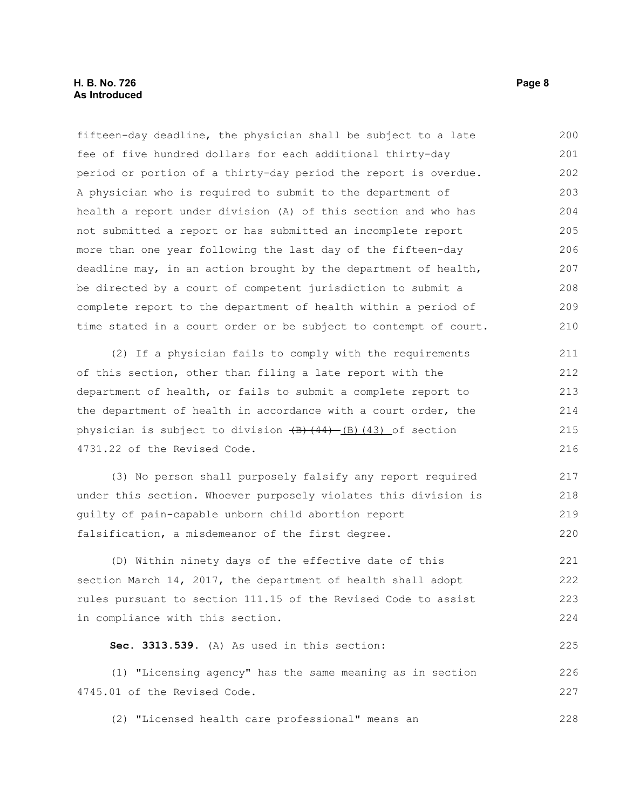#### **H. B. No. 726 Page 8 As Introduced**

fifteen-day deadline, the physician shall be subject to a late fee of five hundred dollars for each additional thirty-day period or portion of a thirty-day period the report is overdue. A physician who is required to submit to the department of health a report under division (A) of this section and who has not submitted a report or has submitted an incomplete report more than one year following the last day of the fifteen-day deadline may, in an action brought by the department of health, be directed by a court of competent jurisdiction to submit a complete report to the department of health within a period of time stated in a court order or be subject to contempt of court. 200 201 202 203 204 205 206 207 208 209 210

(2) If a physician fails to comply with the requirements of this section, other than filing a late report with the department of health, or fails to submit a complete report to the department of health in accordance with a court order, the physician is subject to division  $(H)$   $(44)$   $(B)$   $(43)$  of section 4731.22 of the Revised Code. 211 212 213 214 215 216

(3) No person shall purposely falsify any report required under this section. Whoever purposely violates this division is guilty of pain-capable unborn child abortion report falsification, a misdemeanor of the first degree. 217 218 219 220

(D) Within ninety days of the effective date of this section March 14, 2017, the department of health shall adopt rules pursuant to section 111.15 of the Revised Code to assist in compliance with this section. 221 222 223 224

**Sec. 3313.539.** (A) As used in this section:

(1) "Licensing agency" has the same meaning as in section 4745.01 of the Revised Code. 226 227

(2) "Licensed health care professional" means an 228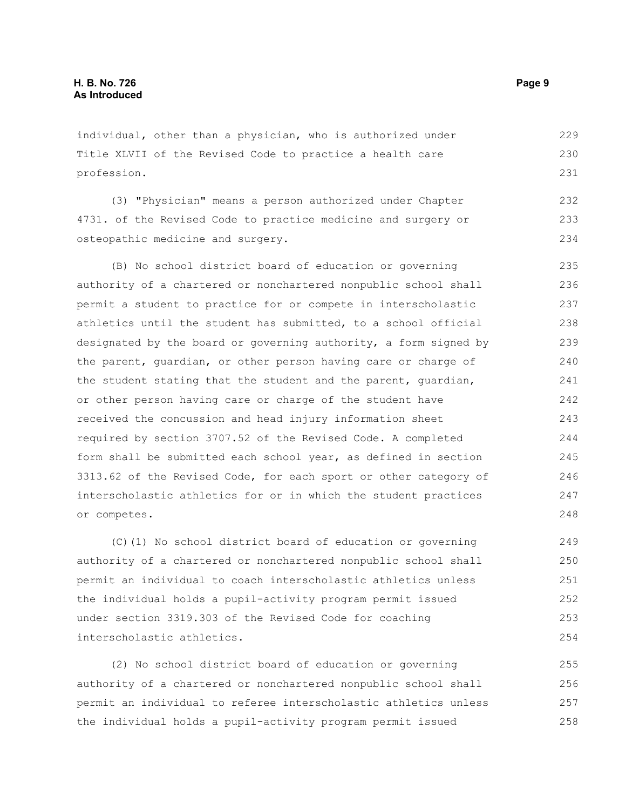individual, other than a physician, who is authorized under Title XLVII of the Revised Code to practice a health care profession.

(3) "Physician" means a person authorized under Chapter 4731. of the Revised Code to practice medicine and surgery or osteopathic medicine and surgery.

(B) No school district board of education or governing authority of a chartered or nonchartered nonpublic school shall permit a student to practice for or compete in interscholastic athletics until the student has submitted, to a school official designated by the board or governing authority, a form signed by the parent, guardian, or other person having care or charge of the student stating that the student and the parent, guardian, or other person having care or charge of the student have received the concussion and head injury information sheet required by section 3707.52 of the Revised Code. A completed form shall be submitted each school year, as defined in section 3313.62 of the Revised Code, for each sport or other category of interscholastic athletics for or in which the student practices or competes. 235 236 237 238 239 240 241 242 243 244 245 246 247 248

(C)(1) No school district board of education or governing authority of a chartered or nonchartered nonpublic school shall permit an individual to coach interscholastic athletics unless the individual holds a pupil-activity program permit issued under section 3319.303 of the Revised Code for coaching interscholastic athletics.

(2) No school district board of education or governing authority of a chartered or nonchartered nonpublic school shall permit an individual to referee interscholastic athletics unless the individual holds a pupil-activity program permit issued 255 256 257 258

229 230 231

232 233 234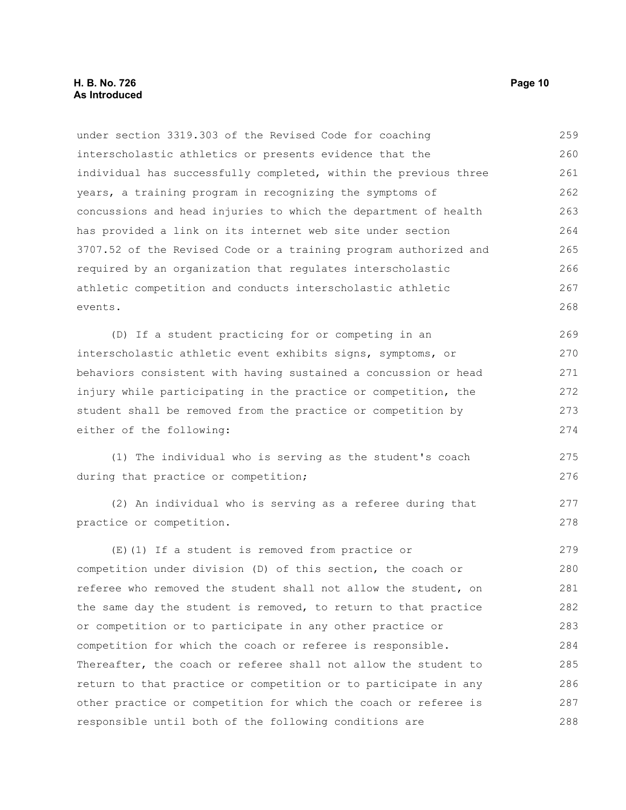under section 3319.303 of the Revised Code for coaching interscholastic athletics or presents evidence that the individual has successfully completed, within the previous three years, a training program in recognizing the symptoms of concussions and head injuries to which the department of health has provided a link on its internet web site under section 3707.52 of the Revised Code or a training program authorized and required by an organization that regulates interscholastic athletic competition and conducts interscholastic athletic events. (D) If a student practicing for or competing in an interscholastic athletic event exhibits signs, symptoms, or behaviors consistent with having sustained a concussion or head injury while participating in the practice or competition, the student shall be removed from the practice or competition by either of the following: (1) The individual who is serving as the student's coach during that practice or competition; (2) An individual who is serving as a referee during that practice or competition. (E)(1) If a student is removed from practice or competition under division (D) of this section, the coach or referee who removed the student shall not allow the student, on the same day the student is removed, to return to that practice or competition or to participate in any other practice or competition for which the coach or referee is responsible. Thereafter, the coach or referee shall not allow the student to return to that practice or competition or to participate in any other practice or competition for which the coach or referee is responsible until both of the following conditions are 259 260 261 262 263 264 265 266 267 268 269 270 271 272 273 274 275 276 277 278 279 280 281 282 283 284 285 286 287 288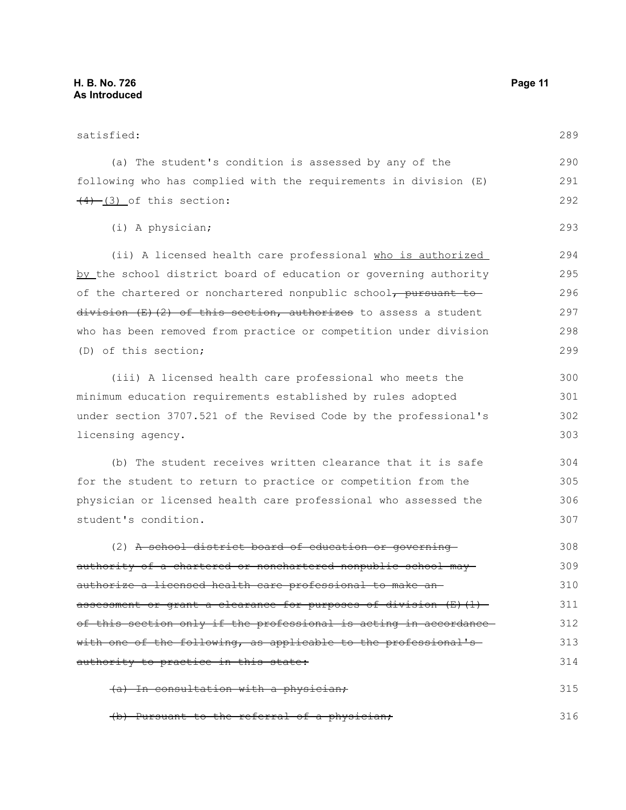| satisfied:                                                                 | 289 |
|----------------------------------------------------------------------------|-----|
| (a) The student's condition is assessed by any of the                      | 290 |
| following who has complied with the requirements in division (E)           | 291 |
| $\frac{(4)-(3)}{6}$ of this section:                                       | 292 |
| (i) A physician;                                                           | 293 |
| (ii) A licensed health care professional who is authorized                 | 294 |
| by the school district board of education or governing authority           | 295 |
| of the chartered or nonchartered nonpublic school, pursuant to             | 296 |
| <del>division (E)(2) of this section, authorizes</del> to assess a student | 297 |
| who has been removed from practice or competition under division           | 298 |
| (D) of this section;                                                       | 299 |
| (iii) A licensed health care professional who meets the                    | 300 |
| minimum education requirements established by rules adopted                | 301 |
| under section 3707.521 of the Revised Code by the professional's           | 302 |
| licensing agency.                                                          | 303 |
| (b) The student receives written clearance that it is safe                 | 304 |
| for the student to return to practice or competition from the              | 305 |
| physician or licensed health care professional who assessed the            | 306 |
| student's condition.                                                       | 307 |
| (2) A school district board of education or governing                      | 308 |
| authority of a chartered or nonchartered nonpublic school may              | 309 |
| authorize a licensed health care professional to make an-                  | 310 |
| assessment or grant a clearance for purposes of division (E)(1)-           | 311 |
| of this section only if the professional is acting in accordance           | 312 |
| with one of the following, as applicable to the professional's-            | 313 |
| authority to practice in this state:                                       | 314 |
| (a) In consultation with a physician;                                      | 315 |
| (b) Pursuant to the referral of a physician;                               | 316 |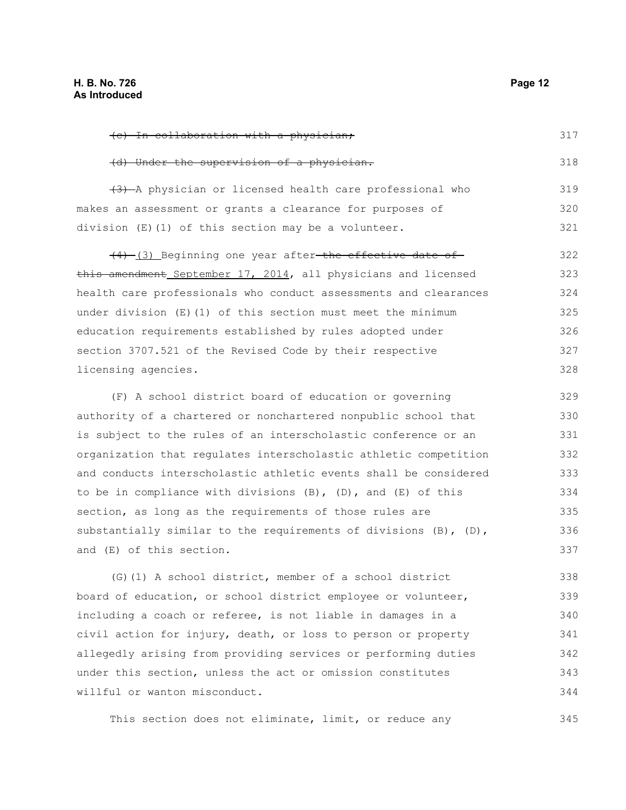| (c) In collaboration with a physician;                           | 317 |
|------------------------------------------------------------------|-----|
| (d) Under the supervision of a physician.                        | 318 |
| (3) A physician or licensed health care professional who         | 319 |
| makes an assessment or grants a clearance for purposes of        | 320 |
| division (E)(1) of this section may be a volunteer.              | 321 |
| (4) (3) Beginning one year after the effective date of           | 322 |
| this amendment_September 17, 2014, all physicians and licensed   | 323 |
| health care professionals who conduct assessments and clearances | 324 |
| under division (E)(1) of this section must meet the minimum      | 325 |
| education requirements established by rules adopted under        | 326 |
| section 3707.521 of the Revised Code by their respective         | 327 |
| licensing agencies.                                              | 328 |
| (F) A school district board of education or governing            | 329 |
| authority of a chartered or nonchartered nonpublic school that   | 330 |
| is subject to the rules of an interscholastic conference or an   | 331 |
|                                                                  |     |

organization that regulates interscholastic athletic competition and conducts interscholastic athletic events shall be considered to be in compliance with divisions  $(B)$ ,  $(D)$ , and  $(E)$  of this section, as long as the requirements of those rules are substantially similar to the requirements of divisions  $(B)$ ,  $(D)$ , and (E) of this section. 332 333 334 335 336 337

(G)(1) A school district, member of a school district board of education, or school district employee or volunteer, including a coach or referee, is not liable in damages in a civil action for injury, death, or loss to person or property allegedly arising from providing services or performing duties under this section, unless the act or omission constitutes willful or wanton misconduct. 338 339 340 341 342 343 344

This section does not eliminate, limit, or reduce any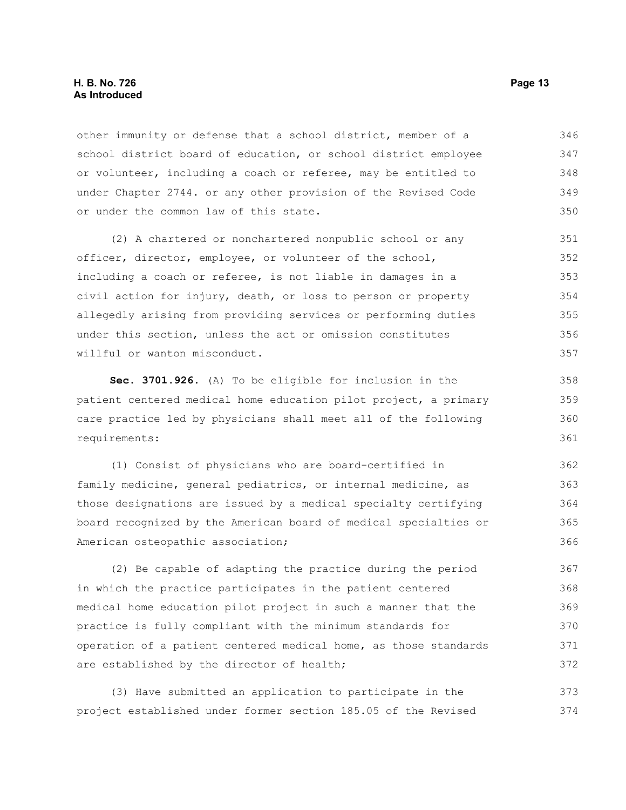#### **H. B. No. 726 Page 13 As Introduced**

other immunity or defense that a school district, member of a school district board of education, or school district employee or volunteer, including a coach or referee, may be entitled to under Chapter 2744. or any other provision of the Revised Code or under the common law of this state. 346 347 348 349 350

(2) A chartered or nonchartered nonpublic school or any officer, director, employee, or volunteer of the school, including a coach or referee, is not liable in damages in a civil action for injury, death, or loss to person or property allegedly arising from providing services or performing duties under this section, unless the act or omission constitutes willful or wanton misconduct. 351 352 353 354 355 356 357

**Sec. 3701.926.** (A) To be eligible for inclusion in the patient centered medical home education pilot project, a primary care practice led by physicians shall meet all of the following requirements:

(1) Consist of physicians who are board-certified in family medicine, general pediatrics, or internal medicine, as those designations are issued by a medical specialty certifying board recognized by the American board of medical specialties or American osteopathic association; 362 363 364 365 366

(2) Be capable of adapting the practice during the period in which the practice participates in the patient centered medical home education pilot project in such a manner that the practice is fully compliant with the minimum standards for operation of a patient centered medical home, as those standards are established by the director of health; 367 368 369 370 371 372

(3) Have submitted an application to participate in the project established under former section 185.05 of the Revised 373 374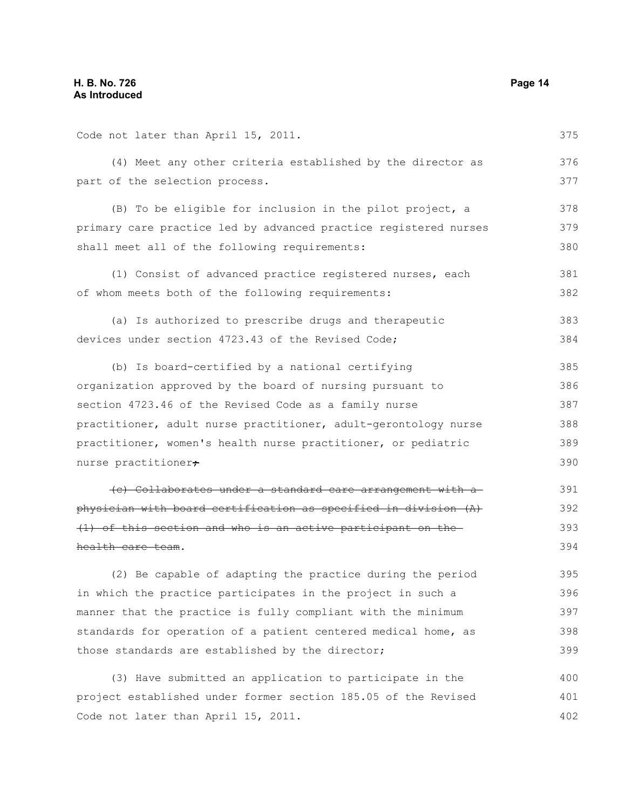| Code not later than April 15, 2011.                              | 375 |
|------------------------------------------------------------------|-----|
| (4) Meet any other criteria established by the director as       | 376 |
| part of the selection process.                                   | 377 |
| (B) To be eligible for inclusion in the pilot project, a         | 378 |
| primary care practice led by advanced practice registered nurses | 379 |
| shall meet all of the following requirements:                    | 380 |
| (1) Consist of advanced practice registered nurses, each         | 381 |
| of whom meets both of the following requirements:                | 382 |
| (a) Is authorized to prescribe drugs and therapeutic             | 383 |
| devices under section 4723.43 of the Revised Code;               | 384 |
| (b) Is board-certified by a national certifying                  | 385 |
| organization approved by the board of nursing pursuant to        | 386 |
| section 4723.46 of the Revised Code as a family nurse            | 387 |
| practitioner, adult nurse practitioner, adult-gerontology nurse  | 388 |
| practitioner, women's health nurse practitioner, or pediatric    | 389 |
| nurse practitioner+                                              | 390 |
| (c) Collaborates under a standard care arrangement with a        | 391 |
| physician with board certification as specified in division (A)  | 392 |
| (1) of this section and who is an active participant on the      | 393 |
| health care team.                                                | 394 |
| (2) Be capable of adapting the practice during the period        | 395 |
| in which the practice participates in the project in such a      | 396 |
| manner that the practice is fully compliant with the minimum     | 397 |
| standards for operation of a patient centered medical home, as   | 398 |
| those standards are established by the director;                 | 399 |
| (3) Have submitted an application to participate in the          | 400 |
| project established under former section 185.05 of the Revised   | 401 |
| Code not later than April 15, 2011.                              | 402 |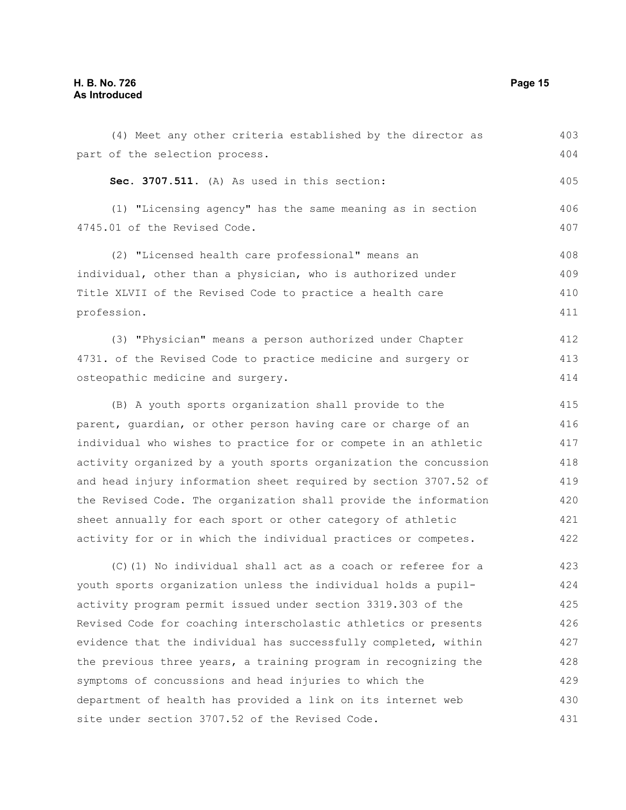#### **H. B. No. 726 Page 15 As Introduced**

| (4) Meet any other criteria established by the director as       | 403 |
|------------------------------------------------------------------|-----|
| part of the selection process.                                   | 404 |
| Sec. 3707.511. (A) As used in this section:                      | 405 |
| (1) "Licensing agency" has the same meaning as in section        | 406 |
| 4745.01 of the Revised Code.                                     | 407 |
| (2) "Licensed health care professional" means an                 | 408 |
| individual, other than a physician, who is authorized under      | 409 |
| Title XLVII of the Revised Code to practice a health care        | 410 |
| profession.                                                      | 411 |
| (3) "Physician" means a person authorized under Chapter          | 412 |
| 4731. of the Revised Code to practice medicine and surgery or    | 413 |
| osteopathic medicine and surgery.                                | 414 |
| (B) A youth sports organization shall provide to the             | 415 |
| parent, guardian, or other person having care or charge of an    | 416 |
| individual who wishes to practice for or compete in an athletic  | 417 |
| activity organized by a youth sports organization the concussion | 418 |
| and head injury information sheet required by section 3707.52 of | 419 |
| the Revised Code. The organization shall provide the information | 420 |
| sheet annually for each sport or other category of athletic      | 421 |
| activity for or in which the individual practices or competes.   | 422 |
| (C)(1) No individual shall act as a coach or referee for a       | 423 |
| youth sports organization unless the individual holds a pupil-   | 424 |
| activity program permit issued under section 3319.303 of the     | 425 |
| Revised Code for coaching interscholastic athletics or presents  | 426 |
| evidence that the individual has successfully completed, within  | 427 |
| the previous three years, a training program in recognizing the  | 428 |
| symptoms of concussions and head injuries to which the           | 429 |
| department of health has provided a link on its internet web     | 430 |
| site under section 3707.52 of the Revised Code.                  | 431 |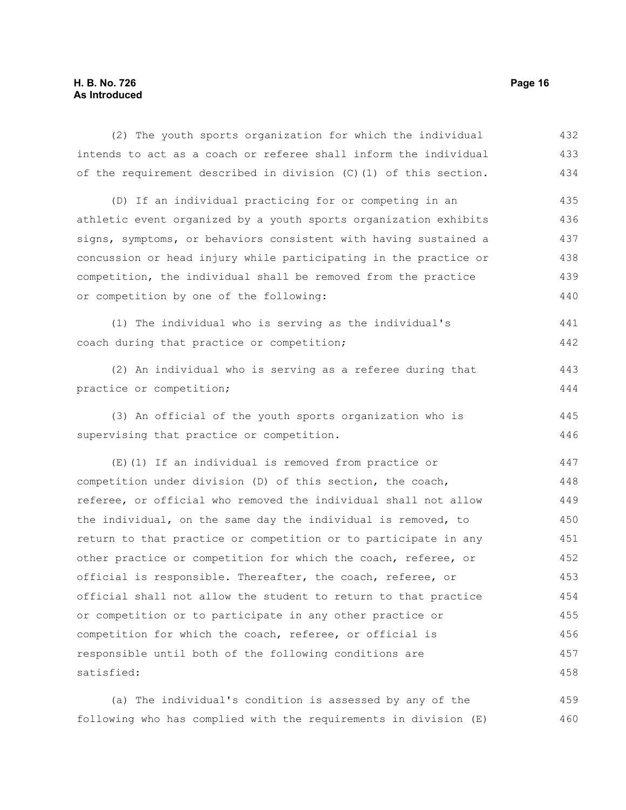#### **H. B. No. 726 Page 16 As Introduced**

(2) The youth sports organization for which the individual intends to act as a coach or referee shall inform the individual of the requirement described in division (C)(1) of this section. (D) If an individual practicing for or competing in an athletic event organized by a youth sports organization exhibits signs, symptoms, or behaviors consistent with having sustained a concussion or head injury while participating in the practice or competition, the individual shall be removed from the practice or competition by one of the following: (1) The individual who is serving as the individual's coach during that practice or competition; (2) An individual who is serving as a referee during that practice or competition; (3) An official of the youth sports organization who is supervising that practice or competition. (E)(1) If an individual is removed from practice or competition under division (D) of this section, the coach, referee, or official who removed the individual shall not allow the individual, on the same day the individual is removed, to return to that practice or competition or to participate in any other practice or competition for which the coach, referee, or official is responsible. Thereafter, the coach, referee, or official shall not allow the student to return to that practice or competition or to participate in any other practice or competition for which the coach, referee, or official is responsible until both of the following conditions are satisfied: 432 433 434 435 436 437 438 439 440 441 442 443 444 445 446 447 448 449 450 451 452 453 454 455 456 457 458

(a) The individual's condition is assessed by any of the following who has complied with the requirements in division (E) 459 460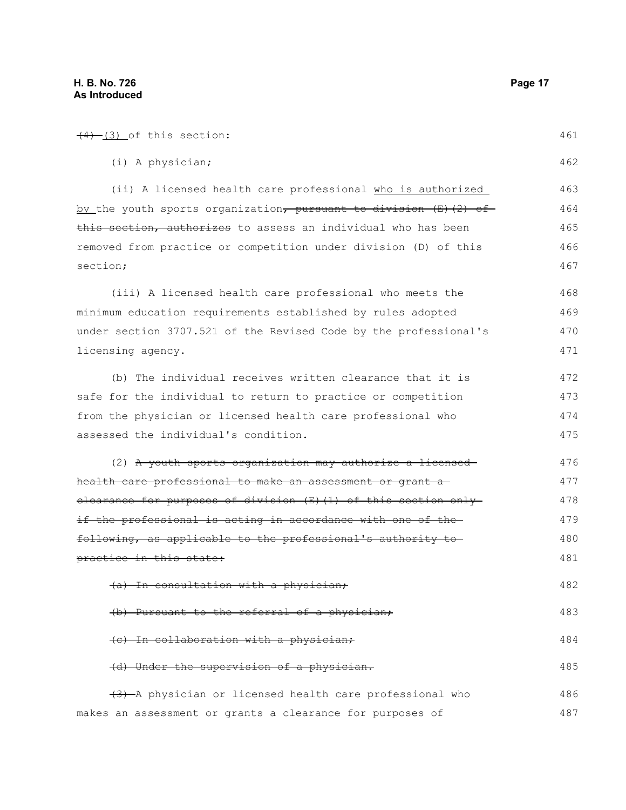| $(4)$ $(3)$ of this section:                                        | 461 |
|---------------------------------------------------------------------|-----|
| (i) A physician;                                                    | 462 |
| (ii) A licensed health care professional who is authorized          | 463 |
| by the youth sports organization, pursuant to division $(E)$ (2) of | 464 |
| this section, authorizes to assess an individual who has been       | 465 |
| removed from practice or competition under division (D) of this     | 466 |
| section;                                                            | 467 |
| (iii) A licensed health care professional who meets the             | 468 |
| minimum education requirements established by rules adopted         | 469 |
| under section 3707.521 of the Revised Code by the professional's    | 470 |
| licensing agency.                                                   | 471 |
| (b) The individual receives written clearance that it is            | 472 |
| safe for the individual to return to practice or competition        | 473 |
| from the physician or licensed health care professional who         | 474 |
| assessed the individual's condition.                                | 475 |
| (2) A youth sports organization may authorize a licensed-           | 476 |
| health care professional to make an assessment or grant a-          | 477 |
| elearance for purposes of division (E) (1) of this section only     | 478 |
| if the professional is acting in accordance with one of the         | 479 |
| following, as applicable to the professional's authority to         | 480 |
| practice in this state:                                             | 481 |
| In consultation with a physician;<br><del>(a)</del>                 | 482 |
| (b) Pursuant to the referral of a physician;                        | 483 |
| (e) In collaboration with a physician;                              | 484 |
| (d) Under the supervision of a physician.                           | 485 |
| (3) A physician or licensed health care professional who            | 486 |
| makes an assessment or grants a clearance for purposes of           | 487 |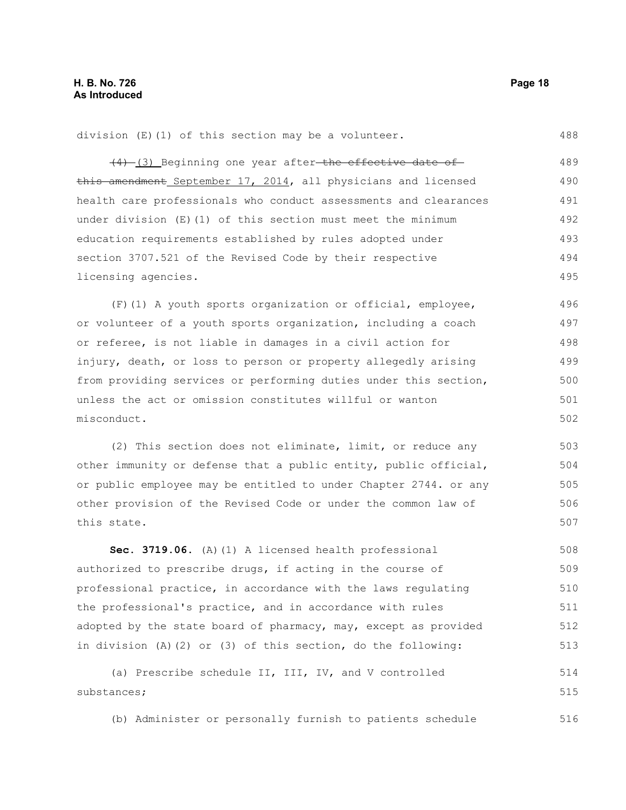division (E)(1) of this section may be a volunteer.

(4) (3) Beginning one year after-the effective date ofthis amendment September 17, 2014, all physicians and licensed health care professionals who conduct assessments and clearances under division (E)(1) of this section must meet the minimum education requirements established by rules adopted under section 3707.521 of the Revised Code by their respective licensing agencies. 489 490 491 492 493 494 495

(F)(1) A youth sports organization or official, employee, or volunteer of a youth sports organization, including a coach or referee, is not liable in damages in a civil action for injury, death, or loss to person or property allegedly arising from providing services or performing duties under this section, unless the act or omission constitutes willful or wanton misconduct. 496 497 498 499 500 501 502

(2) This section does not eliminate, limit, or reduce any other immunity or defense that a public entity, public official, or public employee may be entitled to under Chapter 2744. or any other provision of the Revised Code or under the common law of this state.

**Sec. 3719.06.** (A)(1) A licensed health professional authorized to prescribe drugs, if acting in the course of professional practice, in accordance with the laws regulating the professional's practice, and in accordance with rules adopted by the state board of pharmacy, may, except as provided in division (A)(2) or (3) of this section, do the following: 508 509 510 511 512 513

(a) Prescribe schedule II, III, IV, and V controlled substances; 514 515

(b) Administer or personally furnish to patients schedule 516

488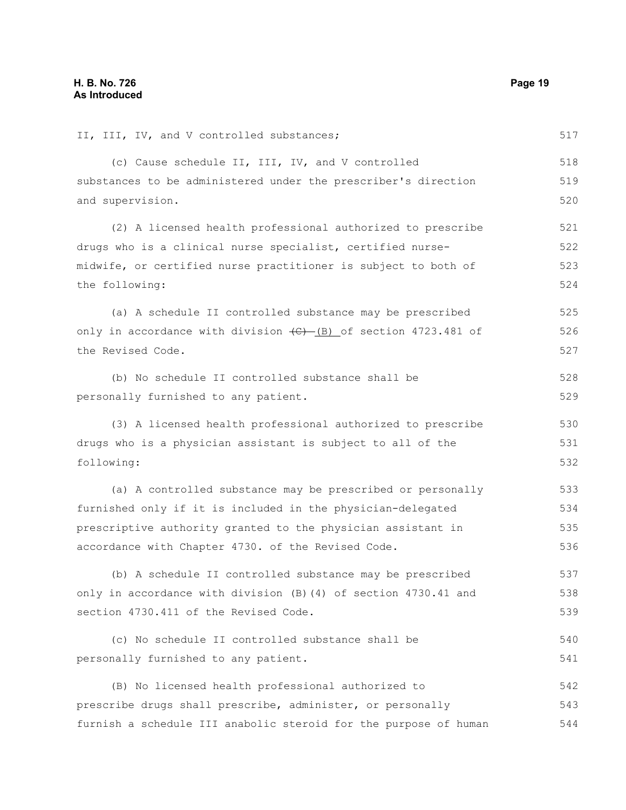II, III, IV, and V controlled substances;

(c) Cause schedule II, III, IV, and V controlled substances to be administered under the prescriber's direction and supervision. (2) A licensed health professional authorized to prescribe drugs who is a clinical nurse specialist, certified nursemidwife, or certified nurse practitioner is subject to both of the following: (a) A schedule II controlled substance may be prescribed only in accordance with division  $\left(\frac{C}{C}\right)$  of section 4723.481 of the Revised Code. (b) No schedule II controlled substance shall be personally furnished to any patient. (3) A licensed health professional authorized to prescribe drugs who is a physician assistant is subject to all of the following: (a) A controlled substance may be prescribed or personally furnished only if it is included in the physician-delegated prescriptive authority granted to the physician assistant in accordance with Chapter 4730. of the Revised Code. (b) A schedule II controlled substance may be prescribed only in accordance with division (B)(4) of section 4730.41 and section 4730.411 of the Revised Code. (c) No schedule II controlled substance shall be personally furnished to any patient. (B) No licensed health professional authorized to prescribe drugs shall prescribe, administer, or personally 518 519 520 521 522 523 524 525 526 527 528 529 530 531 532 533 534 535 536 537 538 539 540 541 542 543

furnish a schedule III anabolic steroid for the purpose of human

517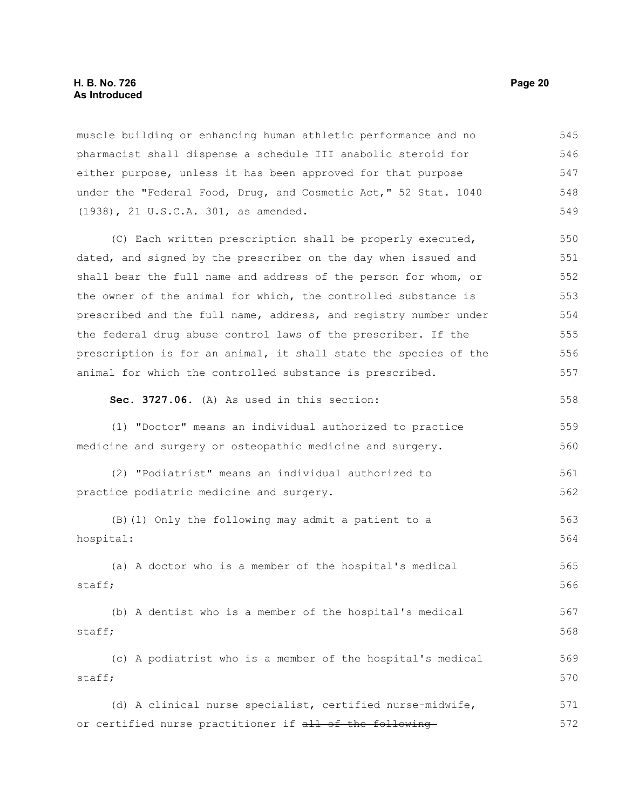#### **H. B. No. 726 Page 20 As Introduced**

muscle building or enhancing human athletic performance and no pharmacist shall dispense a schedule III anabolic steroid for either purpose, unless it has been approved for that purpose under the "Federal Food, Drug, and Cosmetic Act," 52 Stat. 1040 (1938), 21 U.S.C.A. 301, as amended. 545 546 547 548 549

(C) Each written prescription shall be properly executed, dated, and signed by the prescriber on the day when issued and shall bear the full name and address of the person for whom, or the owner of the animal for which, the controlled substance is prescribed and the full name, address, and registry number under the federal drug abuse control laws of the prescriber. If the prescription is for an animal, it shall state the species of the animal for which the controlled substance is prescribed. 550 551 552 553 554 555 556 557

**Sec. 3727.06.** (A) As used in this section:

(1) "Doctor" means an individual authorized to practice medicine and surgery or osteopathic medicine and surgery. 559 560

(2) "Podiatrist" means an individual authorized to practice podiatric medicine and surgery. 561 562

(B)(1) Only the following may admit a patient to a hospital: 563 564

(a) A doctor who is a member of the hospital's medical staff; 565 566

```
(b) A dentist who is a member of the hospital's medical
staff; 
                                                                              567
                                                                              568
```
(c) A podiatrist who is a member of the hospital's medical staff; 569 570

(d) A clinical nurse specialist, certified nurse-midwife, or certified nurse practitioner if all of the following 571 572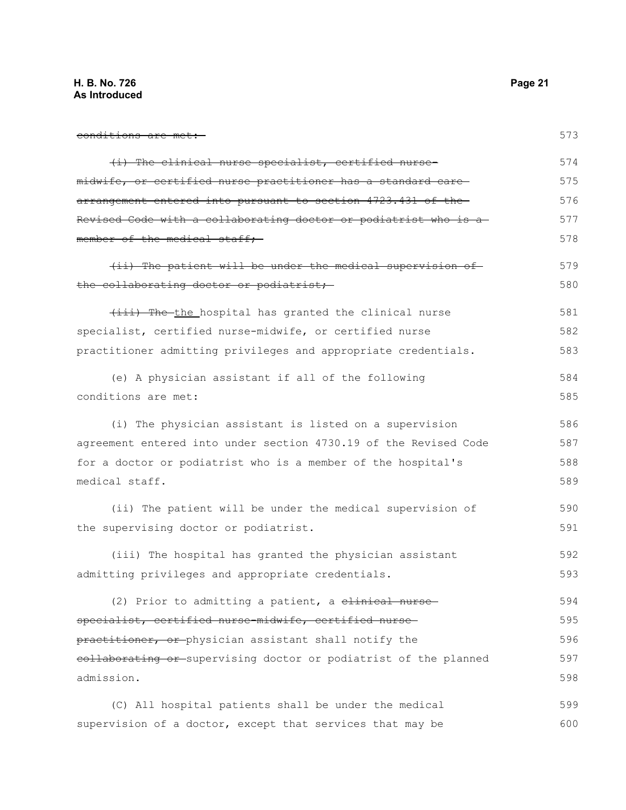#### **H. B. No. 726 Page 21 As Introduced**

conditions are met:

member of the medical staff:

(i) The clinical nurse specialist, certified nursemidwife, or certified nurse practitioner has a standard care arrangement entered into pursuant to section 4723.431 of the

(ii) The patient will be under the medical supervision of the collaborating doctor or podiatrist; 579 580

Revised Code with a collaborating doctor or podiatrist who is a

(iii) The the hospital has granted the clinical nurse specialist, certified nurse-midwife, or certified nurse practitioner admitting privileges and appropriate credentials. 581 582 583

(e) A physician assistant if all of the following conditions are met: 584 585

(i) The physician assistant is listed on a supervision agreement entered into under section 4730.19 of the Revised Code for a doctor or podiatrist who is a member of the hospital's medical staff. 586 587 588 589

(ii) The patient will be under the medical supervision of the supervising doctor or podiatrist.

(iii) The hospital has granted the physician assistant admitting privileges and appropriate credentials. 592 593

(2) Prior to admitting a patient, a clinical nursespecialist, certified nurse-midwife, certified nurse practitioner, or physician assistant shall notify the eollaborating or supervising doctor or podiatrist of the planned admission. 594 595 596 597 598

(C) All hospital patients shall be under the medical supervision of a doctor, except that services that may be 599 600

573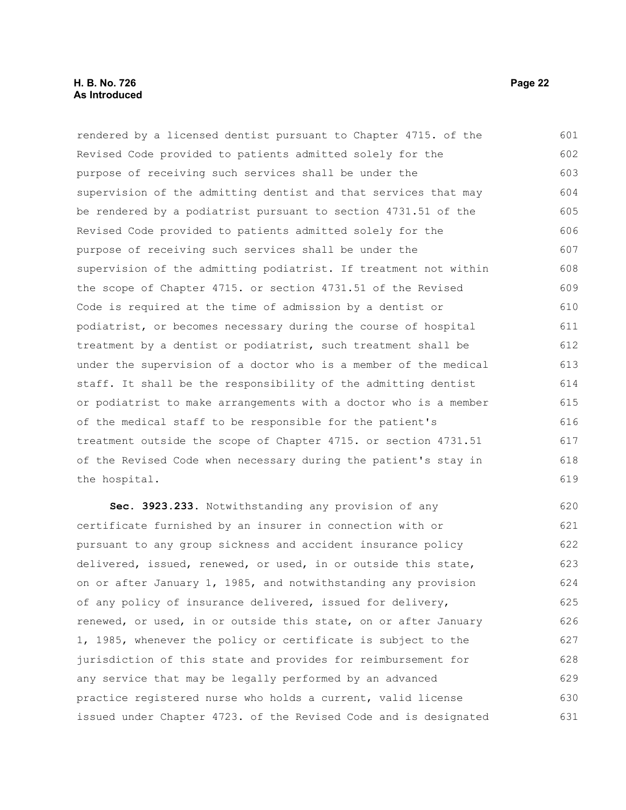#### **H. B. No. 726 Page 22 As Introduced**

rendered by a licensed dentist pursuant to Chapter 4715. of the Revised Code provided to patients admitted solely for the purpose of receiving such services shall be under the supervision of the admitting dentist and that services that may be rendered by a podiatrist pursuant to section 4731.51 of the Revised Code provided to patients admitted solely for the purpose of receiving such services shall be under the supervision of the admitting podiatrist. If treatment not within the scope of Chapter 4715. or section 4731.51 of the Revised Code is required at the time of admission by a dentist or podiatrist, or becomes necessary during the course of hospital treatment by a dentist or podiatrist, such treatment shall be under the supervision of a doctor who is a member of the medical staff. It shall be the responsibility of the admitting dentist or podiatrist to make arrangements with a doctor who is a member of the medical staff to be responsible for the patient's treatment outside the scope of Chapter 4715. or section 4731.51 of the Revised Code when necessary during the patient's stay in the hospital. 601 602 603 604 605 606 607 608 609 610 611 612 613 614 615 616 617 618 619

**Sec. 3923.233.** Notwithstanding any provision of any certificate furnished by an insurer in connection with or pursuant to any group sickness and accident insurance policy delivered, issued, renewed, or used, in or outside this state, on or after January 1, 1985, and notwithstanding any provision of any policy of insurance delivered, issued for delivery, renewed, or used, in or outside this state, on or after January 1, 1985, whenever the policy or certificate is subject to the jurisdiction of this state and provides for reimbursement for any service that may be legally performed by an advanced practice registered nurse who holds a current, valid license issued under Chapter 4723. of the Revised Code and is designated 620 621 622 623 624 625 626 627 628 629 630 631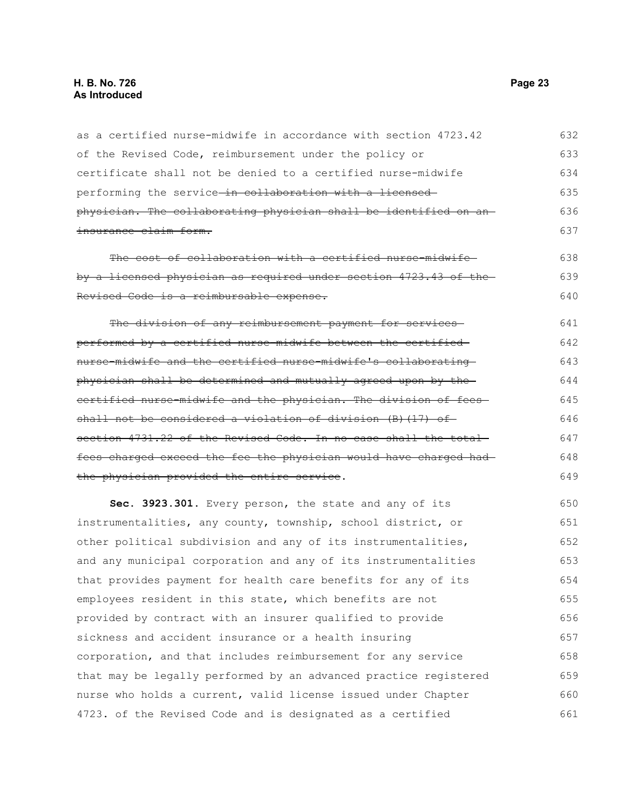#### **H. B. No. 726 Page 23 As Introduced**

as a certified nurse-midwife in accordance with section 4723.42 of the Revised Code, reimbursement under the policy or certificate shall not be denied to a certified nurse-midwife performing the service-in collaboration with a licensedphysician. The collaborating physician shall be identified on an insurance claim form. 632 633 634 635 636 637

The cost of collaboration with a certified nurse-midwife by a licensed physician as required under section 4723.43 of the Revised Code is a reimbursable expense. 638 639 640

The division of any reimbursement payment for services performed by a certified nurse-midwife between the certified nurse-midwife and the certified nurse-midwife's collaborating physician shall be determined and mutually agreed upon by the certified nurse-midwife and the physician. The division of fees shall not be considered a violation of division (B)(17) of section 4731.22 of the Revised Code. In no case shall the total fees charged exceed the fee the physician would have charged had the physician provided the entire service. 641 642 643 644 645 646 647 648 649

**Sec. 3923.301.** Every person, the state and any of its instrumentalities, any county, township, school district, or other political subdivision and any of its instrumentalities, and any municipal corporation and any of its instrumentalities that provides payment for health care benefits for any of its employees resident in this state, which benefits are not provided by contract with an insurer qualified to provide sickness and accident insurance or a health insuring corporation, and that includes reimbursement for any service that may be legally performed by an advanced practice registered nurse who holds a current, valid license issued under Chapter 4723. of the Revised Code and is designated as a certified 650 651 652 653 654 655 656 657 658 659 660 661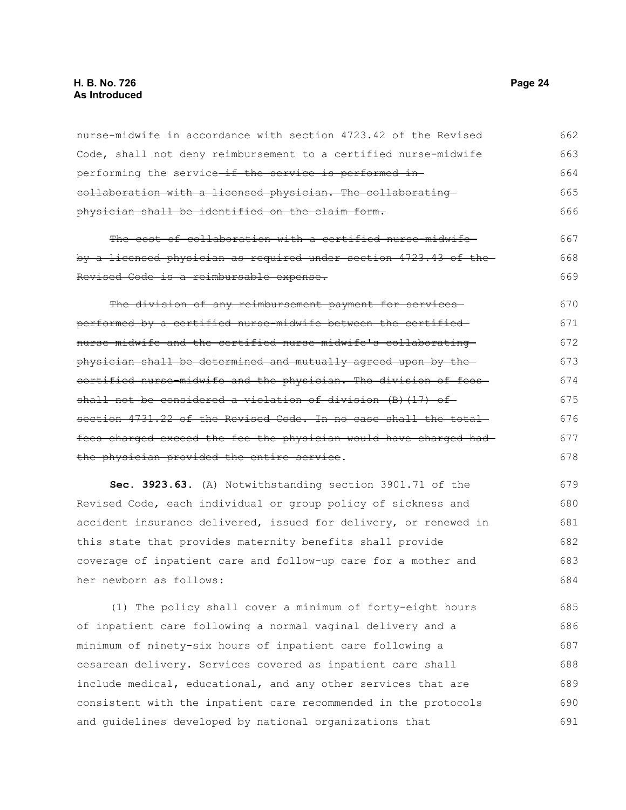### **H. B. No. 726 Page 24 As Introduced**

| nurse-midwife in accordance with section 4723.42 of the Revised          | 662 |
|--------------------------------------------------------------------------|-----|
| Code, shall not deny reimbursement to a certified nurse-midwife          | 663 |
| performing the service <del> if the service is performed in</del>        | 664 |
| collaboration with a licensed physician. The collaborating               | 665 |
| physician shall be identified on the claim form.                         | 666 |
| The cost of collaboration with a certified nurse-midwife-                | 667 |
| by a licensed physician as required under section 4723.43 of the-        | 668 |
| Revised Code is a reimbursable expense.                                  | 669 |
| The division of any reimbursement payment for services-                  | 670 |
| <del>performed by a certified nurse-midwife between the certified-</del> | 671 |
| nurse-midwife and the certified nurse-midwife's collaborating-           | 672 |
| physician shall be determined and mutually agreed upon by the-           | 673 |
| certified nurse-midwife and the physician. The division of fees-         | 674 |
| <u>shall not be considered a violation of division (B)(17) of-</u>       | 675 |
| section 4731.22 of the Revised Code. In no case shall the total—         | 676 |
| fees charged exceed the fee the physician would have charged had         | 677 |
| the physician provided the entire service.                               | 678 |
| Sec. 3923.63. (A) Notwithstanding section 3901.71 of the                 | 679 |
| Revised Code, each individual or group policy of sickness and            | 680 |
| accident insurance delivered, issued for delivery, or renewed in         | 681 |
| this state that provides maternity benefits shall provide                | 682 |
| coverage of inpatient care and follow-up care for a mother and           | 683 |
| her newborn as follows:                                                  | 684 |
| (1) The policy shall cover a minimum of forty-eight hours                | 685 |
| of inpatient care following a normal vaginal delivery and a              | 686 |
| minimum of ninety-six hours of inpatient care following a                | 687 |
| cesarean delivery. Services covered as inpatient care shall              | 688 |
| include medical, educational, and any other services that are            | 689 |
| consistent with the inpatient care recommended in the protocols          | 690 |
| and guidelines developed by national organizations that                  | 691 |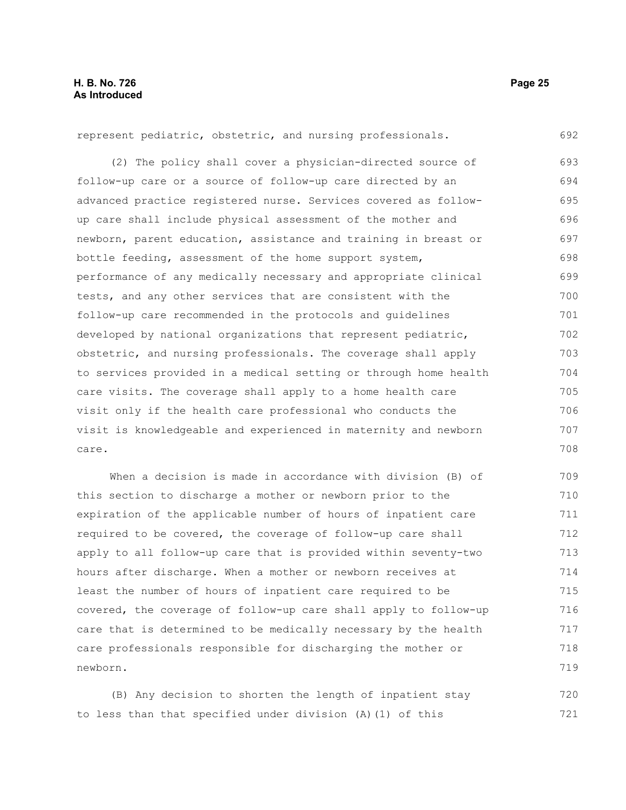represent pediatric, obstetric, and nursing professionals.

(2) The policy shall cover a physician-directed source of follow-up care or a source of follow-up care directed by an advanced practice registered nurse. Services covered as followup care shall include physical assessment of the mother and newborn, parent education, assistance and training in breast or bottle feeding, assessment of the home support system, performance of any medically necessary and appropriate clinical tests, and any other services that are consistent with the follow-up care recommended in the protocols and guidelines developed by national organizations that represent pediatric, obstetric, and nursing professionals. The coverage shall apply to services provided in a medical setting or through home health care visits. The coverage shall apply to a home health care visit only if the health care professional who conducts the visit is knowledgeable and experienced in maternity and newborn care. 693 694 695 696 697 698 699 700 701 702 703 704 705 706 707 708

When a decision is made in accordance with division (B) of this section to discharge a mother or newborn prior to the expiration of the applicable number of hours of inpatient care required to be covered, the coverage of follow-up care shall apply to all follow-up care that is provided within seventy-two hours after discharge. When a mother or newborn receives at least the number of hours of inpatient care required to be covered, the coverage of follow-up care shall apply to follow-up care that is determined to be medically necessary by the health care professionals responsible for discharging the mother or newborn. 709 710 711 712 713 714 715 716 717 718 719

(B) Any decision to shorten the length of inpatient stay to less than that specified under division (A)(1) of this 720 721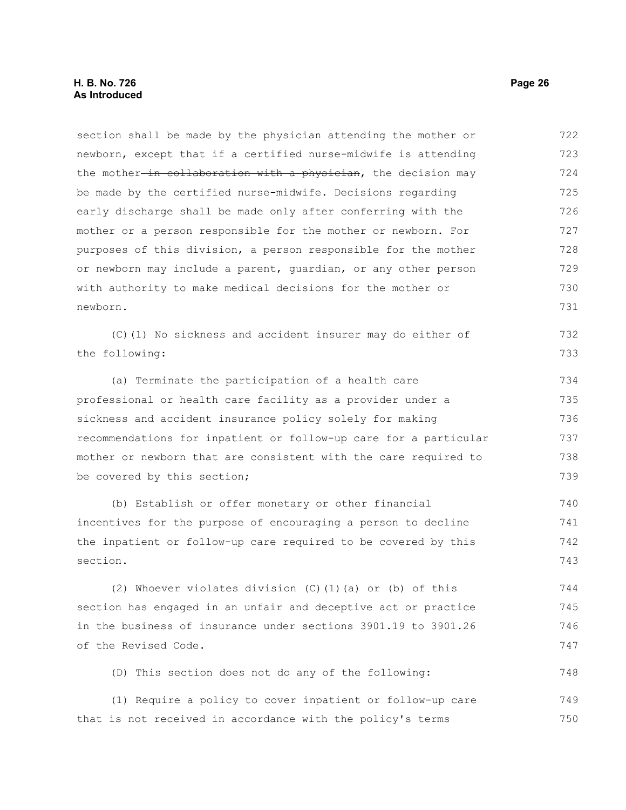section shall be made by the physician attending the mother or newborn, except that if a certified nurse-midwife is attending the mother-in collaboration with a physician, the decision may be made by the certified nurse-midwife. Decisions regarding early discharge shall be made only after conferring with the mother or a person responsible for the mother or newborn. For purposes of this division, a person responsible for the mother or newborn may include a parent, guardian, or any other person with authority to make medical decisions for the mother or newborn. (C)(1) No sickness and accident insurer may do either of the following: (a) Terminate the participation of a health care professional or health care facility as a provider under a sickness and accident insurance policy solely for making recommendations for inpatient or follow-up care for a particular mother or newborn that are consistent with the care required to be covered by this section; (b) Establish or offer monetary or other financial incentives for the purpose of encouraging a person to decline the inpatient or follow-up care required to be covered by this section. (2) Whoever violates division (C)(1)(a) or (b) of this section has engaged in an unfair and deceptive act or practice in the business of insurance under sections 3901.19 to 3901.26 of the Revised Code. (D) This section does not do any of the following: (1) Require a policy to cover inpatient or follow-up care that is not received in accordance with the policy's terms 722 723 724 725 726 727 728 729 730 731 732 733 734 735 736 737 738 739 740 741 742 743 744 745 746 747 748 749 750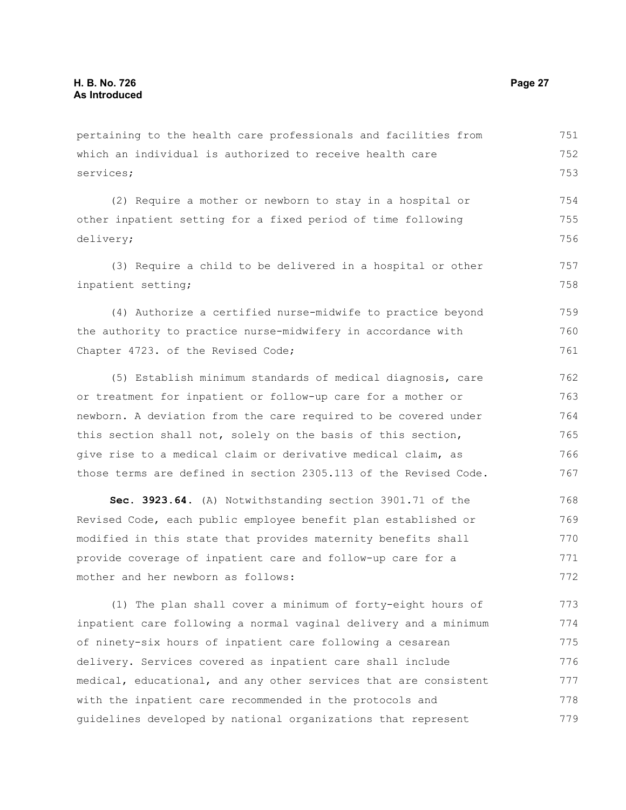pertaining to the health care professionals and facilities from which an individual is authorized to receive health care services; (2) Require a mother or newborn to stay in a hospital or other inpatient setting for a fixed period of time following delivery; (3) Require a child to be delivered in a hospital or other inpatient setting; (4) Authorize a certified nurse-midwife to practice beyond the authority to practice nurse-midwifery in accordance with Chapter 4723. of the Revised Code; (5) Establish minimum standards of medical diagnosis, care or treatment for inpatient or follow-up care for a mother or newborn. A deviation from the care required to be covered under this section shall not, solely on the basis of this section, give rise to a medical claim or derivative medical claim, as those terms are defined in section 2305.113 of the Revised Code. **Sec. 3923.64.** (A) Notwithstanding section 3901.71 of the Revised Code, each public employee benefit plan established or modified in this state that provides maternity benefits shall 751 752 753 754 755 756 757 758 759 760 761 762 763 764 765 766 767 768 769 770

provide coverage of inpatient care and follow-up care for a mother and her newborn as follows: 771 772

(1) The plan shall cover a minimum of forty-eight hours of inpatient care following a normal vaginal delivery and a minimum of ninety-six hours of inpatient care following a cesarean delivery. Services covered as inpatient care shall include medical, educational, and any other services that are consistent with the inpatient care recommended in the protocols and guidelines developed by national organizations that represent 773 774 775 776 777 778 779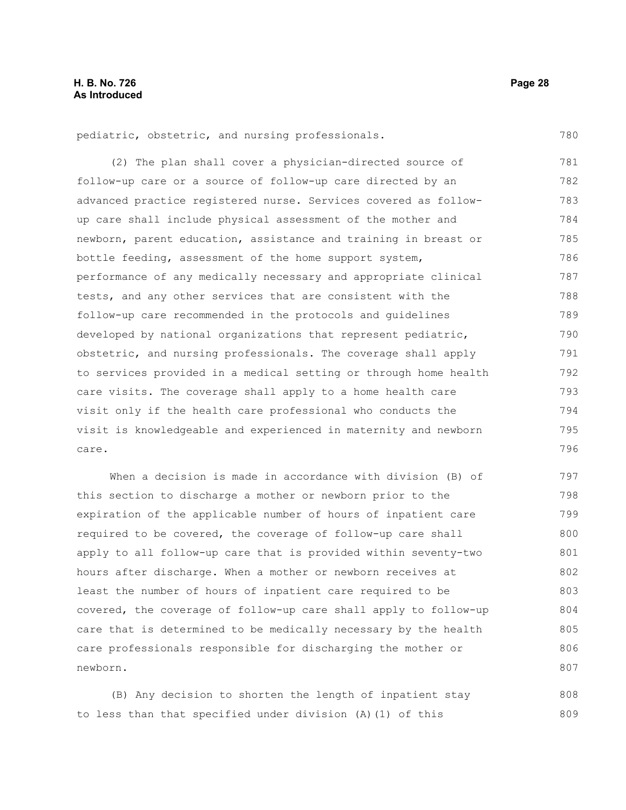pediatric, obstetric, and nursing professionals.

(2) The plan shall cover a physician-directed source of follow-up care or a source of follow-up care directed by an advanced practice registered nurse. Services covered as followup care shall include physical assessment of the mother and newborn, parent education, assistance and training in breast or bottle feeding, assessment of the home support system, performance of any medically necessary and appropriate clinical tests, and any other services that are consistent with the follow-up care recommended in the protocols and guidelines developed by national organizations that represent pediatric, obstetric, and nursing professionals. The coverage shall apply to services provided in a medical setting or through home health care visits. The coverage shall apply to a home health care visit only if the health care professional who conducts the visit is knowledgeable and experienced in maternity and newborn care. 781 782 783 784 785 786 787 788 789 790 791 792 793 794 795 796

When a decision is made in accordance with division (B) of this section to discharge a mother or newborn prior to the expiration of the applicable number of hours of inpatient care required to be covered, the coverage of follow-up care shall apply to all follow-up care that is provided within seventy-two hours after discharge. When a mother or newborn receives at least the number of hours of inpatient care required to be covered, the coverage of follow-up care shall apply to follow-up care that is determined to be medically necessary by the health care professionals responsible for discharging the mother or newborn. 797 798 799 800 801 802 803 804 805 806 807

(B) Any decision to shorten the length of inpatient stay to less than that specified under division (A)(1) of this 808 809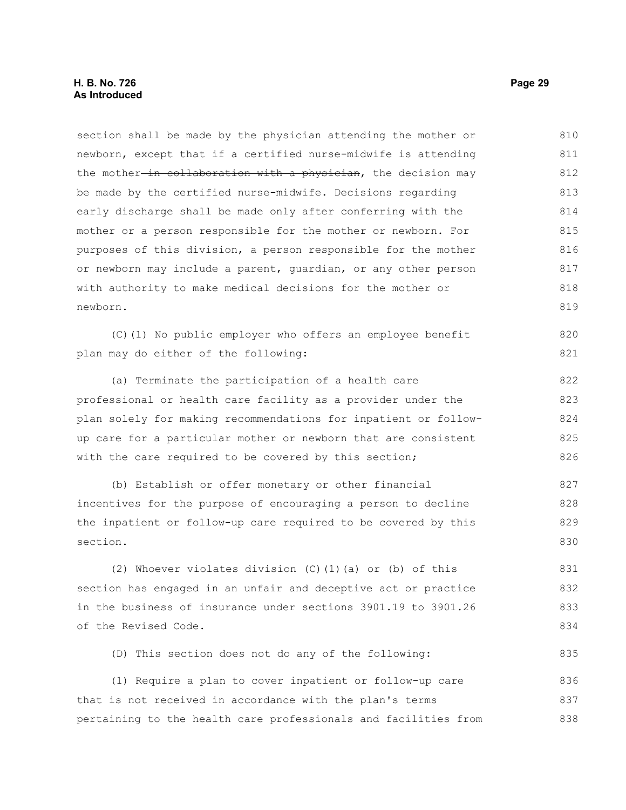section shall be made by the physician attending the mother or newborn, except that if a certified nurse-midwife is attending the mother-in collaboration with a physician, the decision may be made by the certified nurse-midwife. Decisions regarding early discharge shall be made only after conferring with the mother or a person responsible for the mother or newborn. For purposes of this division, a person responsible for the mother or newborn may include a parent, guardian, or any other person with authority to make medical decisions for the mother or newborn. (C)(1) No public employer who offers an employee benefit plan may do either of the following: (a) Terminate the participation of a health care professional or health care facility as a provider under the plan solely for making recommendations for inpatient or followup care for a particular mother or newborn that are consistent with the care required to be covered by this section; (b) Establish or offer monetary or other financial incentives for the purpose of encouraging a person to decline the inpatient or follow-up care required to be covered by this section. (2) Whoever violates division (C)(1)(a) or (b) of this section has engaged in an unfair and deceptive act or practice in the business of insurance under sections 3901.19 to 3901.26 of the Revised Code. (D) This section does not do any of the following: (1) Require a plan to cover inpatient or follow-up care 810 811 812 813 814 815 816 817 818 819 820 821 822 823 824 825 826 827 828 829 830 831 832 833 834 835 836

that is not received in accordance with the plan's terms pertaining to the health care professionals and facilities from 837 838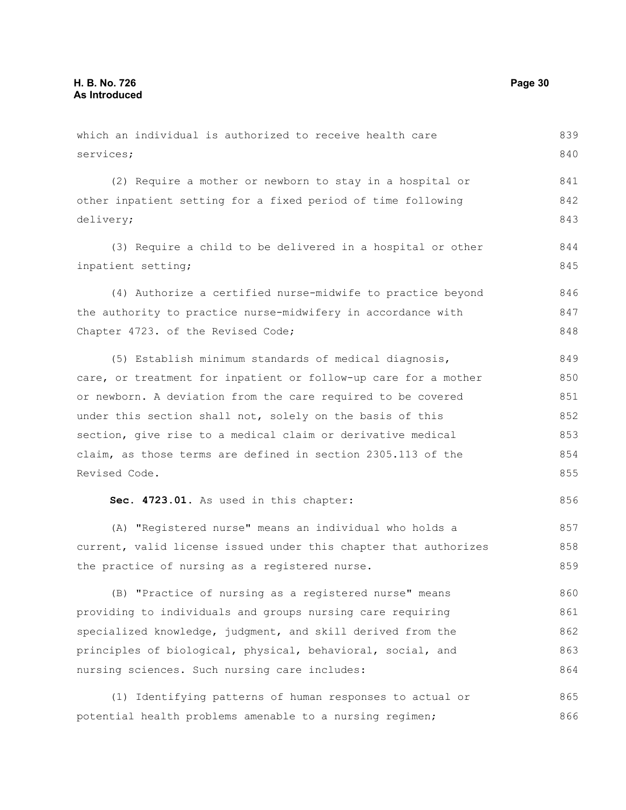which an individual is authorized to receive health care services; (2) Require a mother or newborn to stay in a hospital or other inpatient setting for a fixed period of time following delivery; (3) Require a child to be delivered in a hospital or other inpatient setting; (4) Authorize a certified nurse-midwife to practice beyond the authority to practice nurse-midwifery in accordance with Chapter 4723. of the Revised Code; (5) Establish minimum standards of medical diagnosis, care, or treatment for inpatient or follow-up care for a mother or newborn. A deviation from the care required to be covered under this section shall not, solely on the basis of this section, give rise to a medical claim or derivative medical claim, as those terms are defined in section 2305.113 of the Revised Code. **Sec. 4723.01.** As used in this chapter: (A) "Registered nurse" means an individual who holds a current, valid license issued under this chapter that authorizes the practice of nursing as a registered nurse. (B) "Practice of nursing as a registered nurse" means providing to individuals and groups nursing care requiring specialized knowledge, judgment, and skill derived from the principles of biological, physical, behavioral, social, and nursing sciences. Such nursing care includes: (1) Identifying patterns of human responses to actual or potential health problems amenable to a nursing regimen; 839 840 841 842 843 844 845 846 847 848 849 850 851 852 853 854 855 856 857 858 859 860 861 862 863 864 865 866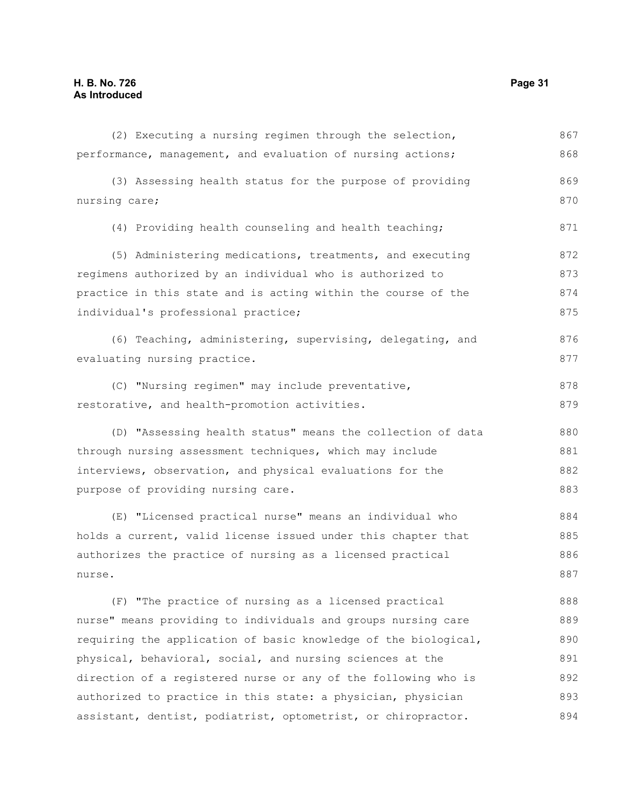| (2) Executing a nursing regimen through the selection,          | 867 |
|-----------------------------------------------------------------|-----|
| performance, management, and evaluation of nursing actions;     | 868 |
| (3) Assessing health status for the purpose of providing        | 869 |
| nursing care;                                                   | 870 |
| (4) Providing health counseling and health teaching;            | 871 |
| (5) Administering medications, treatments, and executing        | 872 |
| regimens authorized by an individual who is authorized to       | 873 |
| practice in this state and is acting within the course of the   | 874 |
| individual's professional practice;                             | 875 |
| (6) Teaching, administering, supervising, delegating, and       | 876 |
| evaluating nursing practice.                                    | 877 |
| (C) "Nursing regimen" may include preventative,                 | 878 |
| restorative, and health-promotion activities.                   | 879 |
| (D) "Assessing health status" means the collection of data      | 880 |
| through nursing assessment techniques, which may include        | 881 |
| interviews, observation, and physical evaluations for the       | 882 |
| purpose of providing nursing care.                              | 883 |
| (E) "Licensed practical nurse" means an individual who          | 884 |
| holds a current, valid license issued under this chapter that   | 885 |
| authorizes the practice of nursing as a licensed practical      | 886 |
| nurse.                                                          | 887 |
| (F) "The practice of nursing as a licensed practical            | 888 |
| nurse" means providing to individuals and groups nursing care   | 889 |
| requiring the application of basic knowledge of the biological, | 890 |
| physical, behavioral, social, and nursing sciences at the       | 891 |
| direction of a registered nurse or any of the following who is  | 892 |
| authorized to practice in this state: a physician, physician    | 893 |
| assistant, dentist, podiatrist, optometrist, or chiropractor.   | 894 |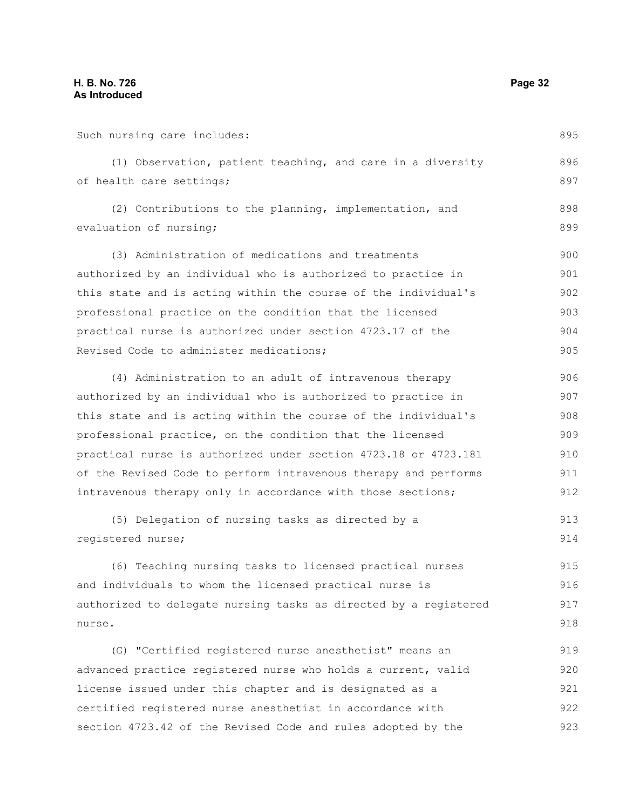nurse.

Such nursing care includes:

(1) Observation, patient teaching, and care in a diversity of health care settings; (2) Contributions to the planning, implementation, and evaluation of nursing; (3) Administration of medications and treatments authorized by an individual who is authorized to practice in this state and is acting within the course of the individual's professional practice on the condition that the licensed practical nurse is authorized under section 4723.17 of the Revised Code to administer medications; (4) Administration to an adult of intravenous therapy authorized by an individual who is authorized to practice in this state and is acting within the course of the individual's professional practice, on the condition that the licensed practical nurse is authorized under section 4723.18 or 4723.181 of the Revised Code to perform intravenous therapy and performs intravenous therapy only in accordance with those sections; (5) Delegation of nursing tasks as directed by a registered nurse; (6) Teaching nursing tasks to licensed practical nurses and individuals to whom the licensed practical nurse is authorized to delegate nursing tasks as directed by a registered 896 897 898 899 900 901 902 903 904 905 906 907 908 909 910 911 912 913 914 915 916 917

(G) "Certified registered nurse anesthetist" means an advanced practice registered nurse who holds a current, valid license issued under this chapter and is designated as a certified registered nurse anesthetist in accordance with section 4723.42 of the Revised Code and rules adopted by the 919 920 921 922 923

895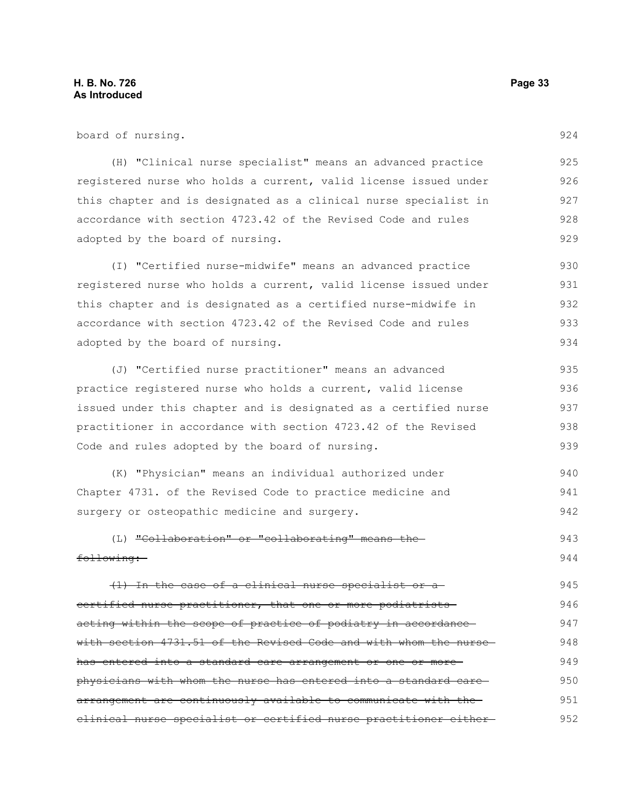board of nursing.

(H) "Clinical nurse specialist" means an advanced practice registered nurse who holds a current, valid license issued under this chapter and is designated as a clinical nurse specialist in accordance with section 4723.42 of the Revised Code and rules adopted by the board of nursing. 925 926 927 928 929

(I) "Certified nurse-midwife" means an advanced practice registered nurse who holds a current, valid license issued under this chapter and is designated as a certified nurse-midwife in accordance with section 4723.42 of the Revised Code and rules adopted by the board of nursing. 930 931 932 933 934

(J) "Certified nurse practitioner" means an advanced practice registered nurse who holds a current, valid license issued under this chapter and is designated as a certified nurse practitioner in accordance with section 4723.42 of the Revised Code and rules adopted by the board of nursing. 935 936 937 938 939

(K) "Physician" means an individual authorized under Chapter 4731. of the Revised Code to practice medicine and surgery or osteopathic medicine and surgery. 940 941 942

#### (L) "Collaboration" or "collaborating" means the following: 944

(1) In the case of a clinical nurse specialist or a certified nurse practitioner, that one or more podiatrists acting within the scope of practice of podiatry in accordance with section 4731.51 of the Revised Code and with whom the nurse has entered into a standard care arrangement or one or more physicians with whom the nurse has entered into a standard care arrangement are continuously available to communicate with the clinical nurse specialist or certified nurse practitioner either 945 946 947 948 949 950 951 952

924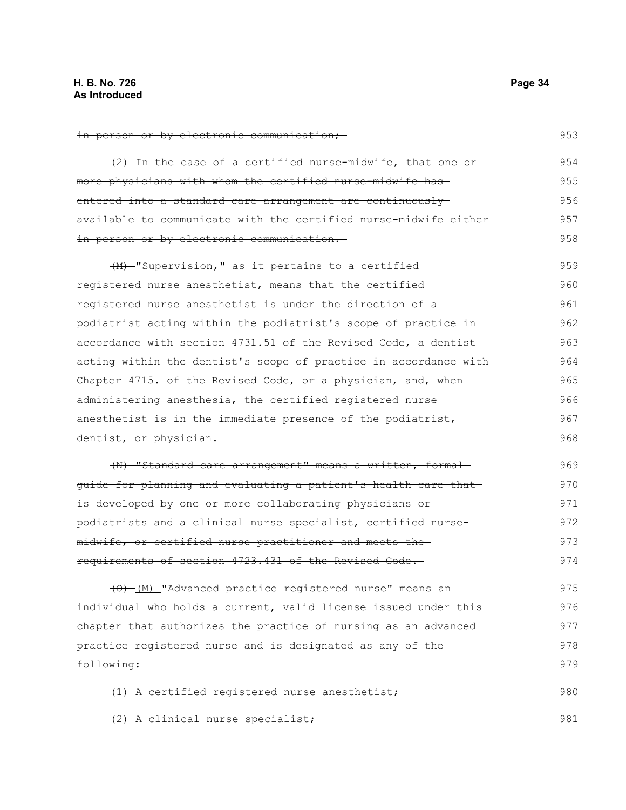in person or by electronic communication;

953 954

| (2) In the case of a certified nurse-midwife, that one or-        | 954 |
|-------------------------------------------------------------------|-----|
| more physicians with whom the certified nurse-midwife has-        | 955 |
| entered into a standard care arrangement are continuously-        | 956 |
| available to communicate with the certified nurse-midwife either- | 957 |
| <del>in person or by electronic communication.</del>              | 958 |

(M) "Supervision," as it pertains to a certified registered nurse anesthetist, means that the certified registered nurse anesthetist is under the direction of a podiatrist acting within the podiatrist's scope of practice in accordance with section 4731.51 of the Revised Code, a dentist acting within the dentist's scope of practice in accordance with Chapter 4715. of the Revised Code, or a physician, and, when administering anesthesia, the certified registered nurse anesthetist is in the immediate presence of the podiatrist, dentist, or physician. 959 960 961 962 963 964 965 966 967 968

| (N) "Standard care arrangement" means a written, formal-       | 969 |
|----------------------------------------------------------------|-----|
| guide for planning and evaluating a patient's health care that | 970 |
| is developed by one or more collaborating physicians or-       | 971 |
| podiatrists and a clinical nurse specialist, certified nurse-  | 972 |
| midwife, or certified nurse practitioner and meets the         | 973 |
| requirements of section 4723.431 of the Revised Code.          | 974 |

(O) (M) "Advanced practice registered nurse" means an individual who holds a current, valid license issued under this chapter that authorizes the practice of nursing as an advanced practice registered nurse and is designated as any of the following: 975 976 977 978 979

(1) A certified registered nurse anesthetist; 980

(2) A clinical nurse specialist;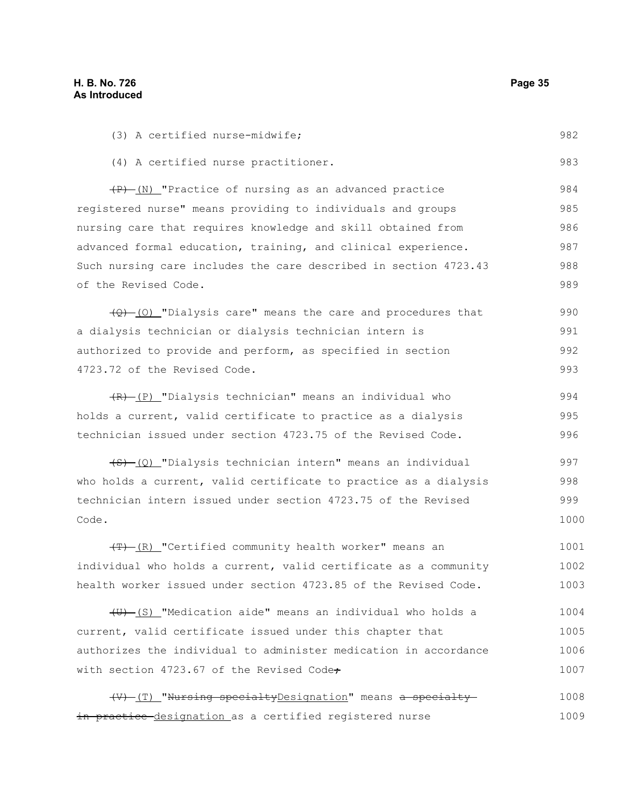| (3) A certified nurse-midwife;                                        | 982  |
|-----------------------------------------------------------------------|------|
| (4) A certified nurse practitioner.                                   | 983  |
| $\frac{P(-N)}{N}$ "Practice of nursing as an advanced practice        | 984  |
| registered nurse" means providing to individuals and groups           | 985  |
| nursing care that requires knowledge and skill obtained from          | 986  |
| advanced formal education, training, and clinical experience.         | 987  |
| Such nursing care includes the care described in section 4723.43      | 988  |
| of the Revised Code.                                                  | 989  |
| $(Q)$ (0) "Dialysis care" means the care and procedures that          | 990  |
| a dialysis technician or dialysis technician intern is                | 991  |
| authorized to provide and perform, as specified in section            | 992  |
| 4723.72 of the Revised Code.                                          | 993  |
| (R) (P) "Dialysis technician" means an individual who                 | 994  |
| holds a current, valid certificate to practice as a dialysis          | 995  |
| technician issued under section 4723.75 of the Revised Code.          | 996  |
| $(5)$ (Q) "Dialysis technician intern" means an individual            | 997  |
| who holds a current, valid certificate to practice as a dialysis      | 998  |
| technician intern issued under section 4723.75 of the Revised         | 999  |
| Code.                                                                 | 1000 |
| $\frac{f(x)-f(x)}{f(x)}$ "Certified community health worker" means an | 1001 |
| individual who holds a current, valid certificate as a community      | 1002 |
| health worker issued under section 4723.85 of the Revised Code.       | 1003 |
| (U) (S) "Medication aide" means an individual who holds a             | 1004 |
| current, valid certificate issued under this chapter that             | 1005 |
| authorizes the individual to administer medication in accordance      | 1006 |
| with section 4723.67 of the Revised Code+                             | 1007 |

(V) (T) "Nursing specialtyDesignation" means a specialty in practice-designation as a certified registered nurse 1008 1009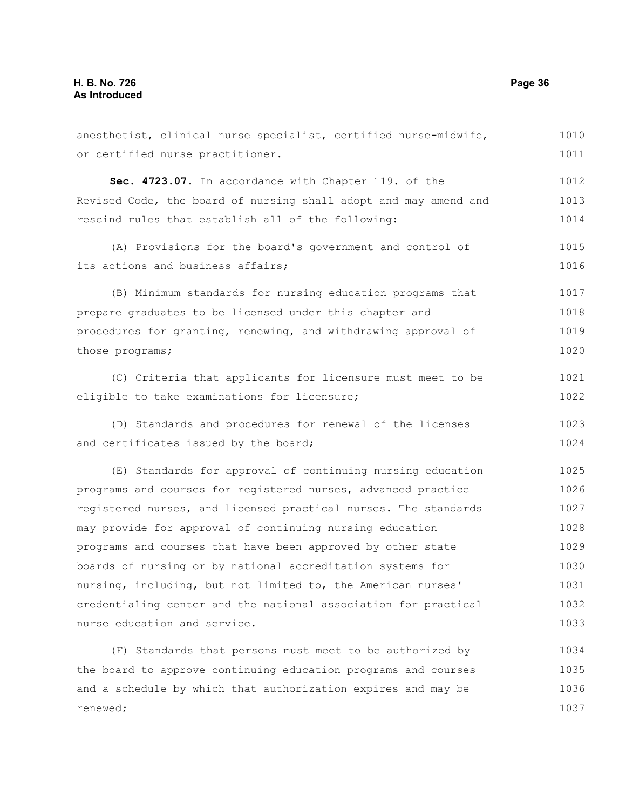anesthetist, clinical nurse specialist, certified nurse-midwife, or certified nurse practitioner. **Sec. 4723.07.** In accordance with Chapter 119. of the Revised Code, the board of nursing shall adopt and may amend and rescind rules that establish all of the following: (A) Provisions for the board's government and control of its actions and business affairs; (B) Minimum standards for nursing education programs that prepare graduates to be licensed under this chapter and procedures for granting, renewing, and withdrawing approval of those programs; (C) Criteria that applicants for licensure must meet to be eligible to take examinations for licensure; (D) Standards and procedures for renewal of the licenses and certificates issued by the board; (E) Standards for approval of continuing nursing education programs and courses for registered nurses, advanced practice registered nurses, and licensed practical nurses. The standards may provide for approval of continuing nursing education programs and courses that have been approved by other state boards of nursing or by national accreditation systems for nursing, including, but not limited to, the American nurses' credentialing center and the national association for practical nurse education and service. (F) Standards that persons must meet to be authorized by 1010 1011 1012 1013 1014 1015 1016 1017 1018 1019 1020 1021 1022 1023 1024 1025 1026 1027 1028 1029 1030 1031 1032 1033 1034

the board to approve continuing education programs and courses and a schedule by which that authorization expires and may be renewed; 1035 1036 1037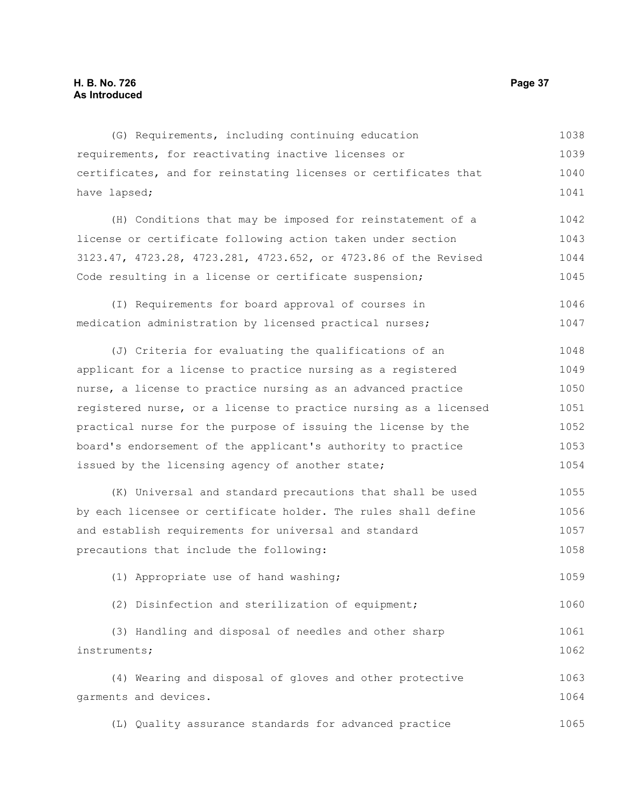(G) Requirements, including continuing education requirements, for reactivating inactive licenses or certificates, and for reinstating licenses or certificates that have lapsed; (H) Conditions that may be imposed for reinstatement of a license or certificate following action taken under section 3123.47, 4723.28, 4723.281, 4723.652, or 4723.86 of the Revised Code resulting in a license or certificate suspension; (I) Requirements for board approval of courses in medication administration by licensed practical nurses; (J) Criteria for evaluating the qualifications of an applicant for a license to practice nursing as a registered nurse, a license to practice nursing as an advanced practice registered nurse, or a license to practice nursing as a licensed practical nurse for the purpose of issuing the license by the board's endorsement of the applicant's authority to practice issued by the licensing agency of another state; (K) Universal and standard precautions that shall be used by each licensee or certificate holder. The rules shall define and establish requirements for universal and standard precautions that include the following: (1) Appropriate use of hand washing; (2) Disinfection and sterilization of equipment; (3) Handling and disposal of needles and other sharp instruments; (4) Wearing and disposal of gloves and other protective garments and devices. (L) Quality assurance standards for advanced practice 1038 1039 1040 1041 1042 1043 1044 1045 1046 1047 1048 1049 1050 1051 1052 1053 1054 1055 1056 1057 1058 1059 1060 1061 1062 1063 1064 1065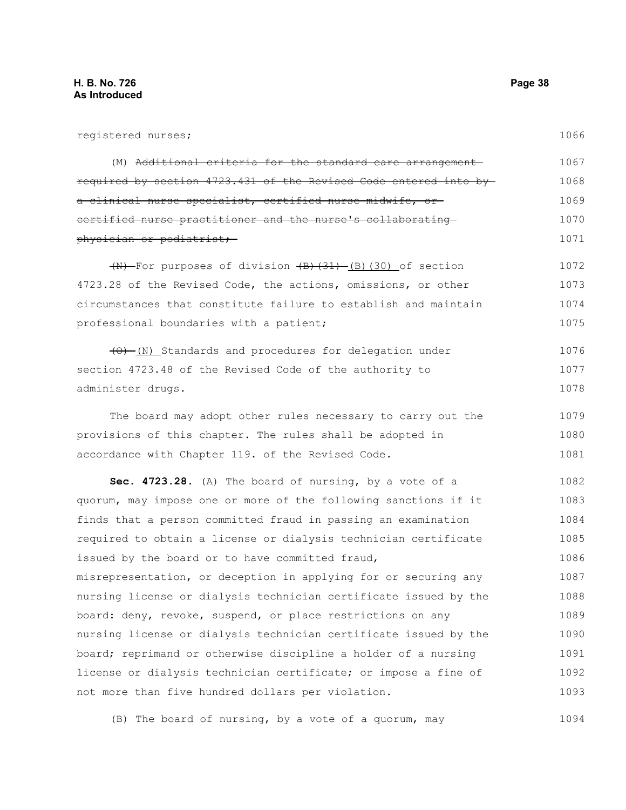# **H. B. No. 726 Page 38 As Introduced**

registered nurses;

(M) Additional criteria for the standard care arrangement required by section 4723.431 of the Revised Code entered into by a clinical nurse specialist, certified nurse-midwife, or certified nurse practitioner and the nurse's collaborating physician or podiatrist; 1067 1068 1069 1070 1071

 $(W)$  For purposes of division  $(B)$   $(31)$   $(B)$   $(30)$  of section 4723.28 of the Revised Code, the actions, omissions, or other circumstances that constitute failure to establish and maintain professional boundaries with a patient; 1072 1073 1074 1075

 $(0)$  (N) Standards and procedures for delegation under section 4723.48 of the Revised Code of the authority to administer drugs. 1076 1077 1078

The board may adopt other rules necessary to carry out the provisions of this chapter. The rules shall be adopted in accordance with Chapter 119. of the Revised Code. 1079 1080 1081

**Sec. 4723.28.** (A) The board of nursing, by a vote of a quorum, may impose one or more of the following sanctions if it finds that a person committed fraud in passing an examination required to obtain a license or dialysis technician certificate issued by the board or to have committed fraud, misrepresentation, or deception in applying for or securing any nursing license or dialysis technician certificate issued by the board: deny, revoke, suspend, or place restrictions on any nursing license or dialysis technician certificate issued by the board; reprimand or otherwise discipline a holder of a nursing license or dialysis technician certificate; or impose a fine of not more than five hundred dollars per violation. 1082 1083 1084 1085 1086 1087 1088 1089 1090 1091 1092 1093

(B) The board of nursing, by a vote of a quorum, may 1094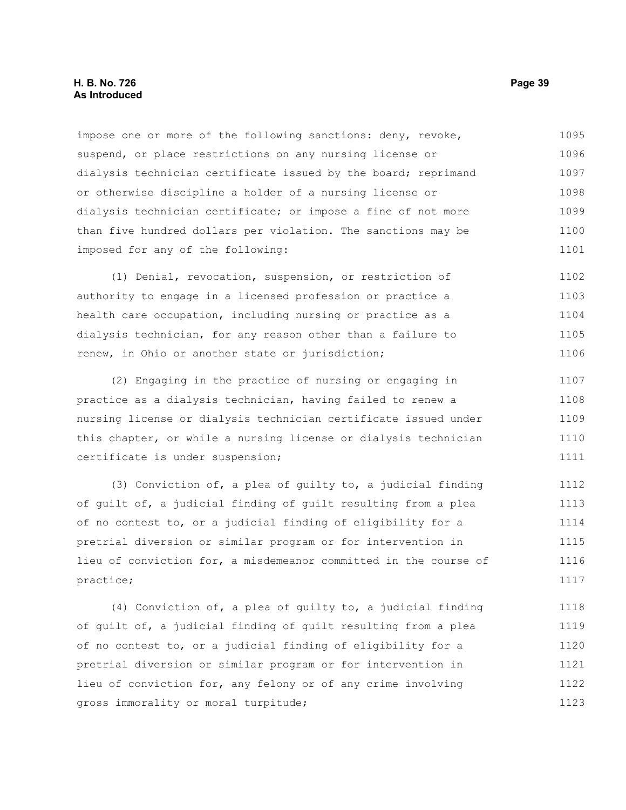# **H. B. No. 726 Page 39 As Introduced**

impose one or more of the following sanctions: deny, revoke, suspend, or place restrictions on any nursing license or dialysis technician certificate issued by the board; reprimand or otherwise discipline a holder of a nursing license or dialysis technician certificate; or impose a fine of not more than five hundred dollars per violation. The sanctions may be imposed for any of the following: 1095 1096 1097 1098 1099 1100 1101

(1) Denial, revocation, suspension, or restriction of authority to engage in a licensed profession or practice a health care occupation, including nursing or practice as a dialysis technician, for any reason other than a failure to renew, in Ohio or another state or jurisdiction; 1102 1103 1104 1105 1106

(2) Engaging in the practice of nursing or engaging in practice as a dialysis technician, having failed to renew a nursing license or dialysis technician certificate issued under this chapter, or while a nursing license or dialysis technician certificate is under suspension; 1107 1108 1109 1110 1111

(3) Conviction of, a plea of guilty to, a judicial finding of guilt of, a judicial finding of guilt resulting from a plea of no contest to, or a judicial finding of eligibility for a pretrial diversion or similar program or for intervention in lieu of conviction for, a misdemeanor committed in the course of practice; 1112 1113 1114 1115 1116 1117

(4) Conviction of, a plea of guilty to, a judicial finding of guilt of, a judicial finding of guilt resulting from a plea of no contest to, or a judicial finding of eligibility for a pretrial diversion or similar program or for intervention in lieu of conviction for, any felony or of any crime involving gross immorality or moral turpitude; 1118 1119 1120 1121 1122 1123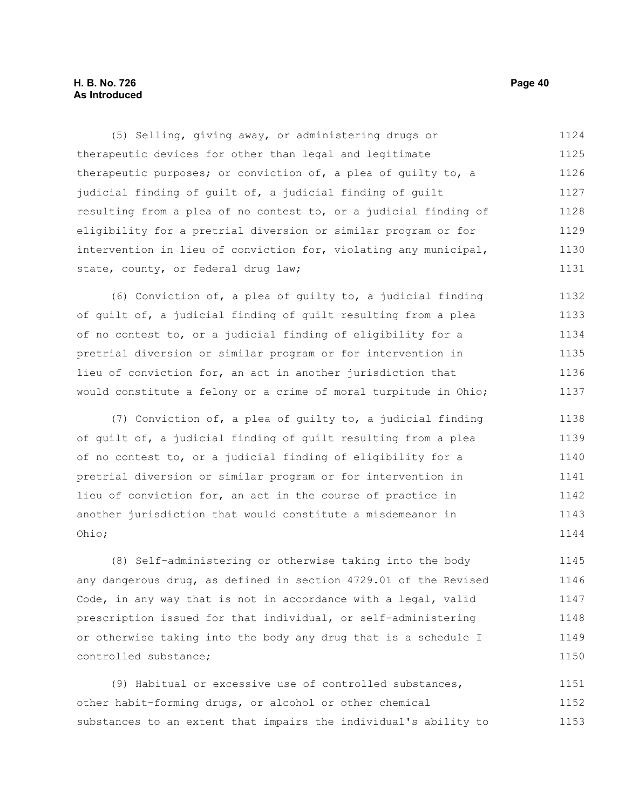(5) Selling, giving away, or administering drugs or therapeutic devices for other than legal and legitimate therapeutic purposes; or conviction of, a plea of guilty to, a judicial finding of guilt of, a judicial finding of guilt resulting from a plea of no contest to, or a judicial finding of eligibility for a pretrial diversion or similar program or for intervention in lieu of conviction for, violating any municipal, state, county, or federal drug law; 1124 1125 1126 1127 1128 1129 1130 1131

(6) Conviction of, a plea of guilty to, a judicial finding of guilt of, a judicial finding of guilt resulting from a plea of no contest to, or a judicial finding of eligibility for a pretrial diversion or similar program or for intervention in lieu of conviction for, an act in another jurisdiction that would constitute a felony or a crime of moral turpitude in Ohio; 1132 1133 1134 1135 1136 1137

(7) Conviction of, a plea of guilty to, a judicial finding of guilt of, a judicial finding of guilt resulting from a plea of no contest to, or a judicial finding of eligibility for a pretrial diversion or similar program or for intervention in lieu of conviction for, an act in the course of practice in another jurisdiction that would constitute a misdemeanor in Ohio; 1138 1139 1140 1141 1142 1143 1144

(8) Self-administering or otherwise taking into the body any dangerous drug, as defined in section 4729.01 of the Revised Code, in any way that is not in accordance with a legal, valid prescription issued for that individual, or self-administering or otherwise taking into the body any drug that is a schedule I controlled substance; 1145 1146 1147 1148 1149 1150

(9) Habitual or excessive use of controlled substances, other habit-forming drugs, or alcohol or other chemical substances to an extent that impairs the individual's ability to 1151 1152 1153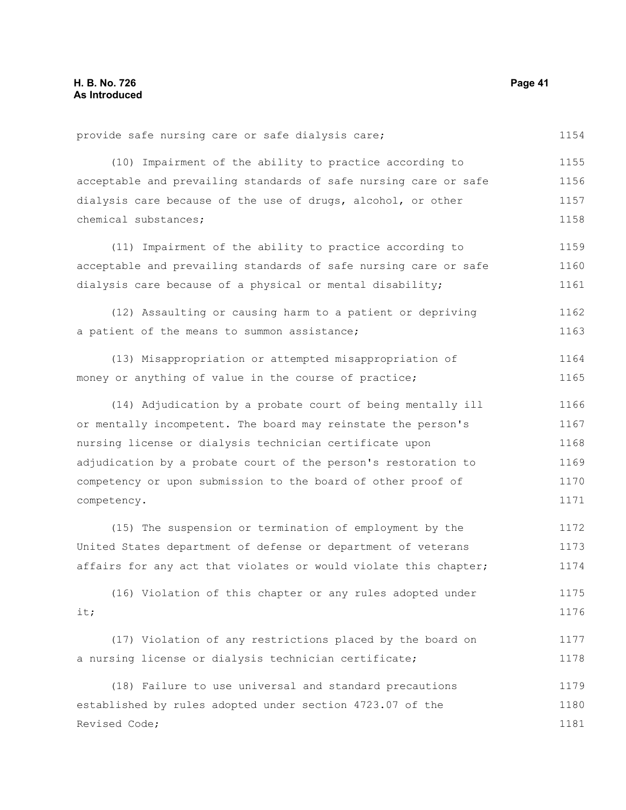| provide safe nursing care or safe dialysis care;                 | 1154 |
|------------------------------------------------------------------|------|
| (10) Impairment of the ability to practice according to          | 1155 |
| acceptable and prevailing standards of safe nursing care or safe | 1156 |
| dialysis care because of the use of drugs, alcohol, or other     | 1157 |
| chemical substances;                                             | 1158 |
| (11) Impairment of the ability to practice according to          | 1159 |
| acceptable and prevailing standards of safe nursing care or safe | 1160 |
| dialysis care because of a physical or mental disability;        | 1161 |
| (12) Assaulting or causing harm to a patient or depriving        | 1162 |
| a patient of the means to summon assistance;                     | 1163 |
| (13) Misappropriation or attempted misappropriation of           | 1164 |
| money or anything of value in the course of practice;            | 1165 |
| (14) Adjudication by a probate court of being mentally ill       | 1166 |
| or mentally incompetent. The board may reinstate the person's    | 1167 |
| nursing license or dialysis technician certificate upon          | 1168 |
| adjudication by a probate court of the person's restoration to   | 1169 |
| competency or upon submission to the board of other proof of     | 1170 |
| competency.                                                      | 1171 |
| (15) The suspension or termination of employment by the          | 1172 |
| United States department of defense or department of veterans    | 1173 |
| affairs for any act that violates or would violate this chapter; | 1174 |
| (16) Violation of this chapter or any rules adopted under        | 1175 |
| it;                                                              | 1176 |
| (17) Violation of any restrictions placed by the board on        | 1177 |
| a nursing license or dialysis technician certificate;            | 1178 |
| (18) Failure to use universal and standard precautions           | 1179 |
| established by rules adopted under section 4723.07 of the        | 1180 |
| Revised Code;                                                    | 1181 |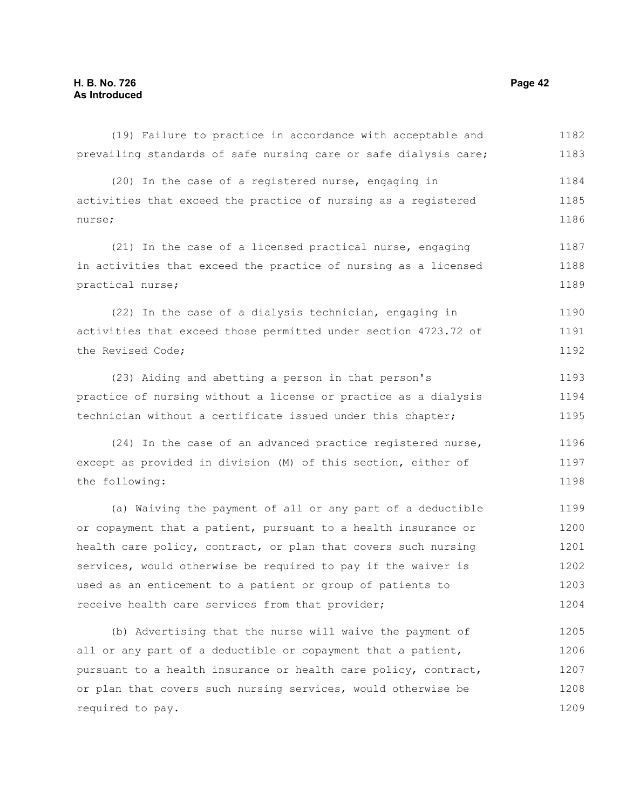required to pay.

prevailing standards of safe nursing care or safe dialysis care; (20) In the case of a registered nurse, engaging in activities that exceed the practice of nursing as a registered nurse; (21) In the case of a licensed practical nurse, engaging in activities that exceed the practice of nursing as a licensed practical nurse; (22) In the case of a dialysis technician, engaging in activities that exceed those permitted under section 4723.72 of the Revised Code; (23) Aiding and abetting a person in that person's practice of nursing without a license or practice as a dialysis technician without a certificate issued under this chapter; (24) In the case of an advanced practice registered nurse, except as provided in division (M) of this section, either of the following: (a) Waiving the payment of all or any part of a deductible or copayment that a patient, pursuant to a health insurance or health care policy, contract, or plan that covers such nursing services, would otherwise be required to pay if the waiver is used as an enticement to a patient or group of patients to receive health care services from that provider; (b) Advertising that the nurse will waive the payment of all or any part of a deductible or copayment that a patient, pursuant to a health insurance or health care policy, contract, or plan that covers such nursing services, would otherwise be 1183 1184 1185 1186 1187 1188 1189 1190 1191 1192 1193 1194 1195 1196 1197 1198 1199 1200 1201 1202 1203 1204 1205 1206 1207 1208

(19) Failure to practice in accordance with acceptable and

1182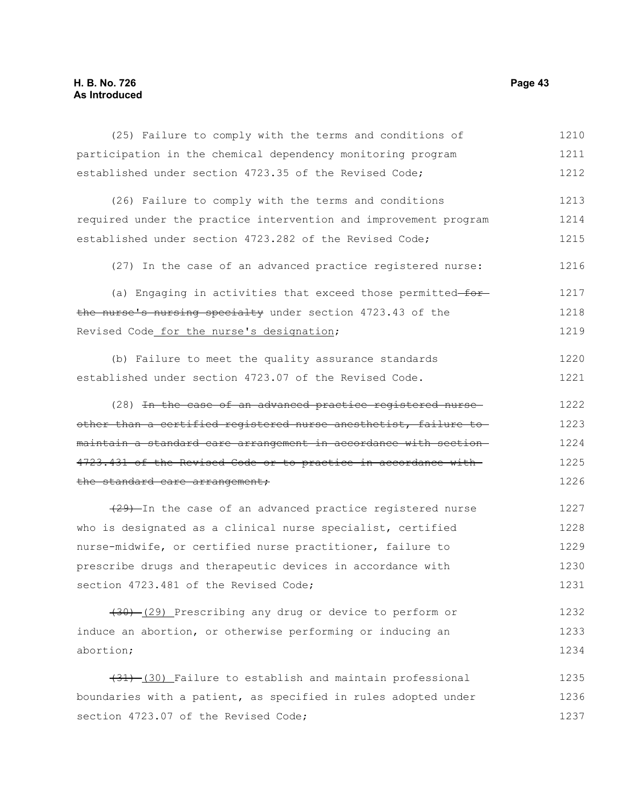abortion;

participation in the chemical dependency monitoring program established under section 4723.35 of the Revised Code; (26) Failure to comply with the terms and conditions required under the practice intervention and improvement program established under section 4723.282 of the Revised Code; (27) In the case of an advanced practice registered nurse: (a) Engaging in activities that exceed those permitted-forthe nurse's nursing specialty under section 4723.43 of the Revised Code for the nurse's designation; (b) Failure to meet the quality assurance standards established under section 4723.07 of the Revised Code. (28) In the case of an advanced practice registered nurseother than a certified registered nurse anesthetist, failure to maintain a standard care arrangement in accordance with section 4723.431 of the Revised Code or to practice in accordance with the standard care arrangement; (29) In the case of an advanced practice registered nurse who is designated as a clinical nurse specialist, certified nurse-midwife, or certified nurse practitioner, failure to prescribe drugs and therapeutic devices in accordance with section 4723.481 of the Revised Code; (30) (29) Prescribing any drug or device to perform or induce an abortion, or otherwise performing or inducing an 1211 1212 1213 1214 1215 1216 1217 1218 1219 1220 1221 1222 1223 1224 1225 1226 1227 1228 1229 1230 1231 1232 1233

(25) Failure to comply with the terms and conditions of

 $(31)$   $(30)$  Failure to establish and maintain professional boundaries with a patient, as specified in rules adopted under section 4723.07 of the Revised Code; 1235 1236 1237

1210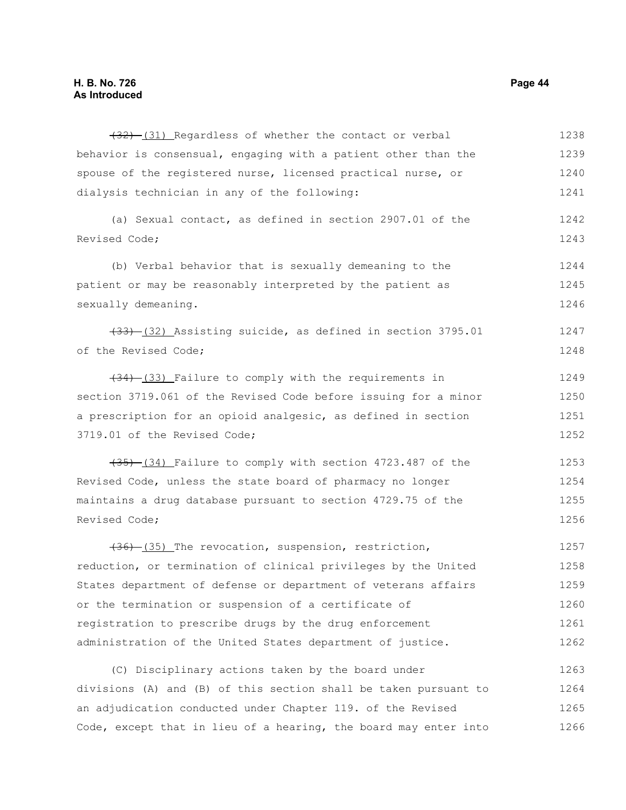| (32) (31) Regardless of whether the contact or verbal            | 1238 |
|------------------------------------------------------------------|------|
| behavior is consensual, engaging with a patient other than the   | 1239 |
| spouse of the registered nurse, licensed practical nurse, or     | 1240 |
| dialysis technician in any of the following:                     | 1241 |
| (a) Sexual contact, as defined in section 2907.01 of the         | 1242 |
| Revised Code;                                                    | 1243 |
| (b) Verbal behavior that is sexually demeaning to the            | 1244 |
| patient or may be reasonably interpreted by the patient as       | 1245 |
| sexually demeaning.                                              | 1246 |
| $(33)$ $(32)$ Assisting suicide, as defined in section 3795.01   | 1247 |
| of the Revised Code;                                             | 1248 |
| $(34)$ $(33)$ Failure to comply with the requirements in         | 1249 |
| section 3719.061 of the Revised Code before issuing for a minor  | 1250 |
| a prescription for an opioid analgesic, as defined in section    | 1251 |
| 3719.01 of the Revised Code;                                     | 1252 |
| $(35)$ $(34)$ Failure to comply with section 4723.487 of the     | 1253 |
| Revised Code, unless the state board of pharmacy no longer       | 1254 |
| maintains a drug database pursuant to section 4729.75 of the     | 1255 |
| Revised Code;                                                    | 1256 |
| (36) (35) The revocation, suspension, restriction,               | 1257 |
| reduction, or termination of clinical privileges by the United   | 1258 |
| States department of defense or department of veterans affairs   | 1259 |
| or the termination or suspension of a certificate of             | 1260 |
| registration to prescribe drugs by the drug enforcement          | 1261 |
| administration of the United States department of justice.       | 1262 |
| (C) Disciplinary actions taken by the board under                | 1263 |
| divisions (A) and (B) of this section shall be taken pursuant to | 1264 |
| an adjudication conducted under Chapter 119. of the Revised      | 1265 |
| Code, except that in lieu of a hearing, the board may enter into | 1266 |
|                                                                  |      |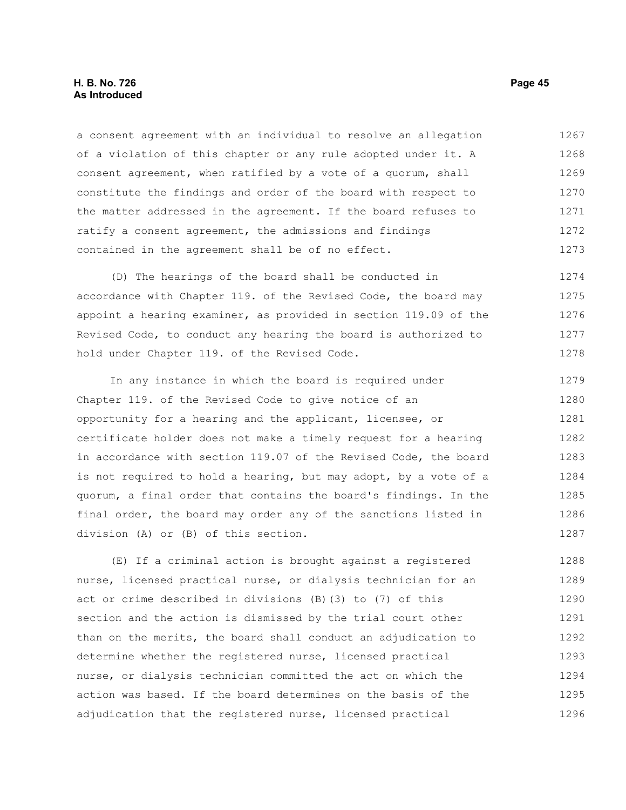### **H. B. No. 726 Page 45 As Introduced**

a consent agreement with an individual to resolve an allegation of a violation of this chapter or any rule adopted under it. A consent agreement, when ratified by a vote of a quorum, shall constitute the findings and order of the board with respect to the matter addressed in the agreement. If the board refuses to ratify a consent agreement, the admissions and findings contained in the agreement shall be of no effect. 1267 1268 1269 1270 1271 1272 1273

(D) The hearings of the board shall be conducted in accordance with Chapter 119. of the Revised Code, the board may appoint a hearing examiner, as provided in section 119.09 of the Revised Code, to conduct any hearing the board is authorized to hold under Chapter 119. of the Revised Code. 1274 1275 1276 1277 1278

In any instance in which the board is required under Chapter 119. of the Revised Code to give notice of an opportunity for a hearing and the applicant, licensee, or certificate holder does not make a timely request for a hearing in accordance with section 119.07 of the Revised Code, the board is not required to hold a hearing, but may adopt, by a vote of a quorum, a final order that contains the board's findings. In the final order, the board may order any of the sanctions listed in division (A) or (B) of this section. 1279 1280 1281 1282 1283 1284 1285 1286 1287

(E) If a criminal action is brought against a registered nurse, licensed practical nurse, or dialysis technician for an act or crime described in divisions (B)(3) to (7) of this section and the action is dismissed by the trial court other than on the merits, the board shall conduct an adjudication to determine whether the registered nurse, licensed practical nurse, or dialysis technician committed the act on which the action was based. If the board determines on the basis of the adjudication that the registered nurse, licensed practical 1288 1289 1290 1291 1292 1293 1294 1295 1296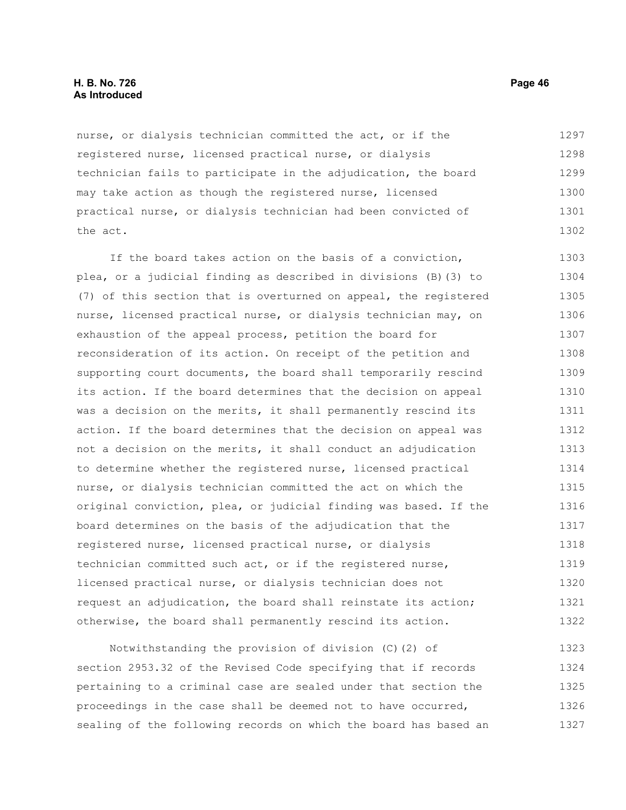# **H. B. No. 726 Page 46 As Introduced**

nurse, or dialysis technician committed the act, or if the registered nurse, licensed practical nurse, or dialysis technician fails to participate in the adjudication, the board may take action as though the registered nurse, licensed practical nurse, or dialysis technician had been convicted of the act. 1297 1298 1299 1300 1301 1302

If the board takes action on the basis of a conviction, plea, or a judicial finding as described in divisions (B)(3) to (7) of this section that is overturned on appeal, the registered nurse, licensed practical nurse, or dialysis technician may, on exhaustion of the appeal process, petition the board for reconsideration of its action. On receipt of the petition and supporting court documents, the board shall temporarily rescind its action. If the board determines that the decision on appeal was a decision on the merits, it shall permanently rescind its action. If the board determines that the decision on appeal was not a decision on the merits, it shall conduct an adjudication to determine whether the registered nurse, licensed practical nurse, or dialysis technician committed the act on which the original conviction, plea, or judicial finding was based. If the board determines on the basis of the adjudication that the registered nurse, licensed practical nurse, or dialysis technician committed such act, or if the registered nurse, licensed practical nurse, or dialysis technician does not request an adjudication, the board shall reinstate its action; otherwise, the board shall permanently rescind its action. 1303 1304 1305 1306 1307 1308 1309 1310 1311 1312 1313 1314 1315 1316 1317 1318 1319 1320 1321 1322

Notwithstanding the provision of division (C)(2) of section 2953.32 of the Revised Code specifying that if records pertaining to a criminal case are sealed under that section the proceedings in the case shall be deemed not to have occurred, sealing of the following records on which the board has based an 1323 1324 1325 1326 1327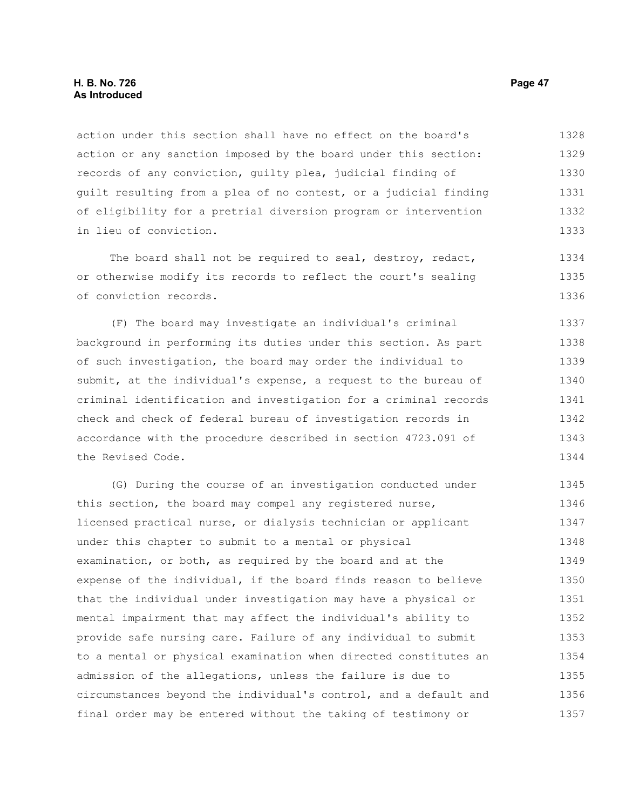### **H. B. No. 726 Page 47 As Introduced**

action under this section shall have no effect on the board's action or any sanction imposed by the board under this section: records of any conviction, guilty plea, judicial finding of guilt resulting from a plea of no contest, or a judicial finding of eligibility for a pretrial diversion program or intervention in lieu of conviction. 1328 1329 1330 1331 1332 1333

The board shall not be required to seal, destroy, redact, or otherwise modify its records to reflect the court's sealing of conviction records. 1334 1335 1336

(F) The board may investigate an individual's criminal background in performing its duties under this section. As part of such investigation, the board may order the individual to submit, at the individual's expense, a request to the bureau of criminal identification and investigation for a criminal records check and check of federal bureau of investigation records in accordance with the procedure described in section 4723.091 of the Revised Code. 1337 1338 1339 1340 1341 1342 1343 1344

(G) During the course of an investigation conducted under this section, the board may compel any registered nurse, licensed practical nurse, or dialysis technician or applicant under this chapter to submit to a mental or physical examination, or both, as required by the board and at the expense of the individual, if the board finds reason to believe that the individual under investigation may have a physical or mental impairment that may affect the individual's ability to provide safe nursing care. Failure of any individual to submit to a mental or physical examination when directed constitutes an admission of the allegations, unless the failure is due to circumstances beyond the individual's control, and a default and final order may be entered without the taking of testimony or 1345 1346 1347 1348 1349 1350 1351 1352 1353 1354 1355 1356 1357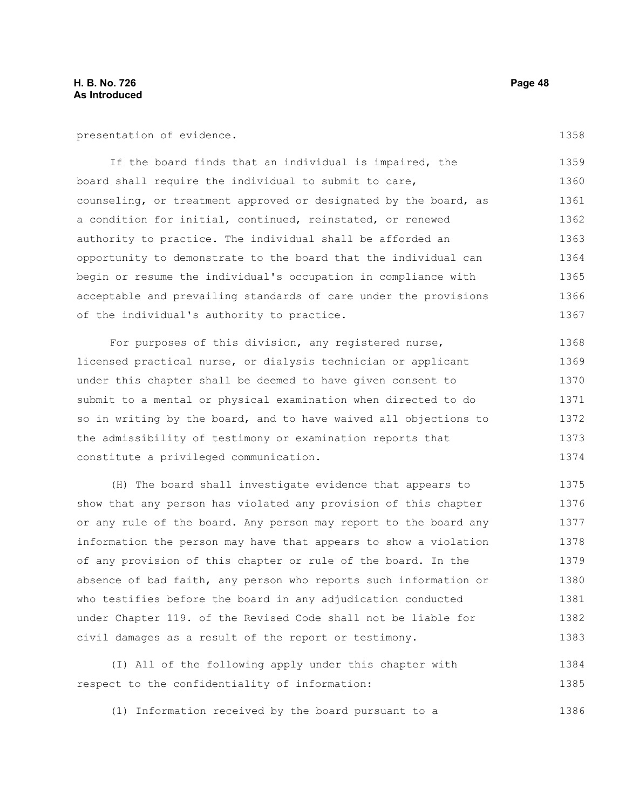presentation of evidence.

1358

If the board finds that an individual is impaired, the board shall require the individual to submit to care, counseling, or treatment approved or designated by the board, as a condition for initial, continued, reinstated, or renewed authority to practice. The individual shall be afforded an opportunity to demonstrate to the board that the individual can begin or resume the individual's occupation in compliance with acceptable and prevailing standards of care under the provisions of the individual's authority to practice. 1359 1360 1361 1362 1363 1364 1365 1366 1367

For purposes of this division, any registered nurse, licensed practical nurse, or dialysis technician or applicant under this chapter shall be deemed to have given consent to submit to a mental or physical examination when directed to do so in writing by the board, and to have waived all objections to the admissibility of testimony or examination reports that constitute a privileged communication. 1368 1369 1370 1371 1372 1373 1374

(H) The board shall investigate evidence that appears to show that any person has violated any provision of this chapter or any rule of the board. Any person may report to the board any information the person may have that appears to show a violation of any provision of this chapter or rule of the board. In the absence of bad faith, any person who reports such information or who testifies before the board in any adjudication conducted under Chapter 119. of the Revised Code shall not be liable for civil damages as a result of the report or testimony. 1375 1376 1377 1378 1379 1380 1381 1382 1383

(I) All of the following apply under this chapter with respect to the confidentiality of information: 1384 1385

(1) Information received by the board pursuant to a 1386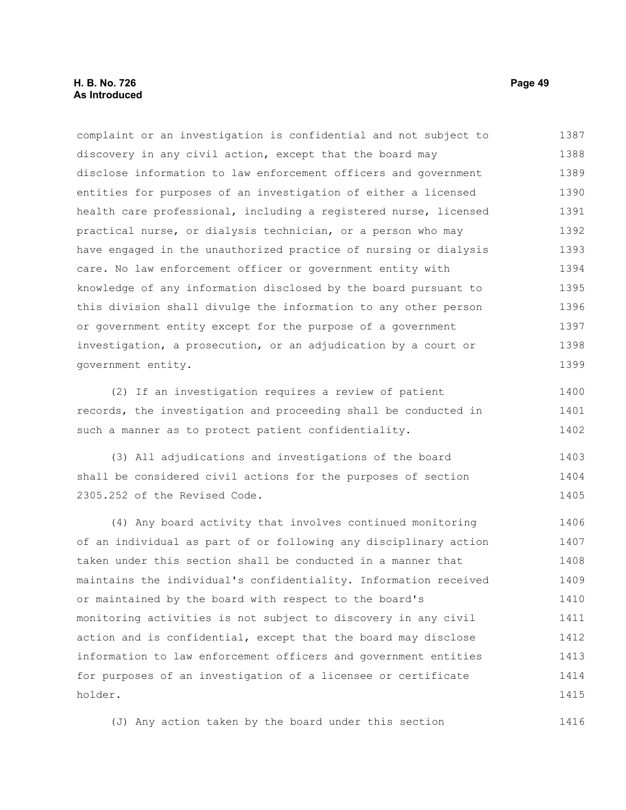# **H. B. No. 726 Page 49 As Introduced**

complaint or an investigation is confidential and not subject to discovery in any civil action, except that the board may disclose information to law enforcement officers and government entities for purposes of an investigation of either a licensed health care professional, including a registered nurse, licensed practical nurse, or dialysis technician, or a person who may have engaged in the unauthorized practice of nursing or dialysis care. No law enforcement officer or government entity with knowledge of any information disclosed by the board pursuant to this division shall divulge the information to any other person or government entity except for the purpose of a government investigation, a prosecution, or an adjudication by a court or government entity. 1387 1388 1389 1390 1391 1392 1393 1394 1395 1396 1397 1398 1399

(2) If an investigation requires a review of patient records, the investigation and proceeding shall be conducted in such a manner as to protect patient confidentiality. 1400 1401 1402

(3) All adjudications and investigations of the board shall be considered civil actions for the purposes of section 2305.252 of the Revised Code. 1403 1404 1405

(4) Any board activity that involves continued monitoring of an individual as part of or following any disciplinary action taken under this section shall be conducted in a manner that maintains the individual's confidentiality. Information received or maintained by the board with respect to the board's monitoring activities is not subject to discovery in any civil action and is confidential, except that the board may disclose information to law enforcement officers and government entities for purposes of an investigation of a licensee or certificate holder. 1406 1407 1408 1409 1410 1411 1412 1413 1414 1415

(J) Any action taken by the board under this section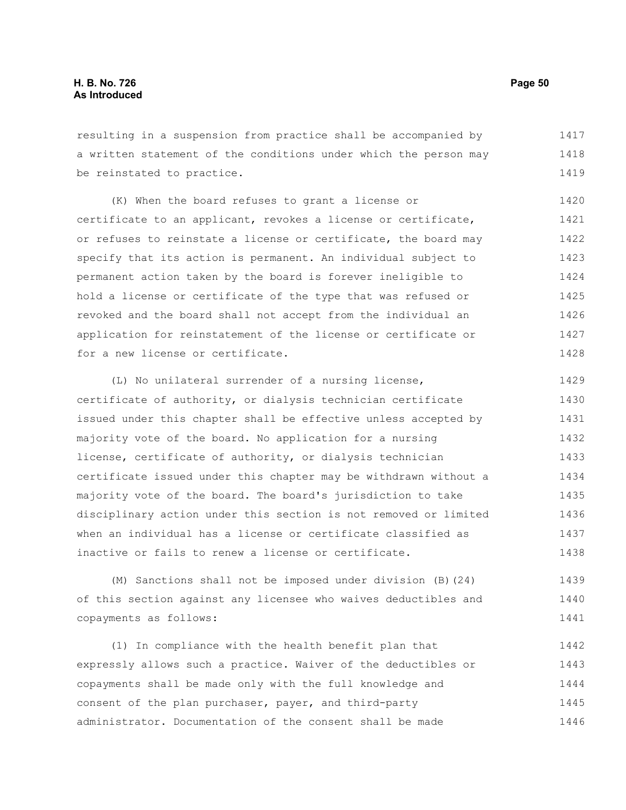resulting in a suspension from practice shall be accompanied by a written statement of the conditions under which the person may be reinstated to practice. 1417 1418 1419

(K) When the board refuses to grant a license or certificate to an applicant, revokes a license or certificate, or refuses to reinstate a license or certificate, the board may specify that its action is permanent. An individual subject to permanent action taken by the board is forever ineligible to hold a license or certificate of the type that was refused or revoked and the board shall not accept from the individual an application for reinstatement of the license or certificate or for a new license or certificate. 1420 1421 1422 1423 1424 1425 1426 1427 1428

(L) No unilateral surrender of a nursing license, certificate of authority, or dialysis technician certificate issued under this chapter shall be effective unless accepted by majority vote of the board. No application for a nursing license, certificate of authority, or dialysis technician certificate issued under this chapter may be withdrawn without a majority vote of the board. The board's jurisdiction to take disciplinary action under this section is not removed or limited when an individual has a license or certificate classified as inactive or fails to renew a license or certificate. 1429 1430 1431 1432 1433 1434 1435 1436 1437 1438

(M) Sanctions shall not be imposed under division (B)(24) of this section against any licensee who waives deductibles and copayments as follows: 1439 1440 1441

(1) In compliance with the health benefit plan that expressly allows such a practice. Waiver of the deductibles or copayments shall be made only with the full knowledge and consent of the plan purchaser, payer, and third-party administrator. Documentation of the consent shall be made 1442 1443 1444 1445 1446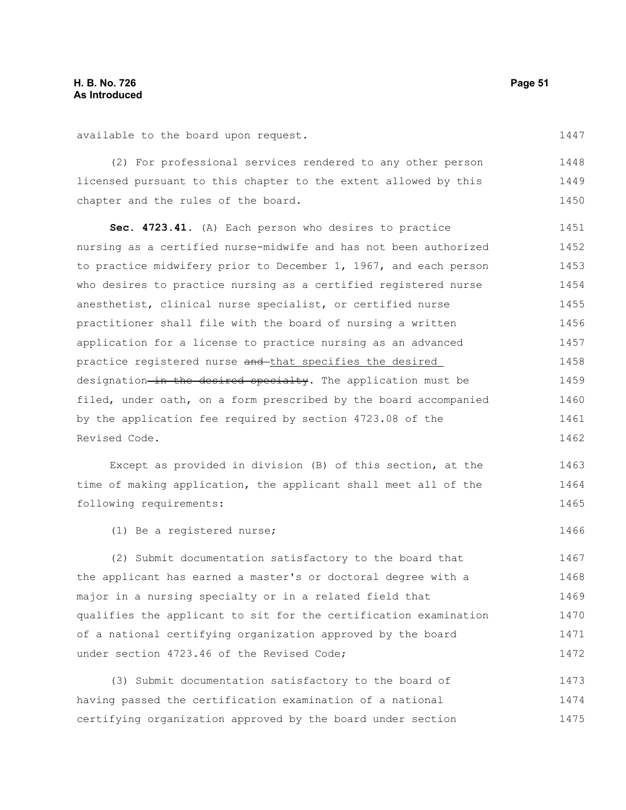1447

1466

available to the board upon request.

(2) For professional services rendered to any other person licensed pursuant to this chapter to the extent allowed by this chapter and the rules of the board. 1448 1449 1450

**Sec. 4723.41.** (A) Each person who desires to practice nursing as a certified nurse-midwife and has not been authorized to practice midwifery prior to December 1, 1967, and each person who desires to practice nursing as a certified registered nurse anesthetist, clinical nurse specialist, or certified nurse practitioner shall file with the board of nursing a written application for a license to practice nursing as an advanced practice registered nurse and that specifies the desired designation in the desired specialty. The application must be filed, under oath, on a form prescribed by the board accompanied by the application fee required by section 4723.08 of the Revised Code. 1451 1452 1453 1454 1455 1456 1457 1458 1459 1460 1461 1462

Except as provided in division (B) of this section, at the time of making application, the applicant shall meet all of the following requirements: 1463 1464 1465

(1) Be a registered nurse;

(2) Submit documentation satisfactory to the board that the applicant has earned a master's or doctoral degree with a major in a nursing specialty or in a related field that qualifies the applicant to sit for the certification examination of a national certifying organization approved by the board under section 4723.46 of the Revised Code; 1467 1468 1469 1470 1471 1472

(3) Submit documentation satisfactory to the board of having passed the certification examination of a national certifying organization approved by the board under section 1473 1474 1475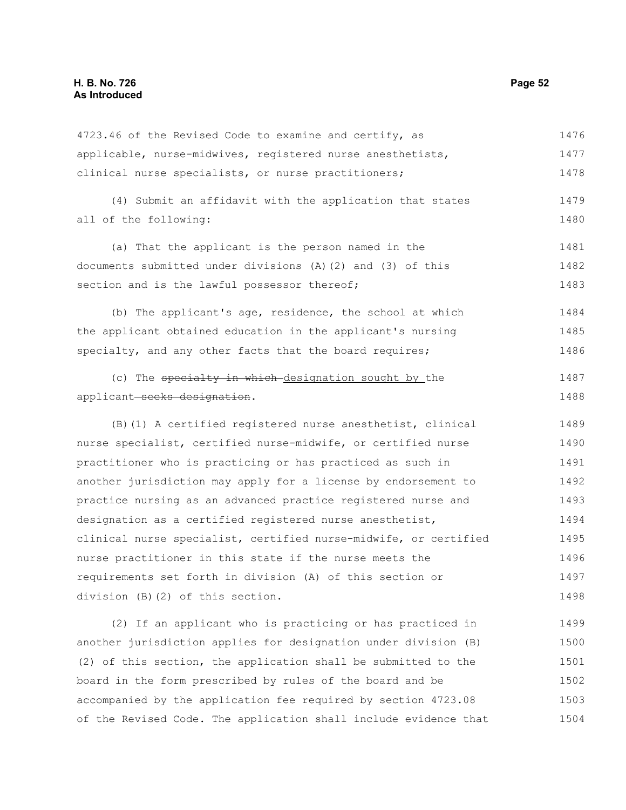4723.46 of the Revised Code to examine and certify, as applicable, nurse-midwives, registered nurse anesthetists, clinical nurse specialists, or nurse practitioners; (4) Submit an affidavit with the application that states all of the following: (a) That the applicant is the person named in the documents submitted under divisions (A)(2) and (3) of this section and is the lawful possessor thereof; (b) The applicant's age, residence, the school at which the applicant obtained education in the applicant's nursing specialty, and any other facts that the board requires; (c) The specialty in which designation sought by the applicant-seeks designation. (B)(1) A certified registered nurse anesthetist, clinical nurse specialist, certified nurse-midwife, or certified nurse practitioner who is practicing or has practiced as such in another jurisdiction may apply for a license by endorsement to practice nursing as an advanced practice registered nurse and designation as a certified registered nurse anesthetist, clinical nurse specialist, certified nurse-midwife, or certified nurse practitioner in this state if the nurse meets the requirements set forth in division (A) of this section or division (B)(2) of this section. (2) If an applicant who is practicing or has practiced in 1476 1477 1478 1479 1480 1481 1482 1483 1484 1485 1486 1487 1488 1489 1490 1491 1492 1493 1494 1495 1496 1497 1498 1499

another jurisdiction applies for designation under division (B) (2) of this section, the application shall be submitted to the board in the form prescribed by rules of the board and be accompanied by the application fee required by section 4723.08 of the Revised Code. The application shall include evidence that 1500 1501 1502 1503 1504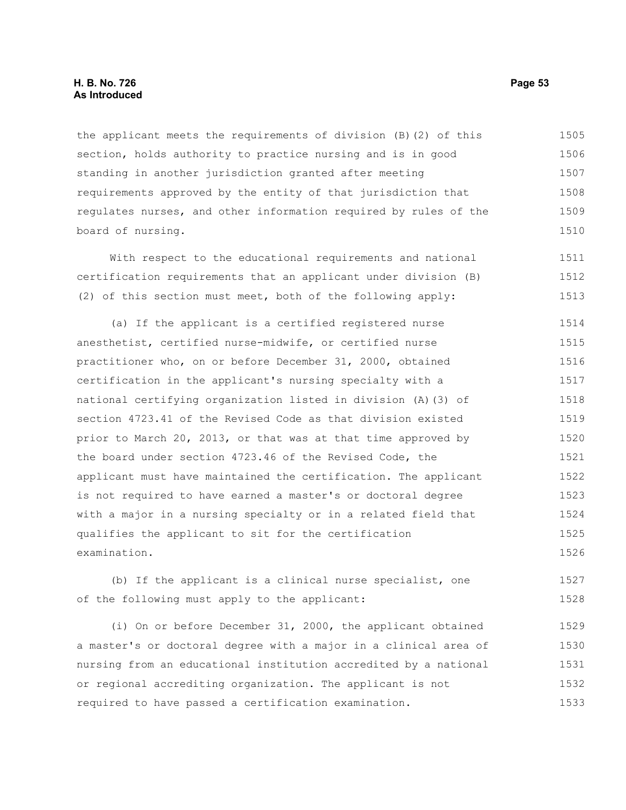## **H. B. No. 726 Page 53 As Introduced**

the applicant meets the requirements of division (B)(2) of this section, holds authority to practice nursing and is in good standing in another jurisdiction granted after meeting requirements approved by the entity of that jurisdiction that regulates nurses, and other information required by rules of the board of nursing. 1505 1506 1507 1508 1509 1510

With respect to the educational requirements and national certification requirements that an applicant under division (B) (2) of this section must meet, both of the following apply: 1511 1512 1513

(a) If the applicant is a certified registered nurse anesthetist, certified nurse-midwife, or certified nurse practitioner who, on or before December 31, 2000, obtained certification in the applicant's nursing specialty with a national certifying organization listed in division (A)(3) of section 4723.41 of the Revised Code as that division existed prior to March 20, 2013, or that was at that time approved by the board under section 4723.46 of the Revised Code, the applicant must have maintained the certification. The applicant is not required to have earned a master's or doctoral degree with a major in a nursing specialty or in a related field that qualifies the applicant to sit for the certification examination. 1514 1515 1516 1517 1518 1519 1520 1521 1522 1523 1524 1525 1526

(b) If the applicant is a clinical nurse specialist, one of the following must apply to the applicant: 1527 1528

(i) On or before December 31, 2000, the applicant obtained a master's or doctoral degree with a major in a clinical area of nursing from an educational institution accredited by a national or regional accrediting organization. The applicant is not required to have passed a certification examination. 1529 1530 1531 1532 1533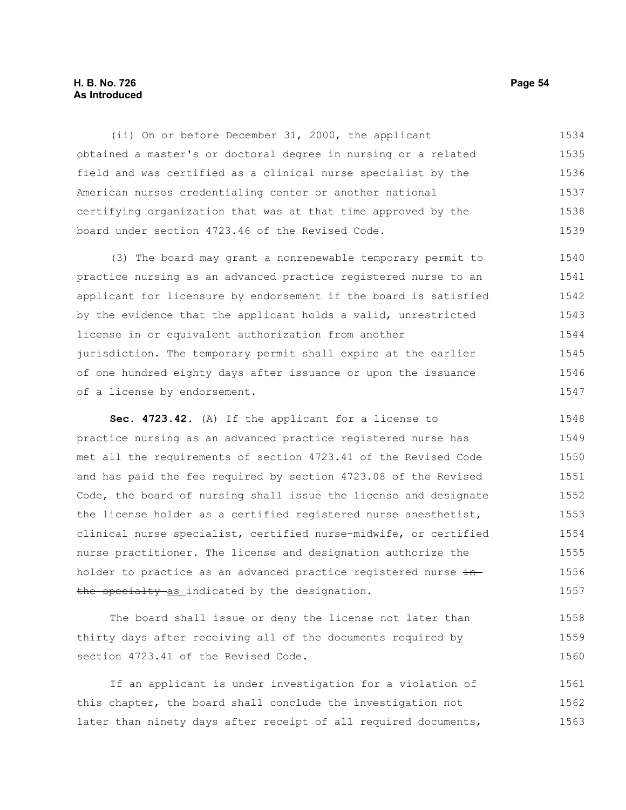# **H. B. No. 726 Page 54 As Introduced**

(ii) On or before December 31, 2000, the applicant obtained a master's or doctoral degree in nursing or a related field and was certified as a clinical nurse specialist by the American nurses credentialing center or another national certifying organization that was at that time approved by the board under section 4723.46 of the Revised Code. 1534 1535 1536 1537 1538 1539

(3) The board may grant a nonrenewable temporary permit to practice nursing as an advanced practice registered nurse to an applicant for licensure by endorsement if the board is satisfied by the evidence that the applicant holds a valid, unrestricted license in or equivalent authorization from another jurisdiction. The temporary permit shall expire at the earlier of one hundred eighty days after issuance or upon the issuance of a license by endorsement. 1540 1541 1542 1543 1544 1545 1546 1547

**Sec. 4723.42.** (A) If the applicant for a license to practice nursing as an advanced practice registered nurse has met all the requirements of section 4723.41 of the Revised Code and has paid the fee required by section 4723.08 of the Revised Code, the board of nursing shall issue the license and designate the license holder as a certified registered nurse anesthetist, clinical nurse specialist, certified nurse-midwife, or certified nurse practitioner. The license and designation authorize the holder to practice as an advanced practice registered nurse inthe specialty as indicated by the designation. 1548 1549 1550 1551 1552 1553 1554 1555 1556 1557

The board shall issue or deny the license not later than thirty days after receiving all of the documents required by section 4723.41 of the Revised Code. 1558 1559 1560

If an applicant is under investigation for a violation of this chapter, the board shall conclude the investigation not later than ninety days after receipt of all required documents, 1561 1562 1563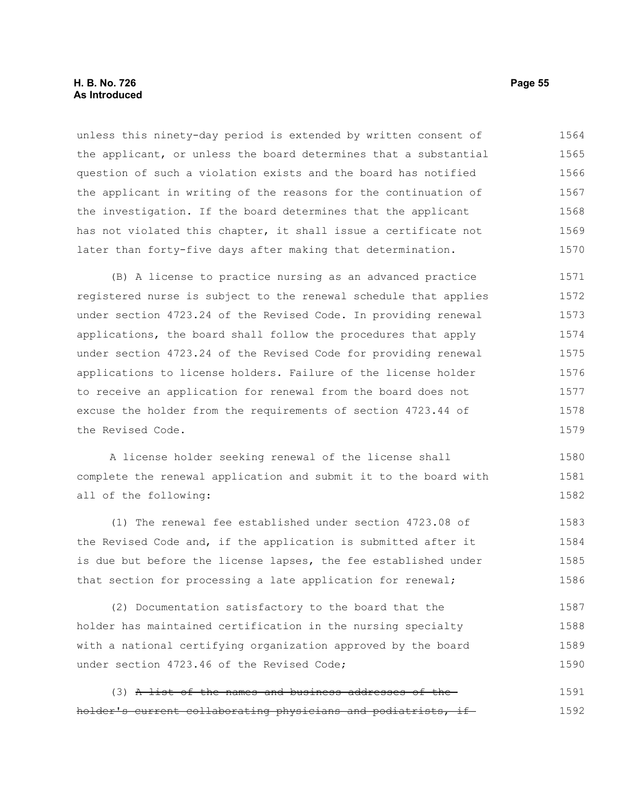# **H. B. No. 726 Page 55 As Introduced**

unless this ninety-day period is extended by written consent of the applicant, or unless the board determines that a substantial question of such a violation exists and the board has notified the applicant in writing of the reasons for the continuation of the investigation. If the board determines that the applicant has not violated this chapter, it shall issue a certificate not later than forty-five days after making that determination. 1564 1565 1566 1567 1568 1569 1570

(B) A license to practice nursing as an advanced practice registered nurse is subject to the renewal schedule that applies under section 4723.24 of the Revised Code. In providing renewal applications, the board shall follow the procedures that apply under section 4723.24 of the Revised Code for providing renewal applications to license holders. Failure of the license holder to receive an application for renewal from the board does not excuse the holder from the requirements of section 4723.44 of the Revised Code. 1571 1572 1573 1574 1575 1576 1577 1578 1579

A license holder seeking renewal of the license shall complete the renewal application and submit it to the board with all of the following:

(1) The renewal fee established under section 4723.08 of the Revised Code and, if the application is submitted after it is due but before the license lapses, the fee established under that section for processing a late application for renewal; 1583 1584 1585 1586

(2) Documentation satisfactory to the board that the holder has maintained certification in the nursing specialty with a national certifying organization approved by the board under section 4723.46 of the Revised Code; 1587 1588 1589 1590

(3) A list of the names and business addresses of the holder's current collaborating physicians and podiatrists, if 1591 1592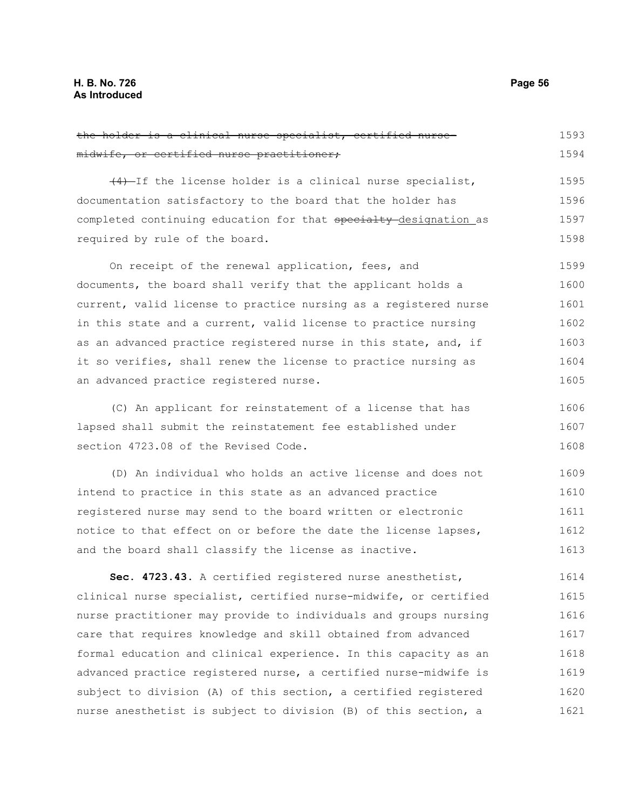## **H. B. No. 726 Page 56 As Introduced**

midwife, or certified nurse practitioner; (4) If the license holder is a clinical nurse specialist, documentation satisfactory to the board that the holder has completed continuing education for that specialty-designation as required by rule of the board. On receipt of the renewal application, fees, and documents, the board shall verify that the applicant holds a current, valid license to practice nursing as a registered nurse in this state and a current, valid license to practice nursing as an advanced practice registered nurse in this state, and, if it so verifies, shall renew the license to practice nursing as an advanced practice registered nurse. (C) An applicant for reinstatement of a license that has lapsed shall submit the reinstatement fee established under section 4723.08 of the Revised Code. (D) An individual who holds an active license and does not intend to practice in this state as an advanced practice registered nurse may send to the board written or electronic notice to that effect on or before the date the license lapses, and the board shall classify the license as inactive. **Sec. 4723.43.** A certified registered nurse anesthetist, clinical nurse specialist, certified nurse-midwife, or certified nurse practitioner may provide to individuals and groups nursing care that requires knowledge and skill obtained from advanced formal education and clinical experience. In this capacity as an advanced practice registered nurse, a certified nurse-midwife is subject to division (A) of this section, a certified registered 1594 1595 1596 1597 1598 1599 1600 1601 1602 1603 1604 1605 1606 1607 1608 1609 1610 1611 1612 1613 1614 1615 1616 1617 1618 1619 1620

nurse anesthetist is subject to division (B) of this section, a

the holder is a clinical nurse specialist, certified nurse-

1593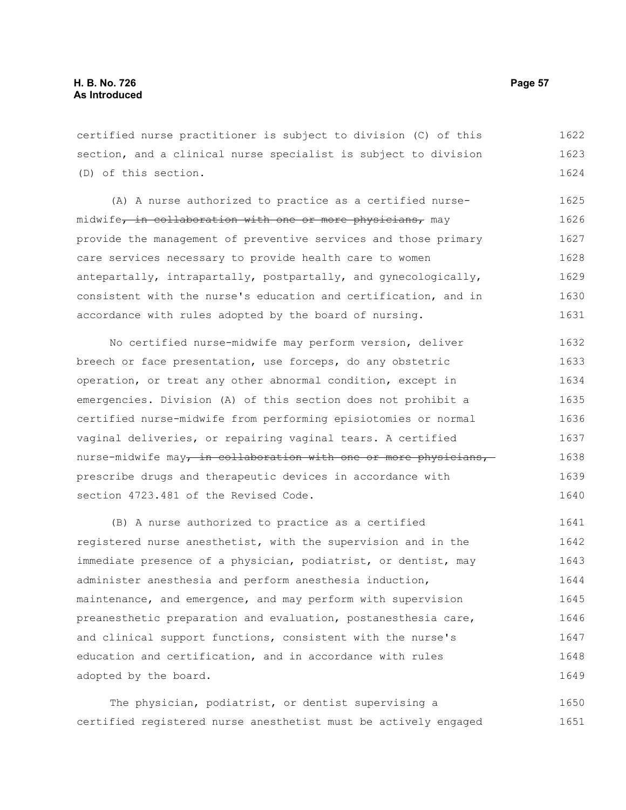certified nurse practitioner is subject to division (C) of this section, and a clinical nurse specialist is subject to division (D) of this section. 1622 1623 1624

(A) A nurse authorized to practice as a certified nursemidwife, in collaboration with one or more physicians, may provide the management of preventive services and those primary care services necessary to provide health care to women antepartally, intrapartally, postpartally, and gynecologically, consistent with the nurse's education and certification, and in accordance with rules adopted by the board of nursing. 1625 1626 1627 1628 1629 1630 1631

No certified nurse-midwife may perform version, deliver breech or face presentation, use forceps, do any obstetric operation, or treat any other abnormal condition, except in emergencies. Division (A) of this section does not prohibit a certified nurse-midwife from performing episiotomies or normal vaginal deliveries, or repairing vaginal tears. A certified nurse-midwife may, in collaboration with one or more physicians, prescribe drugs and therapeutic devices in accordance with section 4723.481 of the Revised Code. 1632 1633 1634 1635 1636 1637 1638 1639 1640

(B) A nurse authorized to practice as a certified registered nurse anesthetist, with the supervision and in the immediate presence of a physician, podiatrist, or dentist, may administer anesthesia and perform anesthesia induction, maintenance, and emergence, and may perform with supervision preanesthetic preparation and evaluation, postanesthesia care, and clinical support functions, consistent with the nurse's education and certification, and in accordance with rules adopted by the board. 1641 1642 1643 1644 1645 1646 1647 1648 1649

The physician, podiatrist, or dentist supervising a certified registered nurse anesthetist must be actively engaged 1650 1651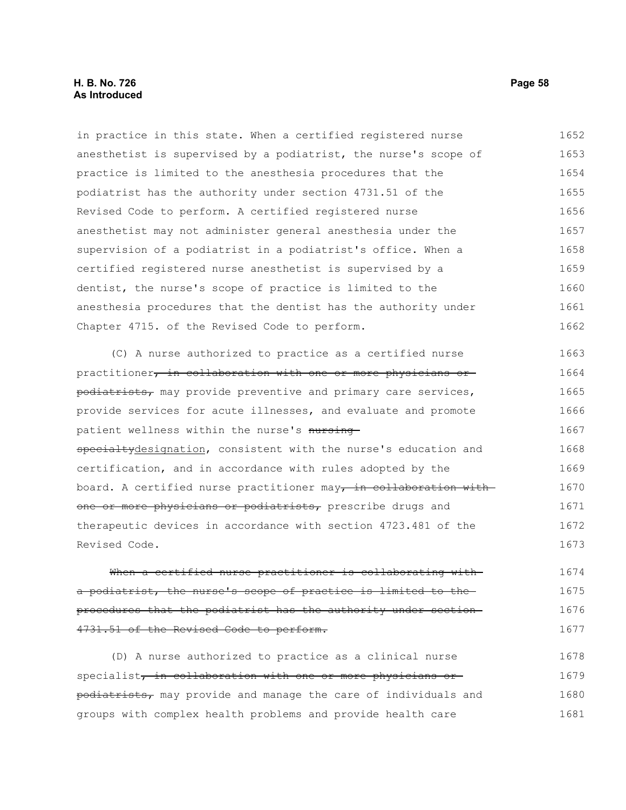in practice in this state. When a certified registered nurse anesthetist is supervised by a podiatrist, the nurse's scope of practice is limited to the anesthesia procedures that the podiatrist has the authority under section 4731.51 of the Revised Code to perform. A certified registered nurse anesthetist may not administer general anesthesia under the supervision of a podiatrist in a podiatrist's office. When a certified registered nurse anesthetist is supervised by a dentist, the nurse's scope of practice is limited to the anesthesia procedures that the dentist has the authority under Chapter 4715. of the Revised Code to perform. 1652 1653 1654 1655 1656 1657 1658 1659 1660 1661 1662

(C) A nurse authorized to practice as a certified nurse practitioner, in collaboration with one or more physicians or podiatrists, may provide preventive and primary care services, provide services for acute illnesses, and evaluate and promote patient wellness within the nurse's nursing specialtydesignation, consistent with the nurse's education and certification, and in accordance with rules adopted by the board. A certified nurse practitioner may, in collaboration with one or more physicians or podiatrists, prescribe drugs and therapeutic devices in accordance with section 4723.481 of the Revised Code. 1663 1664 1665 1666 1667 1668 1669 1670 1671 1672 1673

When a certified nurse practitioner is collaborating with a podiatrist, the nurse's scope of practice is limited to the procedures that the podiatrist has the authority under section 4731.51 of the Revised Code to perform. 1674 1675 1676 1677

(D) A nurse authorized to practice as a clinical nurse specialist, in collaboration with one or more physicians or podiatrists, may provide and manage the care of individuals and groups with complex health problems and provide health care 1678 1679 1680 1681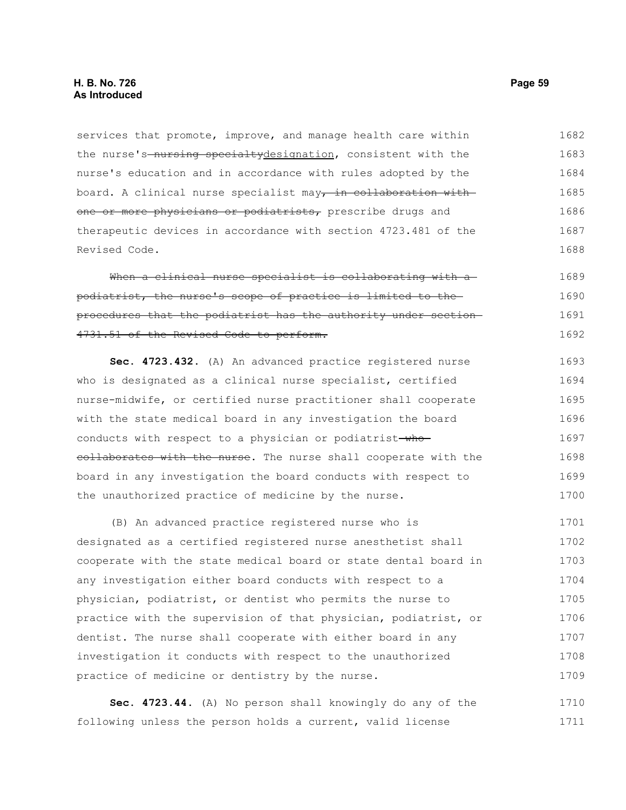services that promote, improve, and manage health care within the nurse's-nursing specialtydesignation, consistent with the nurse's education and in accordance with rules adopted by the board. A clinical nurse specialist may, in collaboration with one or more physicians or podiatrists, prescribe drugs and therapeutic devices in accordance with section 4723.481 of the Revised Code. 1682 1683 1684 1685 1686 1687 1688

When a clinical nurse specialist is collaborating with a podiatrist, the nurse's scope of practice is limited to the procedures that the podiatrist has the authority under section 4731.51 of the Revised Code to perform. 1689 1690 1691 1692

**Sec. 4723.432.** (A) An advanced practice registered nurse who is designated as a clinical nurse specialist, certified nurse-midwife, or certified nurse practitioner shall cooperate with the state medical board in any investigation the board conducts with respect to a physician or podiatrist-whocollaborates with the nurse. The nurse shall cooperate with the board in any investigation the board conducts with respect to the unauthorized practice of medicine by the nurse. 1693 1694 1695 1696 1697 1698 1699 1700

(B) An advanced practice registered nurse who is designated as a certified registered nurse anesthetist shall cooperate with the state medical board or state dental board in any investigation either board conducts with respect to a physician, podiatrist, or dentist who permits the nurse to practice with the supervision of that physician, podiatrist, or dentist. The nurse shall cooperate with either board in any investigation it conducts with respect to the unauthorized practice of medicine or dentistry by the nurse. 1701 1702 1703 1704 1705 1706 1707 1708 1709

**Sec. 4723.44.** (A) No person shall knowingly do any of the following unless the person holds a current, valid license 1710 1711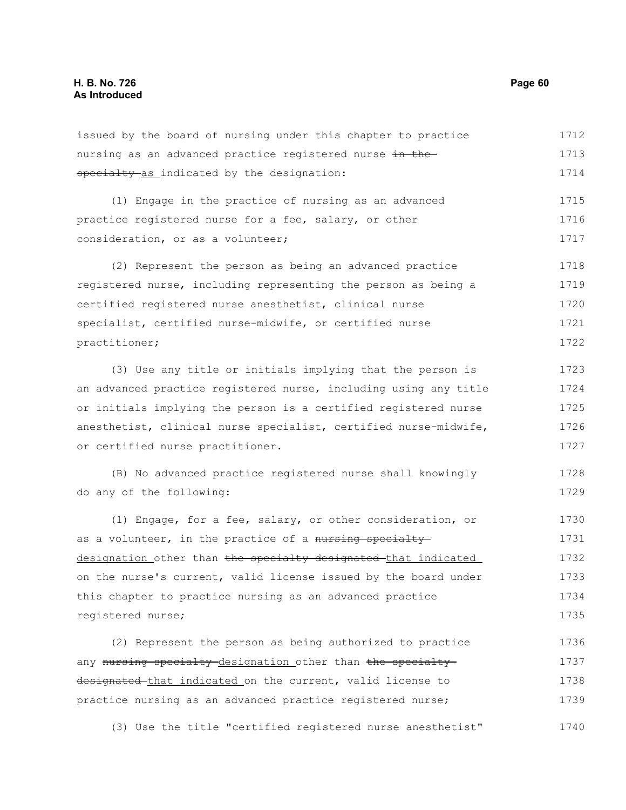issued by the board of nursing under this chapter to practice nursing as an advanced practice registered nurse in the specialty as indicated by the designation: (1) Engage in the practice of nursing as an advanced practice registered nurse for a fee, salary, or other consideration, or as a volunteer; (2) Represent the person as being an advanced practice registered nurse, including representing the person as being a certified registered nurse anesthetist, clinical nurse specialist, certified nurse-midwife, or certified nurse practitioner; (3) Use any title or initials implying that the person is an advanced practice registered nurse, including using any title or initials implying the person is a certified registered nurse anesthetist, clinical nurse specialist, certified nurse-midwife, or certified nurse practitioner. (B) No advanced practice registered nurse shall knowingly do any of the following: (1) Engage, for a fee, salary, or other consideration, or as a volunteer, in the practice of a nursing specialty designation other than the specialty designated that indicated on the nurse's current, valid license issued by the board under this chapter to practice nursing as an advanced practice registered nurse; (2) Represent the person as being authorized to practice any nursing specialty designation other than the specialty designated that indicated on the current, valid license to 1712 1713 1714 1715 1716 1717 1718 1719 1720 1721 1722 1723 1724 1725 1726 1727 1728 1729 1730 1731 1732 1733 1734 1735 1736 1737 1738

(3) Use the title "certified registered nurse anesthetist" 1740

practice nursing as an advanced practice registered nurse;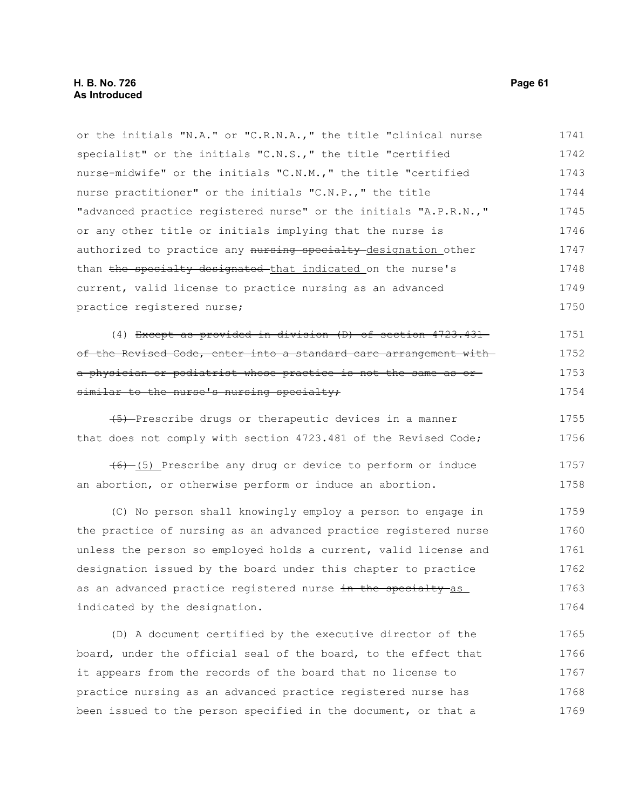or the initials "N.A." or "C.R.N.A.," the title "clinical nurse specialist" or the initials "C.N.S.," the title "certified nurse-midwife" or the initials "C.N.M.," the title "certified nurse practitioner" or the initials "C.N.P.," the title "advanced practice registered nurse" or the initials "A.P.R.N.," or any other title or initials implying that the nurse is authorized to practice any nursing specialty designation other than the specialty designated-that indicated on the nurse's current, valid license to practice nursing as an advanced practice registered nurse; (4) Except as provided in division (D) of section 4723.431 of the Revised Code, enter into a standard care arrangement with a physician or podiatrist whose practice is not the same as or similar to the nurse's nursing specialty; (5) Prescribe drugs or therapeutic devices in a manner that does not comply with section 4723.481 of the Revised Code;  $(6)$   $(5)$  Prescribe any drug or device to perform or induce an abortion, or otherwise perform or induce an abortion. (C) No person shall knowingly employ a person to engage in the practice of nursing as an advanced practice registered nurse unless the person so employed holds a current, valid license and designation issued by the board under this chapter to practice as an advanced practice registered nurse in the specialty as indicated by the designation. (D) A document certified by the executive director of the board, under the official seal of the board, to the effect that it appears from the records of the board that no license to 1741 1742 1743 1744 1745 1746 1747 1748 1749 1750 1751 1752 1753 1754 1755 1756 1757 1758 1759 1760 1761 1762 1763 1764 1765 1766 1767

practice nursing as an advanced practice registered nurse has been issued to the person specified in the document, or that a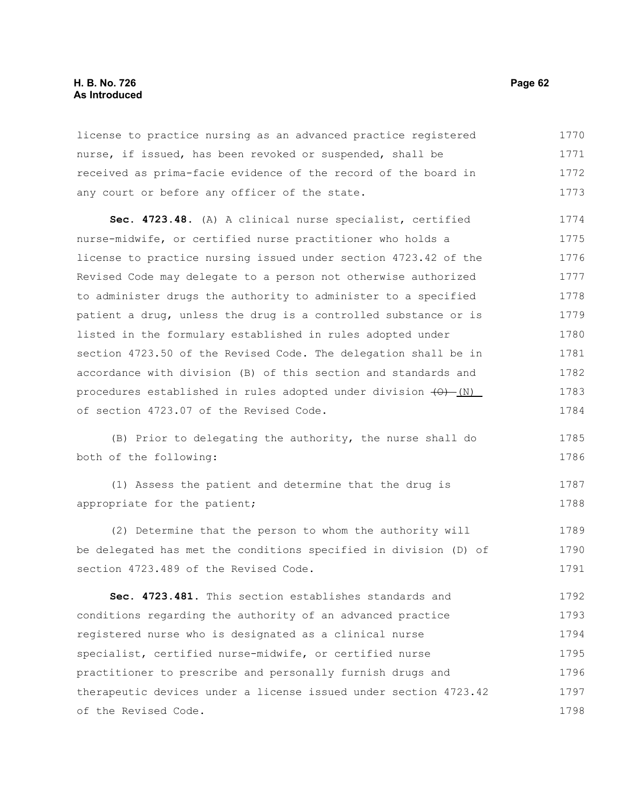# **H. B. No. 726 Page 62 As Introduced**

license to practice nursing as an advanced practice registered nurse, if issued, has been revoked or suspended, shall be received as prima-facie evidence of the record of the board in any court or before any officer of the state. 1770 1771 1772 1773

**Sec. 4723.48.** (A) A clinical nurse specialist, certified nurse-midwife, or certified nurse practitioner who holds a license to practice nursing issued under section 4723.42 of the Revised Code may delegate to a person not otherwise authorized to administer drugs the authority to administer to a specified patient a drug, unless the drug is a controlled substance or is listed in the formulary established in rules adopted under section 4723.50 of the Revised Code. The delegation shall be in accordance with division (B) of this section and standards and procedures established in rules adopted under division  $\Theta$  (N) of section 4723.07 of the Revised Code. 1774 1775 1776 1777 1778 1779 1780 1781 1782 1783 1784

(B) Prior to delegating the authority, the nurse shall do both of the following:

(1) Assess the patient and determine that the drug is appropriate for the patient; 1787 1788

(2) Determine that the person to whom the authority will be delegated has met the conditions specified in division (D) of section 4723.489 of the Revised Code. 1789 1790 1791

**Sec. 4723.481.** This section establishes standards and conditions regarding the authority of an advanced practice registered nurse who is designated as a clinical nurse specialist, certified nurse-midwife, or certified nurse practitioner to prescribe and personally furnish drugs and therapeutic devices under a license issued under section 4723.42 of the Revised Code. 1792 1793 1794 1795 1796 1797 1798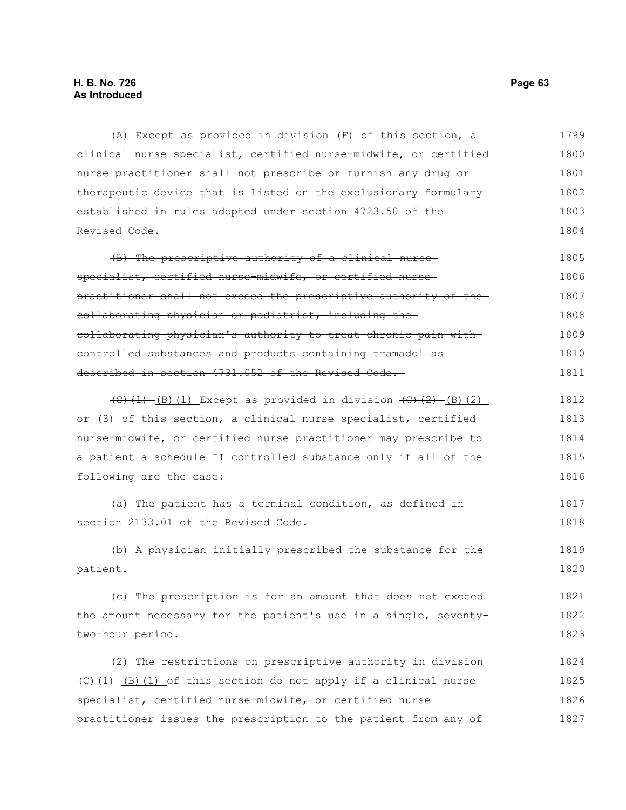(A) Except as provided in division (F) of this section, a clinical nurse specialist, certified nurse-midwife, or certified nurse practitioner shall not prescribe or furnish any drug or therapeutic device that is listed on the exclusionary formulary established in rules adopted under section 4723.50 of the Revised Code. 1799 1800 1801 1802 1803 1804

(B) The prescriptive authority of a clinical nurse specialist, certified nurse-midwife, or certified nurse practitioner shall not exceed the prescriptive authority of the collaborating physician or podiatrist, including the collaborating physician's authority to treat chronic pain with controlled substances and products containing tramadol as described in section 4731.052 of the Revised Code. 1805 1806 1807 1808 1809 1810 1811

 $\left( \frac{C}{1} \right)$  (B)(1) Except as provided in division  $\left( \frac{C}{2} \right)$  (2) (2) or (3) of this section, a clinical nurse specialist, certified nurse-midwife, or certified nurse practitioner may prescribe to a patient a schedule II controlled substance only if all of the following are the case: 1812 1813 1814 1815 1816

(a) The patient has a terminal condition, as defined in section 2133.01 of the Revised Code. 1817 1818

(b) A physician initially prescribed the substance for the patient. 1819 1820

(c) The prescription is for an amount that does not exceed the amount necessary for the patient's use in a single, seventytwo-hour period. 1821 1822 1823

(2) The restrictions on prescriptive authority in division  $\left(\frac{1}{2}\right)$  (B)(1) of this section do not apply if a clinical nurse specialist, certified nurse-midwife, or certified nurse practitioner issues the prescription to the patient from any of 1824 1825 1826 1827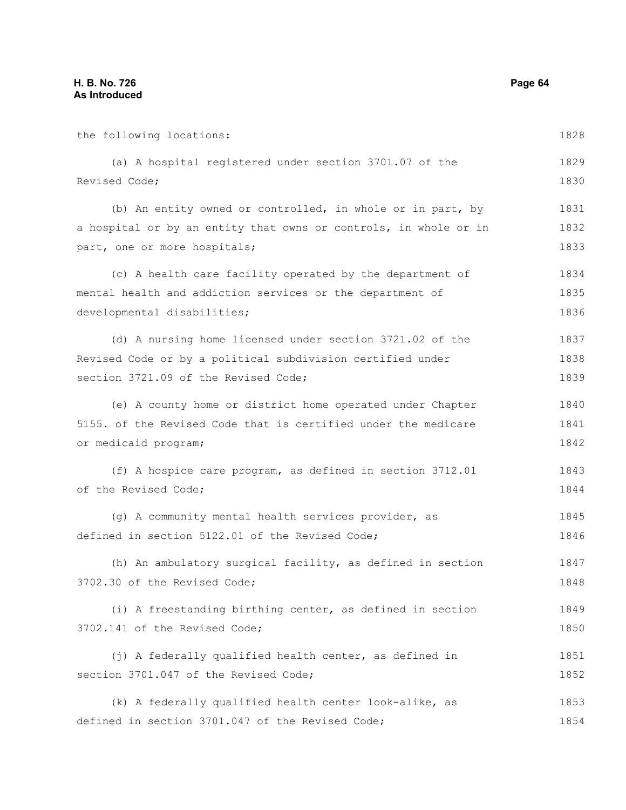| the following locations:                                         | 1828 |
|------------------------------------------------------------------|------|
| (a) A hospital registered under section 3701.07 of the           | 1829 |
| Revised Code;                                                    | 1830 |
| (b) An entity owned or controlled, in whole or in part, by       | 1831 |
| a hospital or by an entity that owns or controls, in whole or in | 1832 |
| part, one or more hospitals;                                     | 1833 |
| (c) A health care facility operated by the department of         | 1834 |
| mental health and addiction services or the department of        | 1835 |
| developmental disabilities;                                      | 1836 |
| (d) A nursing home licensed under section 3721.02 of the         | 1837 |
| Revised Code or by a political subdivision certified under       | 1838 |
| section 3721.09 of the Revised Code;                             | 1839 |
| (e) A county home or district home operated under Chapter        | 1840 |
| 5155. of the Revised Code that is certified under the medicare   | 1841 |
| or medicaid program;                                             | 1842 |
| (f) A hospice care program, as defined in section 3712.01        | 1843 |
| of the Revised Code;                                             | 1844 |
| (g) A community mental health services provider, as              | 1845 |
| defined in section 5122.01 of the Revised Code;                  | 1846 |
| (h) An ambulatory surgical facility, as defined in section       | 1847 |
| 3702.30 of the Revised Code;                                     | 1848 |
| (i) A freestanding birthing center, as defined in section        | 1849 |
| 3702.141 of the Revised Code;                                    | 1850 |
| (j) A federally qualified health center, as defined in           | 1851 |
| section 3701.047 of the Revised Code;                            | 1852 |
| (k) A federally qualified health center look-alike, as           | 1853 |
| defined in section 3701.047 of the Revised Code;                 | 1854 |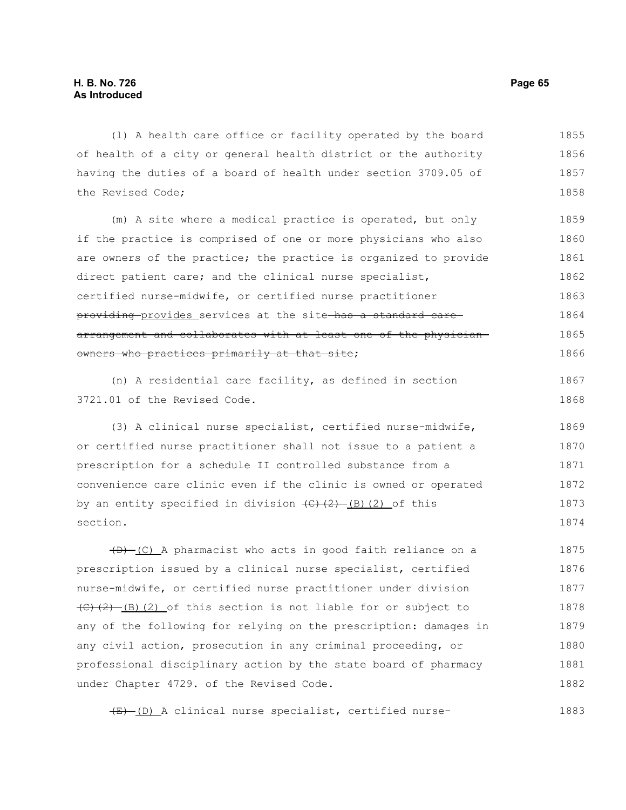(l) A health care office or facility operated by the board of health of a city or general health district or the authority having the duties of a board of health under section 3709.05 of the Revised Code; 1855 1856 1857 1858

(m) A site where a medical practice is operated, but only if the practice is comprised of one or more physicians who also are owners of the practice; the practice is organized to provide direct patient care; and the clinical nurse specialist, certified nurse-midwife, or certified nurse practitioner providing provides services at the site has a standard care arrangement and collaborates with at least one of the physician owners who practices primarily at that site; 1859 1860 1861 1862 1863 1864 1865 1866

(n) A residential care facility, as defined in section 3721.01 of the Revised Code. 1867 1868

(3) A clinical nurse specialist, certified nurse-midwife, or certified nurse practitioner shall not issue to a patient a prescription for a schedule II controlled substance from a convenience care clinic even if the clinic is owned or operated by an entity specified in division  $\overline{(C)(2) - (B)(2)}$  of this section. 1869 1870 1871 1872 1873 1874

(D) (C) A pharmacist who acts in good faith reliance on a prescription issued by a clinical nurse specialist, certified nurse-midwife, or certified nurse practitioner under division  $\left(\frac{1}{2}\right)$  (B)(2) of this section is not liable for or subject to any of the following for relying on the prescription: damages in any civil action, prosecution in any criminal proceeding, or professional disciplinary action by the state board of pharmacy under Chapter 4729. of the Revised Code. 1875 1876 1877 1878 1879 1880 1881 1882

 $(E)$  (D) A clinical nurse specialist, certified nurse-1883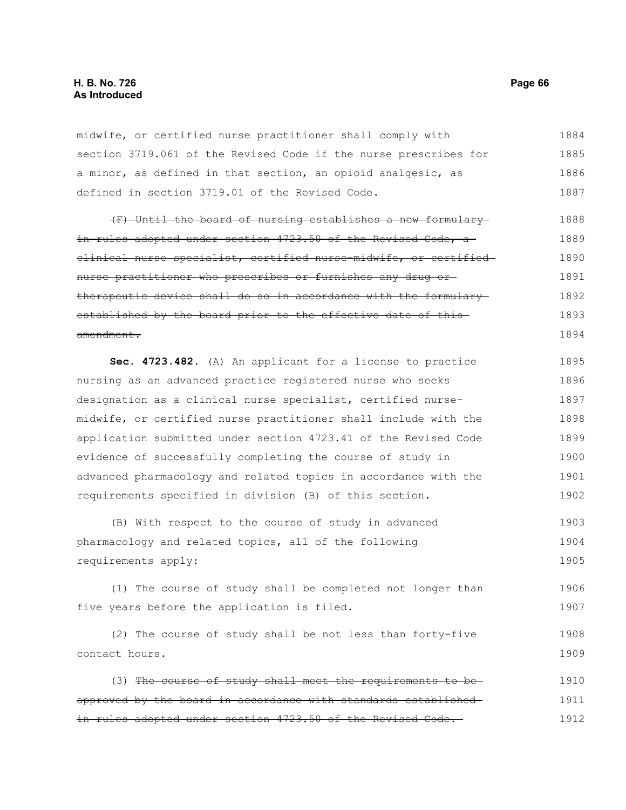midwife, or certified nurse practitioner shall comply with section 3719.061 of the Revised Code if the nurse prescribes for a minor, as defined in that section, an opioid analgesic, as defined in section 3719.01 of the Revised Code. 1884 1885 1886 1887

(F) Until the board of nursing establishes a new formulary in rules adopted under section 4723.50 of the Revised Code, a clinical nurse specialist, certified nurse-midwife, or certified nurse practitioner who prescribes or furnishes any drug or therapeutic device shall do so in accordance with the formulary established by the board prior to the effective date of this amendment. 1888 1889 1890 1891 1892 1893 1894

**Sec. 4723.482.** (A) An applicant for a license to practice nursing as an advanced practice registered nurse who seeks designation as a clinical nurse specialist, certified nursemidwife, or certified nurse practitioner shall include with the application submitted under section 4723.41 of the Revised Code evidence of successfully completing the course of study in advanced pharmacology and related topics in accordance with the requirements specified in division (B) of this section. 1895 1896 1897 1898 1899 1900 1901 1902

(B) With respect to the course of study in advanced pharmacology and related topics, all of the following requirements apply: 1903 1904 1905

(1) The course of study shall be completed not longer than five years before the application is filed. 1906 1907

(2) The course of study shall be not less than forty-five contact hours. 1908 1909

(3) The course of study shall meet the requirements to beapproved by the board in accordance with standards established in rules adopted under section 4723.50 of the Revised Code. 1910 1911 1912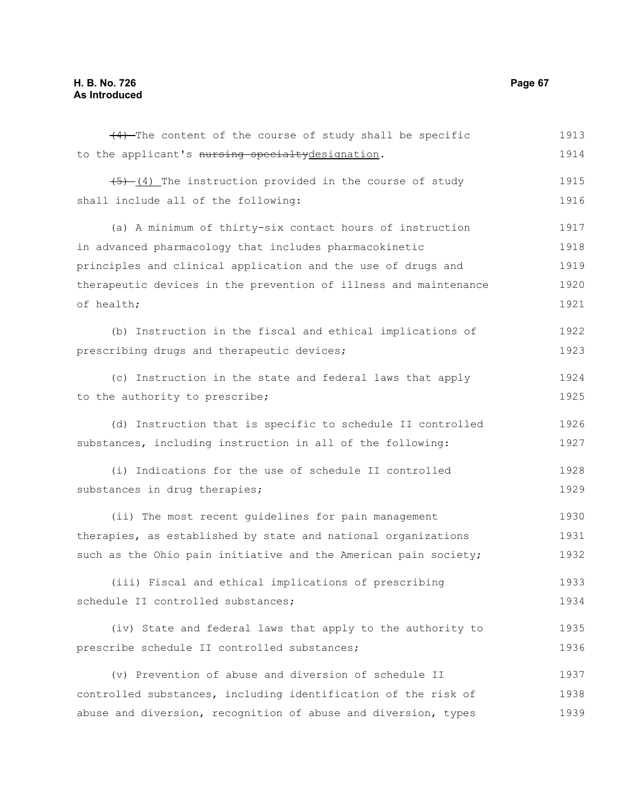$(4)$ -The content of the course of study shall be specific to the applicant's nursing specialtydesignation.  $(4)$  The instruction provided in the course of study shall include all of the following: (a) A minimum of thirty-six contact hours of instruction in advanced pharmacology that includes pharmacokinetic principles and clinical application and the use of drugs and therapeutic devices in the prevention of illness and maintenance of health; (b) Instruction in the fiscal and ethical implications of prescribing drugs and therapeutic devices; (c) Instruction in the state and federal laws that apply to the authority to prescribe; (d) Instruction that is specific to schedule II controlled substances, including instruction in all of the following: (i) Indications for the use of schedule II controlled substances in drug therapies; (ii) The most recent guidelines for pain management therapies, as established by state and national organizations such as the Ohio pain initiative and the American pain society; (iii) Fiscal and ethical implications of prescribing schedule II controlled substances; (iv) State and federal laws that apply to the authority to prescribe schedule II controlled substances; (v) Prevention of abuse and diversion of schedule II controlled substances, including identification of the risk of abuse and diversion, recognition of abuse and diversion, types 1913 1914 1915 1916 1917 1918 1919 1920 1921 1922 1923 1924 1925 1926 1927 1928 1929 1930 1931 1932 1933 1934 1935 1936 1937 1938 1939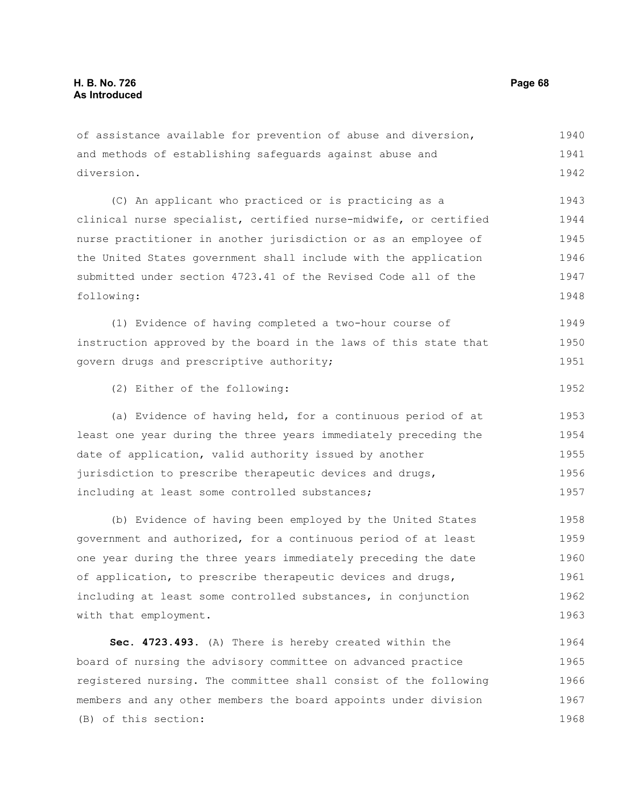| of assistance available for prevention of abuse and diversion,   | 1940 |
|------------------------------------------------------------------|------|
| and methods of establishing safeguards against abuse and         | 1941 |
| diversion.                                                       | 1942 |
| (C) An applicant who practiced or is practicing as a             | 1943 |
| clinical nurse specialist, certified nurse-midwife, or certified | 1944 |
| nurse practitioner in another jurisdiction or as an employee of  | 1945 |
| the United States government shall include with the application  | 1946 |
| submitted under section 4723.41 of the Revised Code all of the   | 1947 |
| following:                                                       | 1948 |
| (1) Evidence of having completed a two-hour course of            | 1949 |
| instruction approved by the board in the laws of this state that | 1950 |
| govern drugs and prescriptive authority;                         | 1951 |
| (2) Either of the following:                                     | 1952 |
| (a) Evidence of having held, for a continuous period of at       | 1953 |
| least one year during the three years immediately preceding the  | 1954 |
| date of application, valid authority issued by another           | 1955 |
| jurisdiction to prescribe therapeutic devices and drugs,         | 1956 |
| including at least some controlled substances;                   | 1957 |
| (b) Evidence of having been employed by the United States        | 1958 |
| government and authorized, for a continuous period of at least   | 1959 |
| one year during the three years immediately preceding the date   | 1960 |
| of application, to prescribe therapeutic devices and drugs,      | 1961 |
| including at least some controlled substances, in conjunction    | 1962 |
| with that employment.                                            | 1963 |
| Sec. 4723.493. (A) There is hereby created within the            | 1964 |
| board of nursing the advisory committee on advanced practice     | 1965 |
| registered nursing. The committee shall consist of the following | 1966 |
| members and any other members the board appoints under division  | 1967 |
| (B) of this section:                                             | 1968 |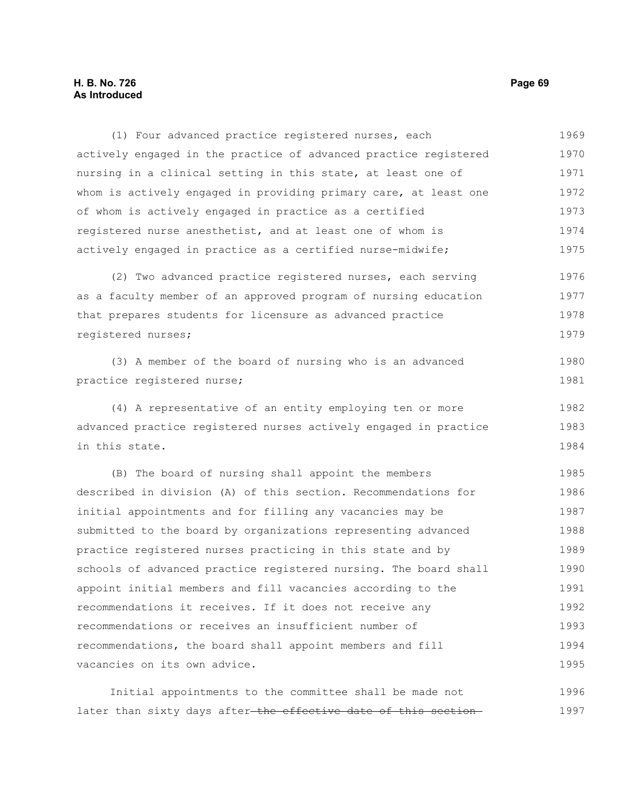# **H. B. No. 726 Page 69 As Introduced**

(1) Four advanced practice registered nurses, each actively engaged in the practice of advanced practice registered nursing in a clinical setting in this state, at least one of whom is actively engaged in providing primary care, at least one of whom is actively engaged in practice as a certified registered nurse anesthetist, and at least one of whom is actively engaged in practice as a certified nurse-midwife; 1969 1970 1971 1972 1973 1974 1975

(2) Two advanced practice registered nurses, each serving as a faculty member of an approved program of nursing education that prepares students for licensure as advanced practice registered nurses; 1976 1977 1978 1979

(3) A member of the board of nursing who is an advanced practice registered nurse; 1980 1981

(4) A representative of an entity employing ten or more advanced practice registered nurses actively engaged in practice in this state. 1982 1983 1984

(B) The board of nursing shall appoint the members described in division (A) of this section. Recommendations for initial appointments and for filling any vacancies may be submitted to the board by organizations representing advanced practice registered nurses practicing in this state and by schools of advanced practice registered nursing. The board shall appoint initial members and fill vacancies according to the recommendations it receives. If it does not receive any recommendations or receives an insufficient number of recommendations, the board shall appoint members and fill vacancies on its own advice. 1985 1986 1987 1988 1989 1990 1991 1992 1993 1994 1995

Initial appointments to the committee shall be made not later than sixty days after-the effective date of this section-1996 1997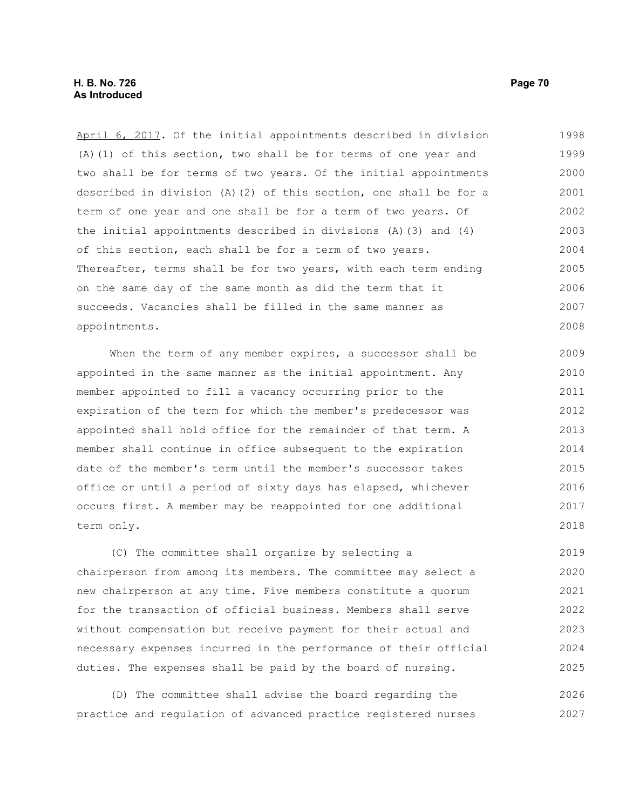April 6, 2017. Of the initial appointments described in division (A)(1) of this section, two shall be for terms of one year and two shall be for terms of two years. Of the initial appointments described in division (A)(2) of this section, one shall be for a term of one year and one shall be for a term of two years. Of the initial appointments described in divisions (A)(3) and (4) of this section, each shall be for a term of two years. Thereafter, terms shall be for two years, with each term ending on the same day of the same month as did the term that it succeeds. Vacancies shall be filled in the same manner as appointments. 1998 1999 2000 2001 2002 2003 2004 2005 2006 2007 2008

When the term of any member expires, a successor shall be appointed in the same manner as the initial appointment. Any member appointed to fill a vacancy occurring prior to the expiration of the term for which the member's predecessor was appointed shall hold office for the remainder of that term. A member shall continue in office subsequent to the expiration date of the member's term until the member's successor takes office or until a period of sixty days has elapsed, whichever occurs first. A member may be reappointed for one additional term only. 2009 2010 2011 2012 2013 2014 2015 2016 2017 2018

(C) The committee shall organize by selecting a chairperson from among its members. The committee may select a new chairperson at any time. Five members constitute a quorum for the transaction of official business. Members shall serve without compensation but receive payment for their actual and necessary expenses incurred in the performance of their official duties. The expenses shall be paid by the board of nursing. 2019 2020 2021 2022 2023 2024 2025

(D) The committee shall advise the board regarding the practice and regulation of advanced practice registered nurses 2026 2027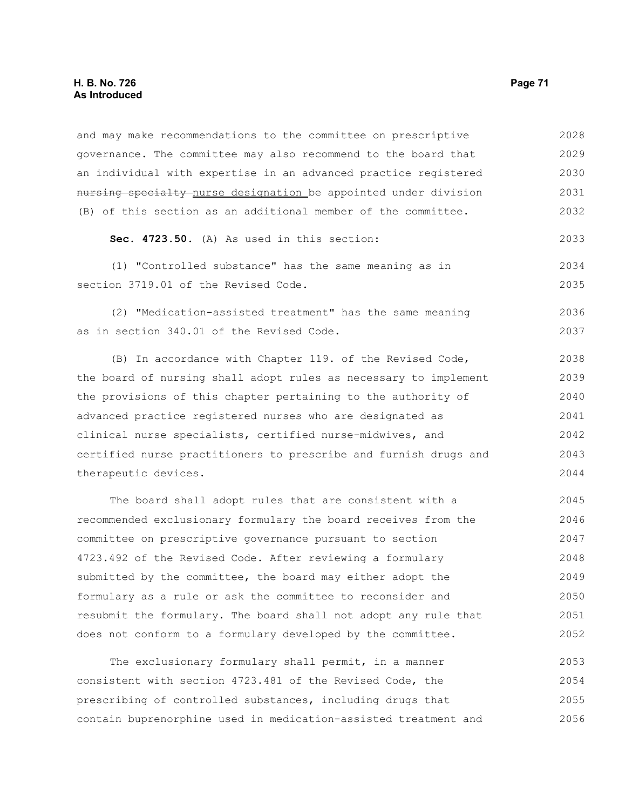and may make recommendations to the committee on prescriptive governance. The committee may also recommend to the board that an individual with expertise in an advanced practice registered nursing specialty nurse designation be appointed under division (B) of this section as an additional member of the committee. 2028 2029 2030 2031 2032

**Sec. 4723.50.** (A) As used in this section:

(1) "Controlled substance" has the same meaning as in section 3719.01 of the Revised Code. 2034 2035

(2) "Medication-assisted treatment" has the same meaning as in section 340.01 of the Revised Code. 2036 2037

(B) In accordance with Chapter 119. of the Revised Code, the board of nursing shall adopt rules as necessary to implement the provisions of this chapter pertaining to the authority of advanced practice registered nurses who are designated as clinical nurse specialists, certified nurse-midwives, and certified nurse practitioners to prescribe and furnish drugs and therapeutic devices. 2038 2039 2040 2041 2042 2043 2044

The board shall adopt rules that are consistent with a recommended exclusionary formulary the board receives from the committee on prescriptive governance pursuant to section 4723.492 of the Revised Code. After reviewing a formulary submitted by the committee, the board may either adopt the formulary as a rule or ask the committee to reconsider and resubmit the formulary. The board shall not adopt any rule that does not conform to a formulary developed by the committee. 2045 2046 2047 2048 2049 2050 2051 2052

The exclusionary formulary shall permit, in a manner consistent with section 4723.481 of the Revised Code, the prescribing of controlled substances, including drugs that contain buprenorphine used in medication-assisted treatment and 2053 2054 2055 2056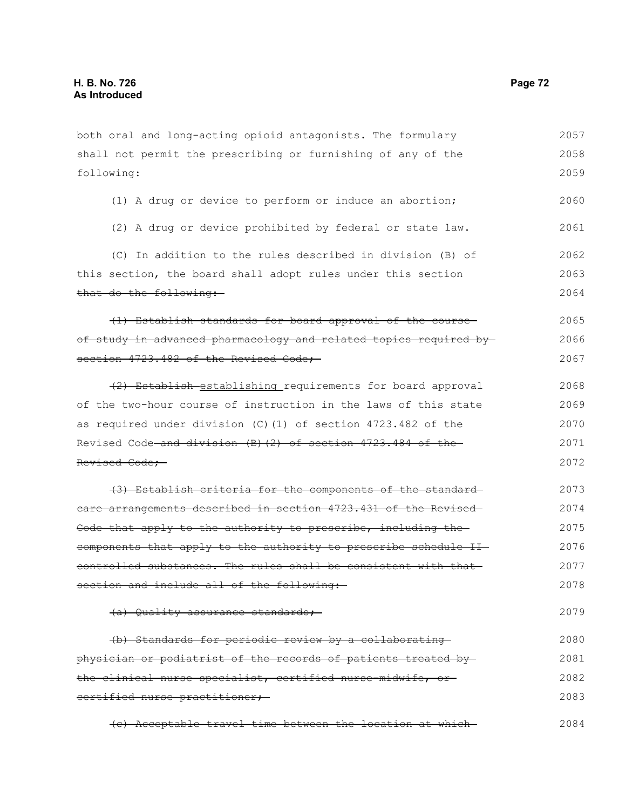both oral and long-acting opioid antagonists. The formulary shall not permit the prescribing or furnishing of any of the following: (1) A drug or device to perform or induce an abortion; (2) A drug or device prohibited by federal or state law. (C) In addition to the rules described in division (B) of this section, the board shall adopt rules under this section that do the following: (1) Establish standards for board approval of the course of study in advanced pharmacology and related topics required by section 4723.482 of the Revised Code; (2) Establish establishing requirements for board approval of the two-hour course of instruction in the laws of this state as required under division (C)(1) of section 4723.482 of the Revised Code and division (B)(2) of section 4723.484 of the Revised Code:-(3) Establish criteria for the components of the standard care arrangements described in section 4723.431 of the Revised Code that apply to the authority to prescribe, including the components that apply to the authority to prescribe schedule II controlled substances. The rules shall be consistent with thatsection and include all of the following: (a) Quality assurance standards; (b) Standards for periodic review by a collaborating physician or podiatrist of the records of patients treated by the clinical nurse specialist, certified nurse-midwife, or certified nurse practitioner; (c) Acceptable travel time between the location at which 2057 2058 2059 2060 2061 2062 2063 2064 2065 2066 2067 2068 2069 2070 2071 2072 2073 2074 2075 2076 2077 2078 2079 2080 2081 2082 2083 2084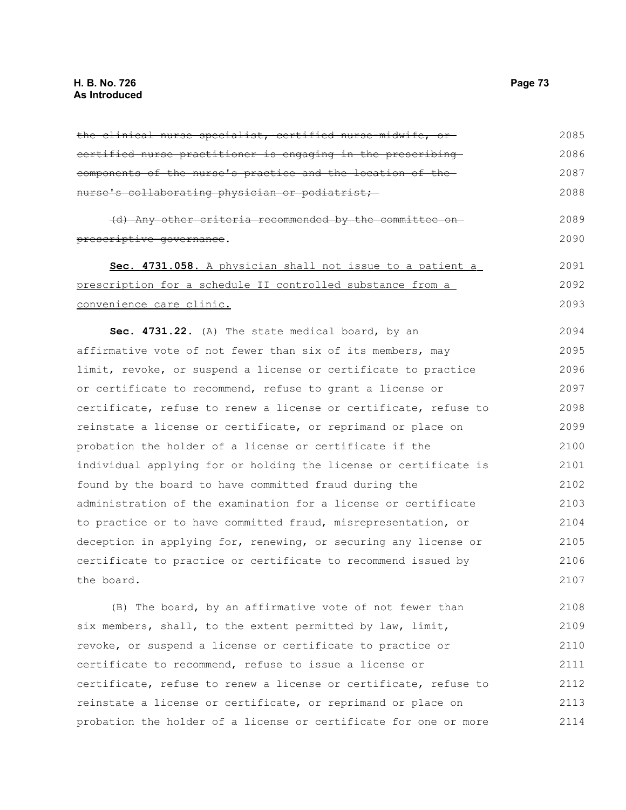the clinical nurse specialist, certified nurse-midwife, or certified nurse practitioner is engaging in the prescribing components of the nurse's practice and the location of the nurse's collaborating physician or podiatrist; (d) Any other criteria recommended by the committee on prescriptive governance. **Sec. 4731.058.** A physician shall not issue to a patient a prescription for a schedule II controlled substance from a convenience care clinic. **Sec. 4731.22.** (A) The state medical board, by an affirmative vote of not fewer than six of its members, may limit, revoke, or suspend a license or certificate to practice or certificate to recommend, refuse to grant a license or certificate, refuse to renew a license or certificate, refuse to reinstate a license or certificate, or reprimand or place on probation the holder of a license or certificate if the individual applying for or holding the license or certificate is found by the board to have committed fraud during the administration of the examination for a license or certificate to practice or to have committed fraud, misrepresentation, or deception in applying for, renewing, or securing any license or certificate to practice or certificate to recommend issued by the board. (B) The board, by an affirmative vote of not fewer than 2085 2086 2087 2088 2089 2090 2091 2092 2093 2094 2095 2096 2097 2098 2099 2100 2101 2102 2103 2104 2105 2106 2107 2108

six members, shall, to the extent permitted by law, limit, revoke, or suspend a license or certificate to practice or certificate to recommend, refuse to issue a license or certificate, refuse to renew a license or certificate, refuse to reinstate a license or certificate, or reprimand or place on probation the holder of a license or certificate for one or more 2109 2110 2111 2112 2113 2114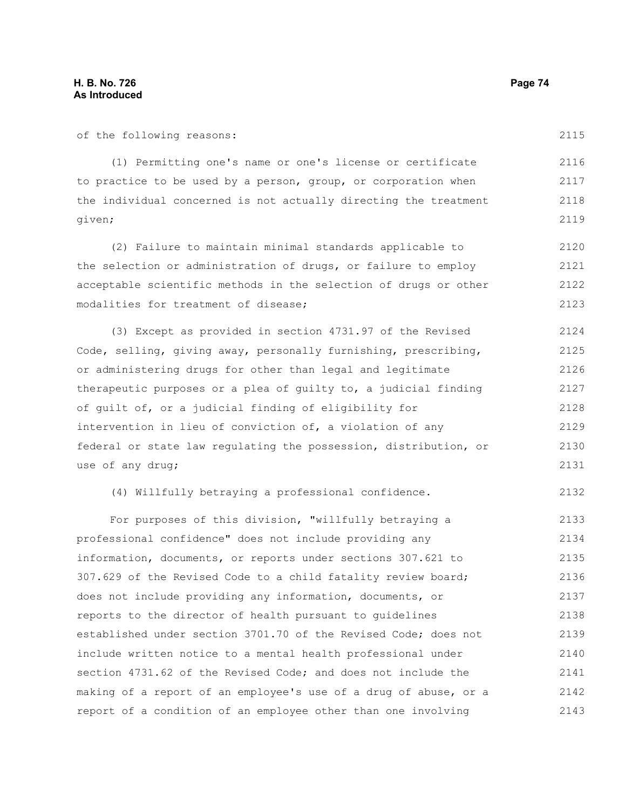of the following reasons:

(1) Permitting one's name or one's license or certificate to practice to be used by a person, group, or corporation when the individual concerned is not actually directing the treatment given; 2116 2117 2118 2119

(2) Failure to maintain minimal standards applicable to the selection or administration of drugs, or failure to employ acceptable scientific methods in the selection of drugs or other modalities for treatment of disease; 2120 2121 2122 2123

(3) Except as provided in section 4731.97 of the Revised Code, selling, giving away, personally furnishing, prescribing, or administering drugs for other than legal and legitimate therapeutic purposes or a plea of guilty to, a judicial finding of guilt of, or a judicial finding of eligibility for intervention in lieu of conviction of, a violation of any federal or state law regulating the possession, distribution, or use of any drug; 2124 2125 2126 2127 2128 2129 2130 2131

(4) Willfully betraying a professional confidence.

For purposes of this division, "willfully betraying a professional confidence" does not include providing any information, documents, or reports under sections 307.621 to 307.629 of the Revised Code to a child fatality review board; does not include providing any information, documents, or reports to the director of health pursuant to guidelines established under section 3701.70 of the Revised Code; does not include written notice to a mental health professional under section 4731.62 of the Revised Code; and does not include the making of a report of an employee's use of a drug of abuse, or a report of a condition of an employee other than one involving 2133 2134 2135 2136 2137 2138 2139 2140 2141 2142 2143

2115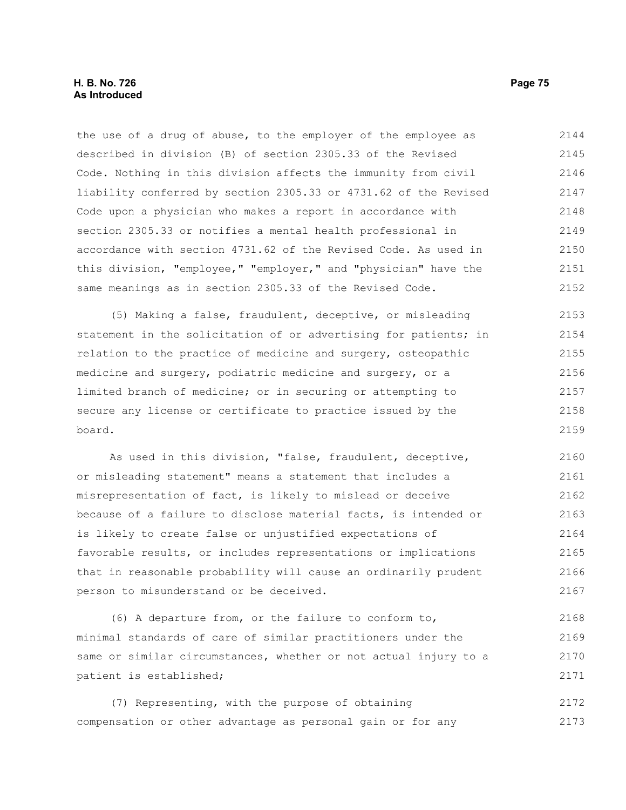the use of a drug of abuse, to the employer of the employee as described in division (B) of section 2305.33 of the Revised Code. Nothing in this division affects the immunity from civil liability conferred by section 2305.33 or 4731.62 of the Revised Code upon a physician who makes a report in accordance with section 2305.33 or notifies a mental health professional in accordance with section 4731.62 of the Revised Code. As used in this division, "employee," "employer," and "physician" have the same meanings as in section 2305.33 of the Revised Code. 2144 2145 2146 2147 2148 2149 2150 2151 2152

(5) Making a false, fraudulent, deceptive, or misleading statement in the solicitation of or advertising for patients; in relation to the practice of medicine and surgery, osteopathic medicine and surgery, podiatric medicine and surgery, or a limited branch of medicine; or in securing or attempting to secure any license or certificate to practice issued by the board. 2153 2154 2155 2156 2157 2158 2159

As used in this division, "false, fraudulent, deceptive, or misleading statement" means a statement that includes a misrepresentation of fact, is likely to mislead or deceive because of a failure to disclose material facts, is intended or is likely to create false or unjustified expectations of favorable results, or includes representations or implications that in reasonable probability will cause an ordinarily prudent person to misunderstand or be deceived. 2160 2161 2162 2163 2164 2165 2166 2167

(6) A departure from, or the failure to conform to, minimal standards of care of similar practitioners under the same or similar circumstances, whether or not actual injury to a patient is established; 2168 2169 2170 2171

(7) Representing, with the purpose of obtaining compensation or other advantage as personal gain or for any 2172 2173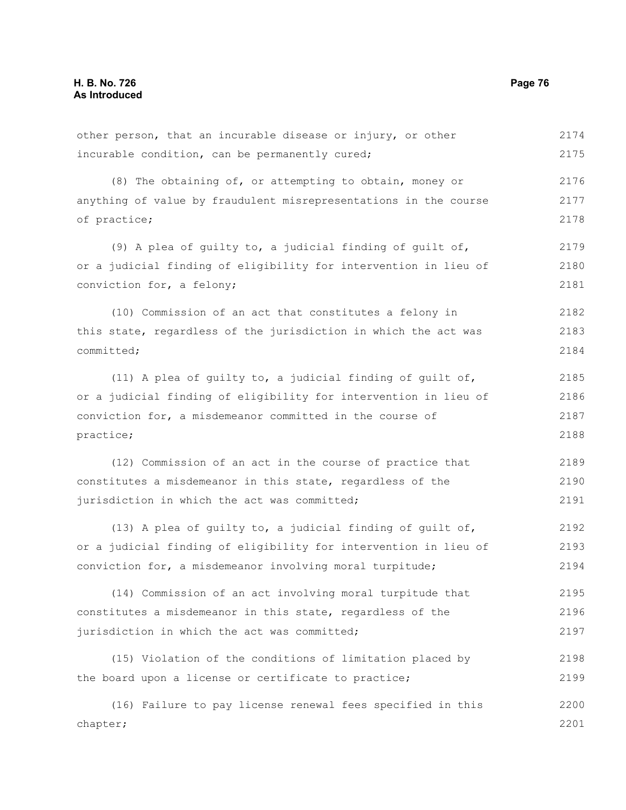other person, that an incurable disease or injury, or other incurable condition, can be permanently cured; (8) The obtaining of, or attempting to obtain, money or anything of value by fraudulent misrepresentations in the course of practice; (9) A plea of guilty to, a judicial finding of guilt of, or a judicial finding of eligibility for intervention in lieu of conviction for, a felony; (10) Commission of an act that constitutes a felony in this state, regardless of the jurisdiction in which the act was committed; (11) A plea of guilty to, a judicial finding of guilt of, or a judicial finding of eligibility for intervention in lieu of conviction for, a misdemeanor committed in the course of practice; (12) Commission of an act in the course of practice that constitutes a misdemeanor in this state, regardless of the jurisdiction in which the act was committed; (13) A plea of guilty to, a judicial finding of guilt of, or a judicial finding of eligibility for intervention in lieu of conviction for, a misdemeanor involving moral turpitude; (14) Commission of an act involving moral turpitude that constitutes a misdemeanor in this state, regardless of the jurisdiction in which the act was committed; (15) Violation of the conditions of limitation placed by the board upon a license or certificate to practice; (16) Failure to pay license renewal fees specified in this chapter; 2174 2175 2176 2177 2178 2179 2180 2181 2182 2183 2184 2185 2186 2187 2188 2189 2190 2191 2192 2193 2194 2195 2196 2197 2198 2199 2200 2201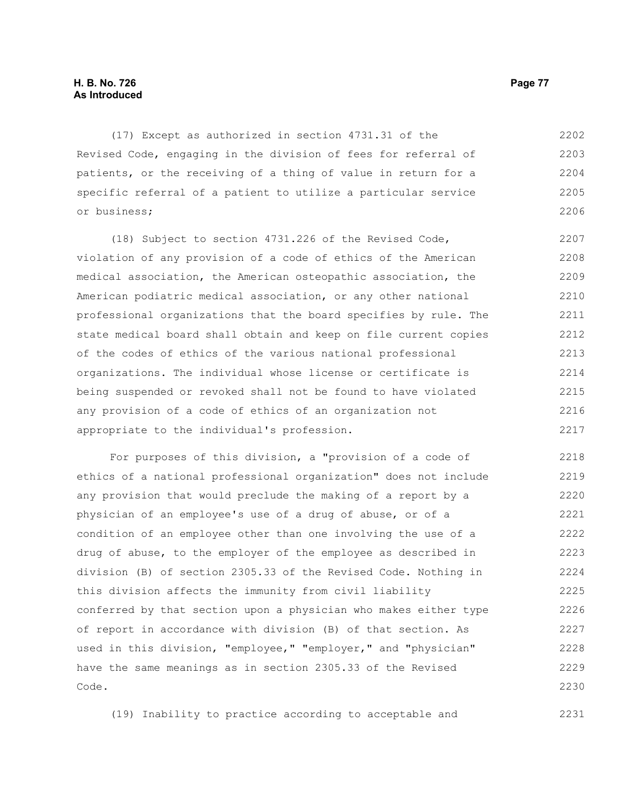#### **H. B. No. 726 Page 77 As Introduced**

(17) Except as authorized in section 4731.31 of the Revised Code, engaging in the division of fees for referral of patients, or the receiving of a thing of value in return for a specific referral of a patient to utilize a particular service or business; 2202 2203 2204 2205 2206

(18) Subject to section 4731.226 of the Revised Code, violation of any provision of a code of ethics of the American medical association, the American osteopathic association, the American podiatric medical association, or any other national professional organizations that the board specifies by rule. The state medical board shall obtain and keep on file current copies of the codes of ethics of the various national professional organizations. The individual whose license or certificate is being suspended or revoked shall not be found to have violated any provision of a code of ethics of an organization not appropriate to the individual's profession. 2207 2208 2209 2210 2211 2212 2213 2214 2215 2216 2217

For purposes of this division, a "provision of a code of ethics of a national professional organization" does not include any provision that would preclude the making of a report by a physician of an employee's use of a drug of abuse, or of a condition of an employee other than one involving the use of a drug of abuse, to the employer of the employee as described in division (B) of section 2305.33 of the Revised Code. Nothing in this division affects the immunity from civil liability conferred by that section upon a physician who makes either type of report in accordance with division (B) of that section. As used in this division, "employee," "employer," and "physician" have the same meanings as in section 2305.33 of the Revised Code. 2218 2219 2220 2221 2222 2223 2224 2225 2226 2227 2228 2229 2230

(19) Inability to practice according to acceptable and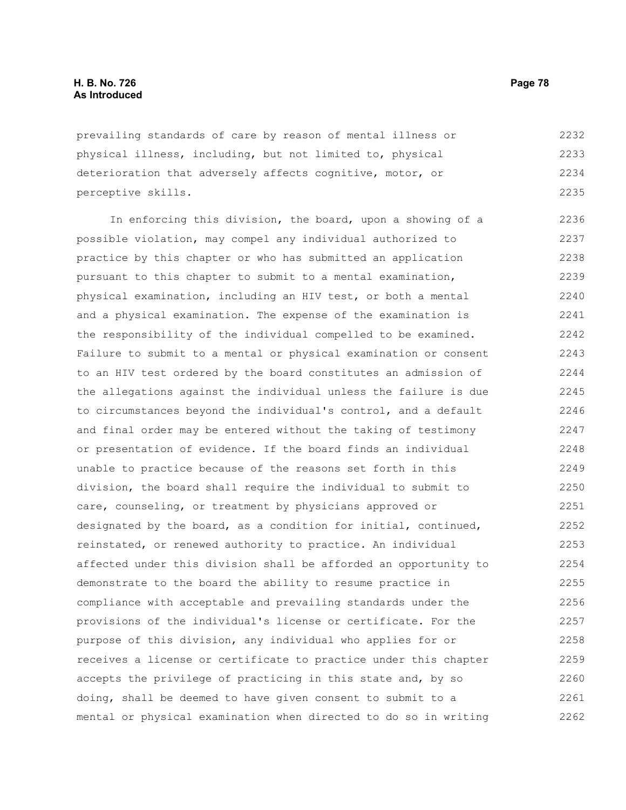## **H. B. No. 726 Page 78 As Introduced**

prevailing standards of care by reason of mental illness or physical illness, including, but not limited to, physical deterioration that adversely affects cognitive, motor, or perceptive skills. 2232 2233 2234 2235

In enforcing this division, the board, upon a showing of a possible violation, may compel any individual authorized to practice by this chapter or who has submitted an application pursuant to this chapter to submit to a mental examination, physical examination, including an HIV test, or both a mental and a physical examination. The expense of the examination is the responsibility of the individual compelled to be examined. Failure to submit to a mental or physical examination or consent to an HIV test ordered by the board constitutes an admission of the allegations against the individual unless the failure is due to circumstances beyond the individual's control, and a default and final order may be entered without the taking of testimony or presentation of evidence. If the board finds an individual unable to practice because of the reasons set forth in this division, the board shall require the individual to submit to care, counseling, or treatment by physicians approved or designated by the board, as a condition for initial, continued, reinstated, or renewed authority to practice. An individual affected under this division shall be afforded an opportunity to demonstrate to the board the ability to resume practice in compliance with acceptable and prevailing standards under the provisions of the individual's license or certificate. For the purpose of this division, any individual who applies for or receives a license or certificate to practice under this chapter accepts the privilege of practicing in this state and, by so doing, shall be deemed to have given consent to submit to a mental or physical examination when directed to do so in writing 2236 2237 2238 2239 2240 2241 2242 2243 2244 2245 2246 2247 2248 2249 2250 2251 2252 2253 2254 2255 2256 2257 2258 2259 2260 2261 2262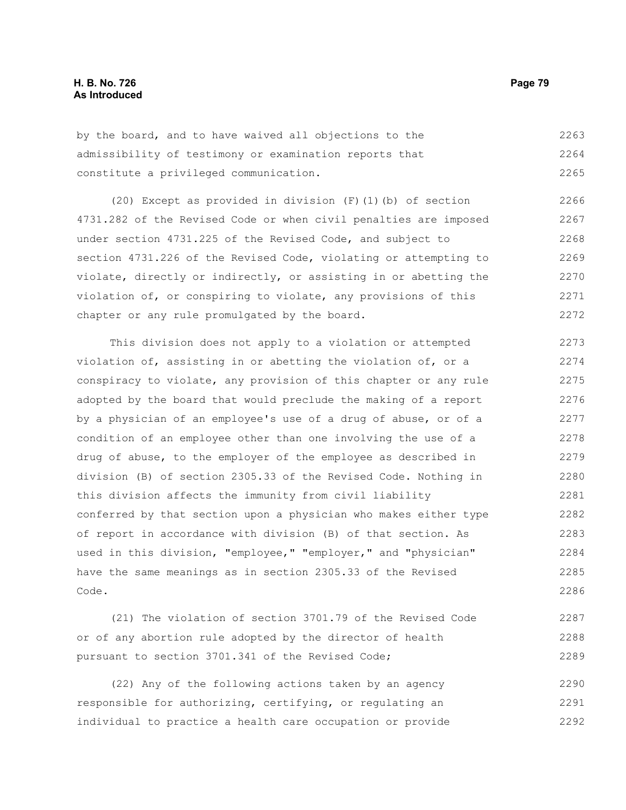by the board, and to have waived all objections to the admissibility of testimony or examination reports that constitute a privileged communication. 2263 2264 2265

(20) Except as provided in division (F)(1)(b) of section 4731.282 of the Revised Code or when civil penalties are imposed under section 4731.225 of the Revised Code, and subject to section 4731.226 of the Revised Code, violating or attempting to violate, directly or indirectly, or assisting in or abetting the violation of, or conspiring to violate, any provisions of this chapter or any rule promulgated by the board. 2266 2267 2268 2269 2270 2271 2272

This division does not apply to a violation or attempted violation of, assisting in or abetting the violation of, or a conspiracy to violate, any provision of this chapter or any rule adopted by the board that would preclude the making of a report by a physician of an employee's use of a drug of abuse, or of a condition of an employee other than one involving the use of a drug of abuse, to the employer of the employee as described in division (B) of section 2305.33 of the Revised Code. Nothing in this division affects the immunity from civil liability conferred by that section upon a physician who makes either type of report in accordance with division (B) of that section. As used in this division, "employee," "employer," and "physician" have the same meanings as in section 2305.33 of the Revised Code. 2273 2274 2275 2276 2277 2278 2279 2280 2281 2282 2283 2284 2285 2286

(21) The violation of section 3701.79 of the Revised Code or of any abortion rule adopted by the director of health pursuant to section 3701.341 of the Revised Code; 2287 2288 2289

(22) Any of the following actions taken by an agency responsible for authorizing, certifying, or regulating an individual to practice a health care occupation or provide 2290 2291 2292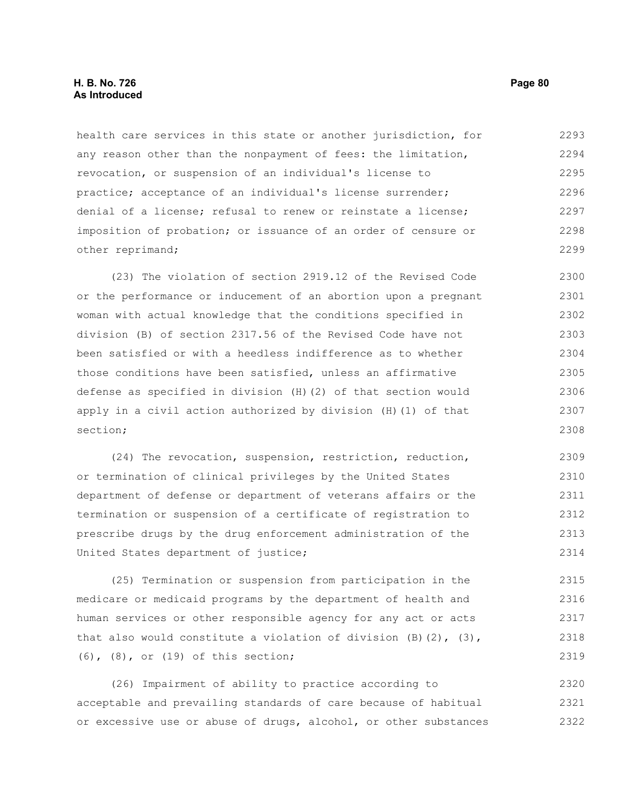health care services in this state or another jurisdiction, for any reason other than the nonpayment of fees: the limitation, revocation, or suspension of an individual's license to practice; acceptance of an individual's license surrender; denial of a license; refusal to renew or reinstate a license; imposition of probation; or issuance of an order of censure or other reprimand; 2293 2294 2295 2296 2297 2298 2299

(23) The violation of section 2919.12 of the Revised Code or the performance or inducement of an abortion upon a pregnant woman with actual knowledge that the conditions specified in division (B) of section 2317.56 of the Revised Code have not been satisfied or with a heedless indifference as to whether those conditions have been satisfied, unless an affirmative defense as specified in division (H)(2) of that section would apply in a civil action authorized by division (H)(1) of that section; 2300 2301 2302 2303 2304 2305 2306 2307 2308

(24) The revocation, suspension, restriction, reduction, or termination of clinical privileges by the United States department of defense or department of veterans affairs or the termination or suspension of a certificate of registration to prescribe drugs by the drug enforcement administration of the United States department of justice; 2309 2310 2311 2312 2313 2314

(25) Termination or suspension from participation in the medicare or medicaid programs by the department of health and human services or other responsible agency for any act or acts that also would constitute a violation of division  $(B)$   $(2)$ ,  $(3)$ , (6), (8), or (19) of this section; 2315 2316 2317 2318 2319

(26) Impairment of ability to practice according to acceptable and prevailing standards of care because of habitual or excessive use or abuse of drugs, alcohol, or other substances 2320 2321 2322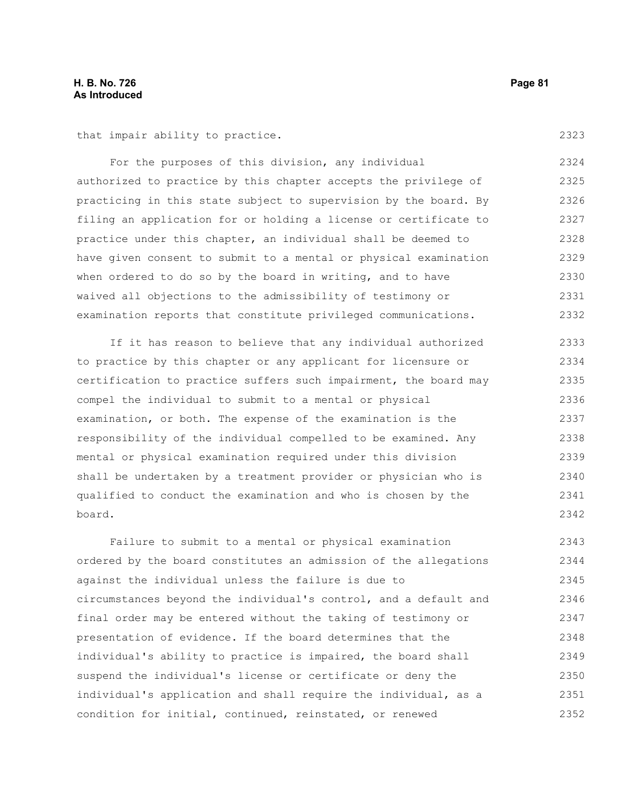that impair ability to practice.

For the purposes of this division, any individual authorized to practice by this chapter accepts the privilege of practicing in this state subject to supervision by the board. By filing an application for or holding a license or certificate to practice under this chapter, an individual shall be deemed to have given consent to submit to a mental or physical examination when ordered to do so by the board in writing, and to have waived all objections to the admissibility of testimony or examination reports that constitute privileged communications. 2324 2325 2326 2327 2328 2329 2330 2331 2332

If it has reason to believe that any individual authorized to practice by this chapter or any applicant for licensure or certification to practice suffers such impairment, the board may compel the individual to submit to a mental or physical examination, or both. The expense of the examination is the responsibility of the individual compelled to be examined. Any mental or physical examination required under this division shall be undertaken by a treatment provider or physician who is qualified to conduct the examination and who is chosen by the board. 2333 2334 2335 2336 2337 2338 2339 2340 2341 2342

Failure to submit to a mental or physical examination ordered by the board constitutes an admission of the allegations against the individual unless the failure is due to circumstances beyond the individual's control, and a default and final order may be entered without the taking of testimony or presentation of evidence. If the board determines that the individual's ability to practice is impaired, the board shall suspend the individual's license or certificate or deny the individual's application and shall require the individual, as a condition for initial, continued, reinstated, or renewed 2343 2344 2345 2346 2347 2348 2349 2350 2351 2352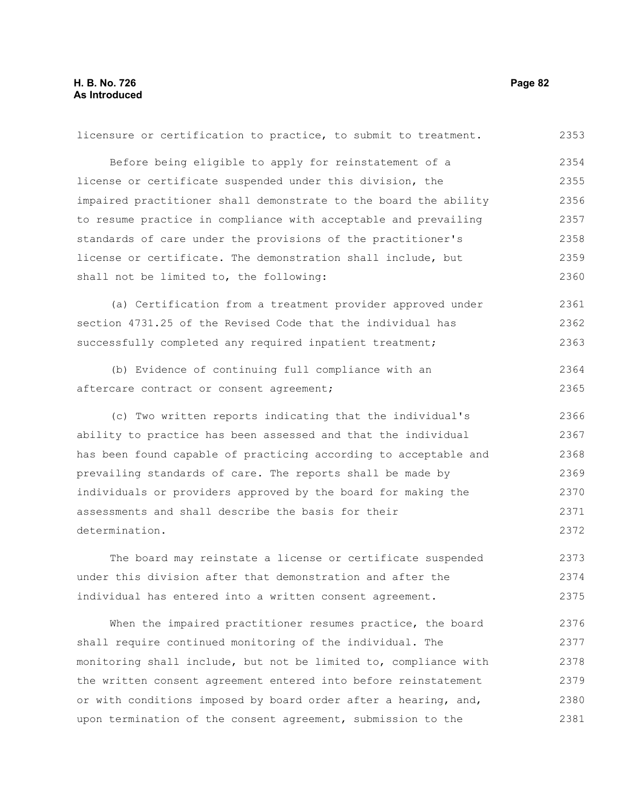licensure or certification to practice, to submit to treatment. Before being eligible to apply for reinstatement of a license or certificate suspended under this division, the impaired practitioner shall demonstrate to the board the ability to resume practice in compliance with acceptable and prevailing standards of care under the provisions of the practitioner's license or certificate. The demonstration shall include, but shall not be limited to, the following: (a) Certification from a treatment provider approved under section 4731.25 of the Revised Code that the individual has successfully completed any required inpatient treatment; (b) Evidence of continuing full compliance with an aftercare contract or consent agreement; (c) Two written reports indicating that the individual's ability to practice has been assessed and that the individual has been found capable of practicing according to acceptable and prevailing standards of care. The reports shall be made by individuals or providers approved by the board for making the assessments and shall describe the basis for their determination. The board may reinstate a license or certificate suspended under this division after that demonstration and after the individual has entered into a written consent agreement. When the impaired practitioner resumes practice, the board shall require continued monitoring of the individual. The monitoring shall include, but not be limited to, compliance with 2353 2354 2355 2356 2357 2358 2359 2360 2361 2362 2363 2364 2365 2366 2367 2368 2369 2370 2371 2372 2373 2374 2375 2376 2377 2378

or with conditions imposed by board order after a hearing, and, upon termination of the consent agreement, submission to the 2380 2381

the written consent agreement entered into before reinstatement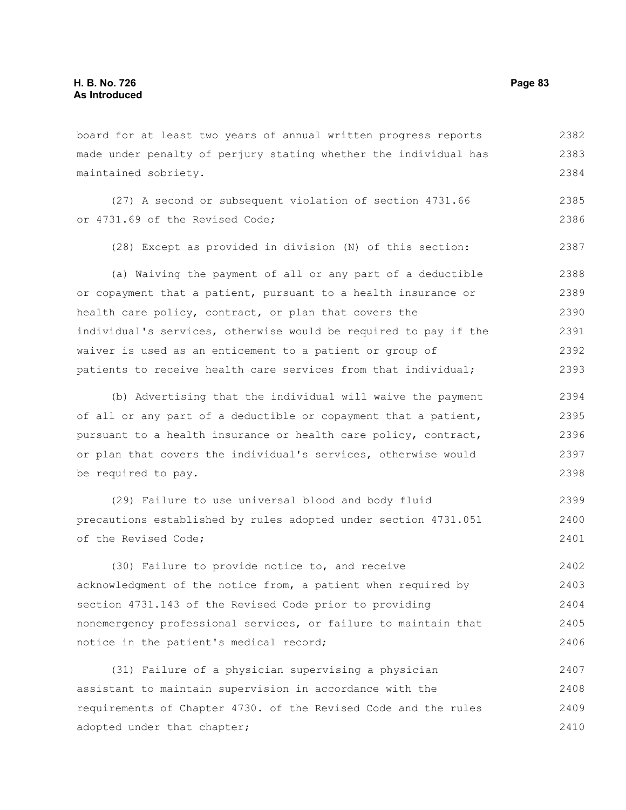board for at least two years of annual written progress reports made under penalty of perjury stating whether the individual has maintained sobriety. 2382 2383 2384

(27) A second or subsequent violation of section 4731.66 or 4731.69 of the Revised Code; 2385 2386

(28) Except as provided in division (N) of this section: 2387

(a) Waiving the payment of all or any part of a deductible or copayment that a patient, pursuant to a health insurance or health care policy, contract, or plan that covers the individual's services, otherwise would be required to pay if the waiver is used as an enticement to a patient or group of patients to receive health care services from that individual; 2388 2389 2390 2391 2392 2393

(b) Advertising that the individual will waive the payment of all or any part of a deductible or copayment that a patient, pursuant to a health insurance or health care policy, contract, or plan that covers the individual's services, otherwise would be required to pay. 2394 2395 2396 2397 2398

(29) Failure to use universal blood and body fluid precautions established by rules adopted under section 4731.051 of the Revised Code; 2399 2400 2401

(30) Failure to provide notice to, and receive acknowledgment of the notice from, a patient when required by section 4731.143 of the Revised Code prior to providing nonemergency professional services, or failure to maintain that notice in the patient's medical record; 2402 2403 2404 2405 2406

(31) Failure of a physician supervising a physician assistant to maintain supervision in accordance with the requirements of Chapter 4730. of the Revised Code and the rules adopted under that chapter; 2407 2408 2409 2410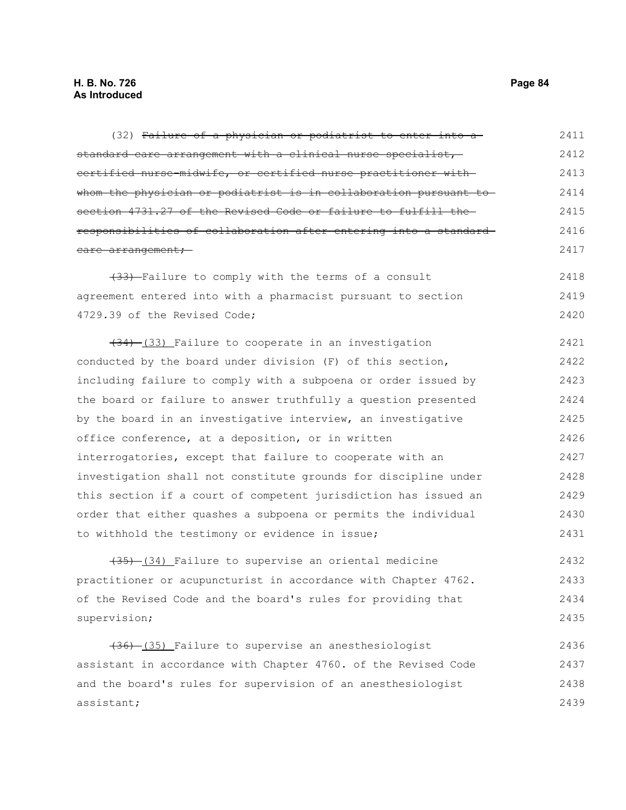#### **H. B. No. 726 Page 84 As Introduced**

(32) Failure of a physician or podiatrist to enter into a standard care arrangement with a clinical nurse specialist, certified nurse-midwife, or certified nurse practitioner with whom the physician or podiatrist is in collaboration pursuant to section 4731.27 of the Revised Code or failure to fulfill theresponsibilities of collaboration after entering into a standard care arrangement; (33) Failure to comply with the terms of a consult agreement entered into with a pharmacist pursuant to section 4729.39 of the Revised Code; (34) (33) Failure to cooperate in an investigation conducted by the board under division (F) of this section, including failure to comply with a subpoena or order issued by the board or failure to answer truthfully a question presented by the board in an investigative interview, an investigative office conference, at a deposition, or in written interrogatories, except that failure to cooperate with an investigation shall not constitute grounds for discipline under this section if a court of competent jurisdiction has issued an order that either quashes a subpoena or permits the individual to withhold the testimony or evidence in issue; (35) (34) Failure to supervise an oriental medicine practitioner or acupuncturist in accordance with Chapter 4762. of the Revised Code and the board's rules for providing that supervision; (36) (35) Failure to supervise an anesthesiologist assistant in accordance with Chapter 4760. of the Revised Code and the board's rules for supervision of an anesthesiologist assistant; 2411 2412 2413 2414 2415 2416 2417 2418 2419 2420 2421 2422 2423 2424 2425 2426 2427 2428 2429 2430 2431 2432 2433 2434 2435 2436 2437 2438 2439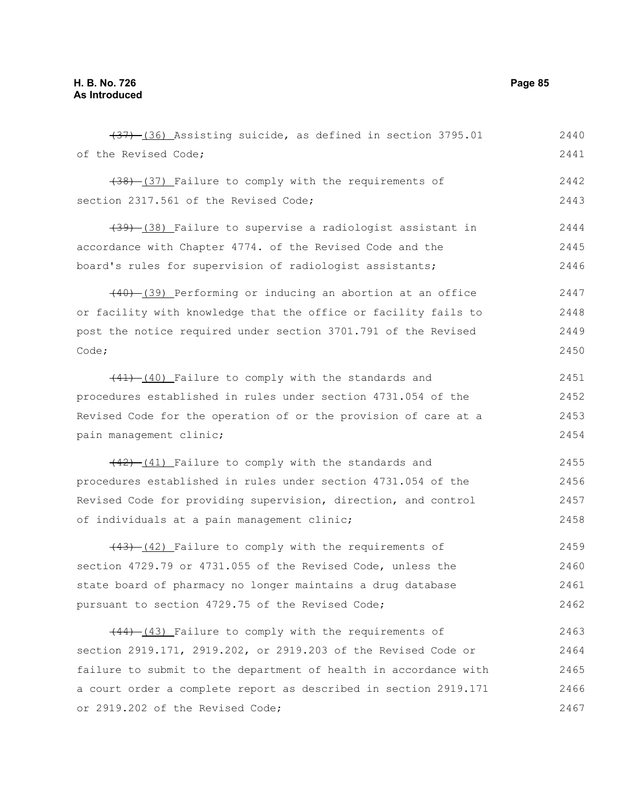### **H. B. No. 726 Page 85 As Introduced**

of the Revised Code; (38) (37) Failure to comply with the requirements of section 2317.561 of the Revised Code; (39) (38) Failure to supervise a radiologist assistant in accordance with Chapter 4774. of the Revised Code and the board's rules for supervision of radiologist assistants; (40) (39) Performing or inducing an abortion at an office or facility with knowledge that the office or facility fails to post the notice required under section 3701.791 of the Revised Code;  $(41)$  (40) Failure to comply with the standards and procedures established in rules under section 4731.054 of the Revised Code for the operation of or the provision of care at a pain management clinic;  $(42)$  (41) Failure to comply with the standards and procedures established in rules under section 4731.054 of the Revised Code for providing supervision, direction, and control of individuals at a pain management clinic;  $(43)$  (42) Failure to comply with the requirements of section 4729.79 or 4731.055 of the Revised Code, unless the state board of pharmacy no longer maintains a drug database pursuant to section 4729.75 of the Revised Code;  $(44)$  (43) Failure to comply with the requirements of section 2919.171, 2919.202, or 2919.203 of the Revised Code or failure to submit to the department of health in accordance with a court order a complete report as described in section 2919.171 or 2919.202 of the Revised Code; 2441 2442 2443 2444 2445 2446 2447 2448 2449 2450 2451 2452 2453 2454 2455 2456 2457 2458 2459 2460 2461 2462 2463 2464 2465 2466 2467

(37) (36) Assisting suicide, as defined in section 3795.01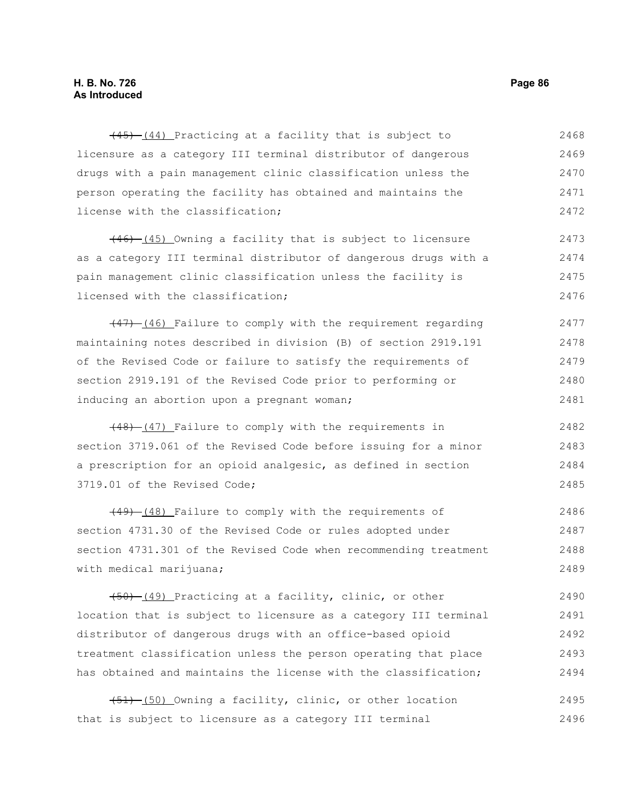#### **H. B. No. 726 Page 86 As Introduced**

 $(45)$   $(44)$  Practicing at a facility that is subject to licensure as a category III terminal distributor of dangerous drugs with a pain management clinic classification unless the person operating the facility has obtained and maintains the license with the classification; 2468 2469 2470 2471 2472

 $(46)$   $(45)$  Owning a facility that is subject to licensure as a category III terminal distributor of dangerous drugs with a pain management clinic classification unless the facility is licensed with the classification; 2473 2474 2475 2476

(47) (46) Failure to comply with the requirement regarding maintaining notes described in division (B) of section 2919.191 of the Revised Code or failure to satisfy the requirements of section 2919.191 of the Revised Code prior to performing or inducing an abortion upon a pregnant woman; 2477 2478 2479 2480 2481

(48) (47) Failure to comply with the requirements in section 3719.061 of the Revised Code before issuing for a minor a prescription for an opioid analgesic, as defined in section 3719.01 of the Revised Code; 2482 2483 2484 2485

(49) (48) Failure to comply with the requirements of section 4731.30 of the Revised Code or rules adopted under section 4731.301 of the Revised Code when recommending treatment with medical marijuana; 2486 2487 2488 2489

 $(50)$  (49) Practicing at a facility, clinic, or other location that is subject to licensure as a category III terminal distributor of dangerous drugs with an office-based opioid treatment classification unless the person operating that place has obtained and maintains the license with the classification; 2490 2491 2492 2493 2494

(51) (50) Owning a facility, clinic, or other location that is subject to licensure as a category III terminal 2495 2496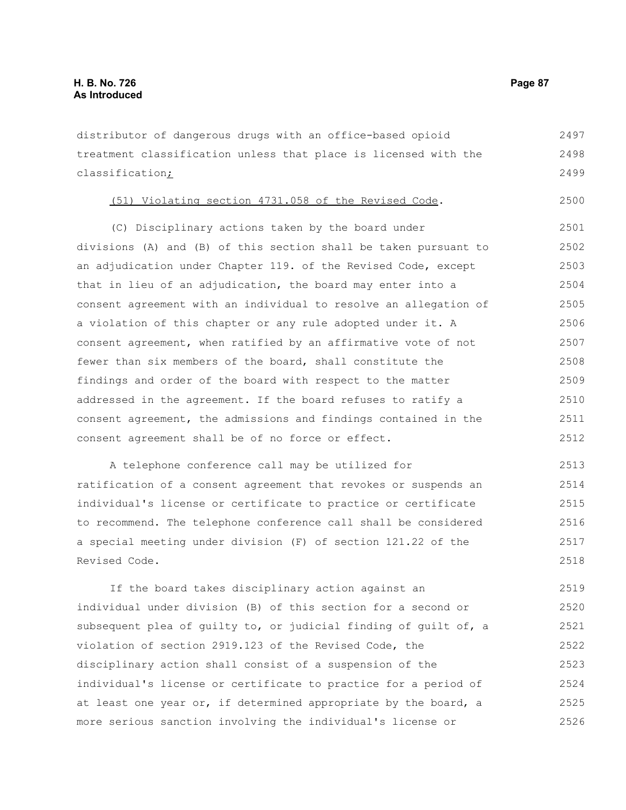distributor of dangerous drugs with an office-based opioid treatment classification unless that place is licensed with the classification; 2497 2498 2499

#### (51) Violating section 4731.058 of the Revised Code. 2500

(C) Disciplinary actions taken by the board under divisions (A) and (B) of this section shall be taken pursuant to an adjudication under Chapter 119. of the Revised Code, except that in lieu of an adjudication, the board may enter into a consent agreement with an individual to resolve an allegation of a violation of this chapter or any rule adopted under it. A consent agreement, when ratified by an affirmative vote of not fewer than six members of the board, shall constitute the findings and order of the board with respect to the matter addressed in the agreement. If the board refuses to ratify a consent agreement, the admissions and findings contained in the consent agreement shall be of no force or effect. 2501 2502 2503 2504 2505 2506 2507 2508 2509 2510 2511 2512

A telephone conference call may be utilized for ratification of a consent agreement that revokes or suspends an individual's license or certificate to practice or certificate to recommend. The telephone conference call shall be considered a special meeting under division (F) of section 121.22 of the Revised Code. 2513 2514 2515 2516 2517 2518

If the board takes disciplinary action against an individual under division (B) of this section for a second or subsequent plea of guilty to, or judicial finding of guilt of, a violation of section 2919.123 of the Revised Code, the disciplinary action shall consist of a suspension of the individual's license or certificate to practice for a period of at least one year or, if determined appropriate by the board, a more serious sanction involving the individual's license or 2519 2520 2521 2522 2523 2524 2525 2526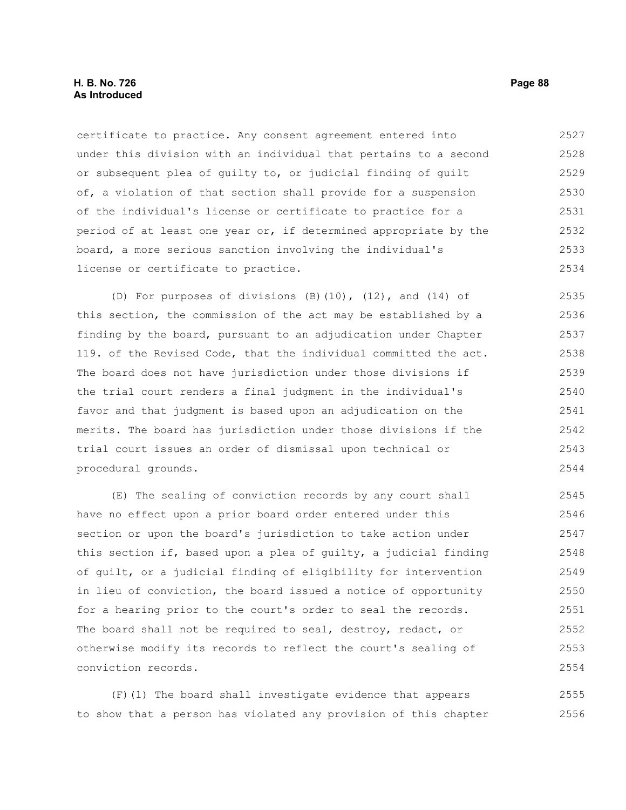certificate to practice. Any consent agreement entered into under this division with an individual that pertains to a second or subsequent plea of guilty to, or judicial finding of guilt of, a violation of that section shall provide for a suspension of the individual's license or certificate to practice for a period of at least one year or, if determined appropriate by the board, a more serious sanction involving the individual's license or certificate to practice. 2527 2528 2529 2530 2531 2532 2533 2534

(D) For purposes of divisions (B)(10), (12), and (14) of this section, the commission of the act may be established by a finding by the board, pursuant to an adjudication under Chapter 119. of the Revised Code, that the individual committed the act. The board does not have jurisdiction under those divisions if the trial court renders a final judgment in the individual's favor and that judgment is based upon an adjudication on the merits. The board has jurisdiction under those divisions if the trial court issues an order of dismissal upon technical or procedural grounds. 2535 2536 2537 2538 2539 2540 2541 2542 2543 2544

(E) The sealing of conviction records by any court shall have no effect upon a prior board order entered under this section or upon the board's jurisdiction to take action under this section if, based upon a plea of guilty, a judicial finding of guilt, or a judicial finding of eligibility for intervention in lieu of conviction, the board issued a notice of opportunity for a hearing prior to the court's order to seal the records. The board shall not be required to seal, destroy, redact, or otherwise modify its records to reflect the court's sealing of conviction records. 2545 2546 2547 2548 2549 2550 2551 2552 2553 2554

(F)(1) The board shall investigate evidence that appears to show that a person has violated any provision of this chapter 2555 2556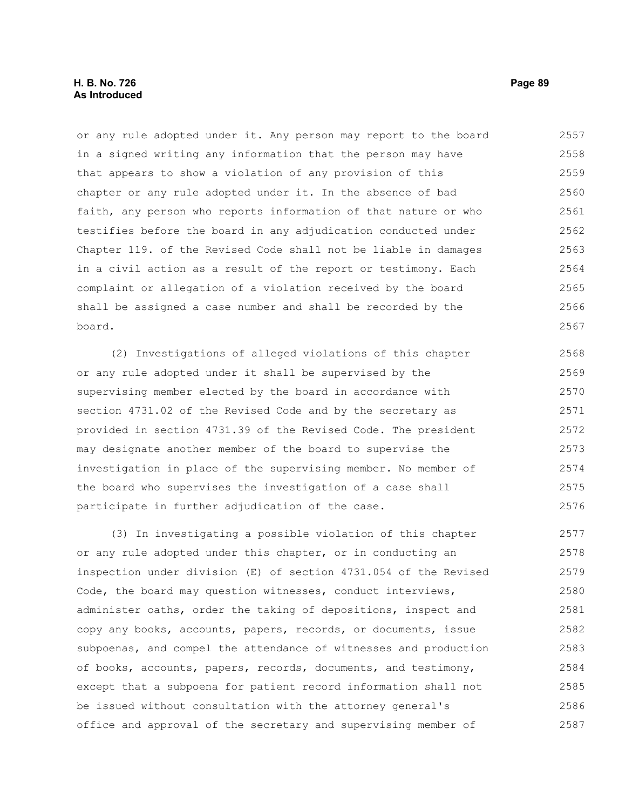## **H. B. No. 726 Page 89 As Introduced**

or any rule adopted under it. Any person may report to the board in a signed writing any information that the person may have that appears to show a violation of any provision of this chapter or any rule adopted under it. In the absence of bad faith, any person who reports information of that nature or who testifies before the board in any adjudication conducted under Chapter 119. of the Revised Code shall not be liable in damages in a civil action as a result of the report or testimony. Each complaint or allegation of a violation received by the board shall be assigned a case number and shall be recorded by the board. 2557 2558 2559 2560 2561 2562 2563 2564 2565 2566 2567

(2) Investigations of alleged violations of this chapter or any rule adopted under it shall be supervised by the supervising member elected by the board in accordance with section 4731.02 of the Revised Code and by the secretary as provided in section 4731.39 of the Revised Code. The president may designate another member of the board to supervise the investigation in place of the supervising member. No member of the board who supervises the investigation of a case shall participate in further adjudication of the case. 2568 2569 2570 2571 2572 2573 2574 2575 2576

(3) In investigating a possible violation of this chapter or any rule adopted under this chapter, or in conducting an inspection under division (E) of section 4731.054 of the Revised Code, the board may question witnesses, conduct interviews, administer oaths, order the taking of depositions, inspect and copy any books, accounts, papers, records, or documents, issue subpoenas, and compel the attendance of witnesses and production of books, accounts, papers, records, documents, and testimony, except that a subpoena for patient record information shall not be issued without consultation with the attorney general's office and approval of the secretary and supervising member of 2577 2578 2579 2580 2581 2582 2583 2584 2585 2586 2587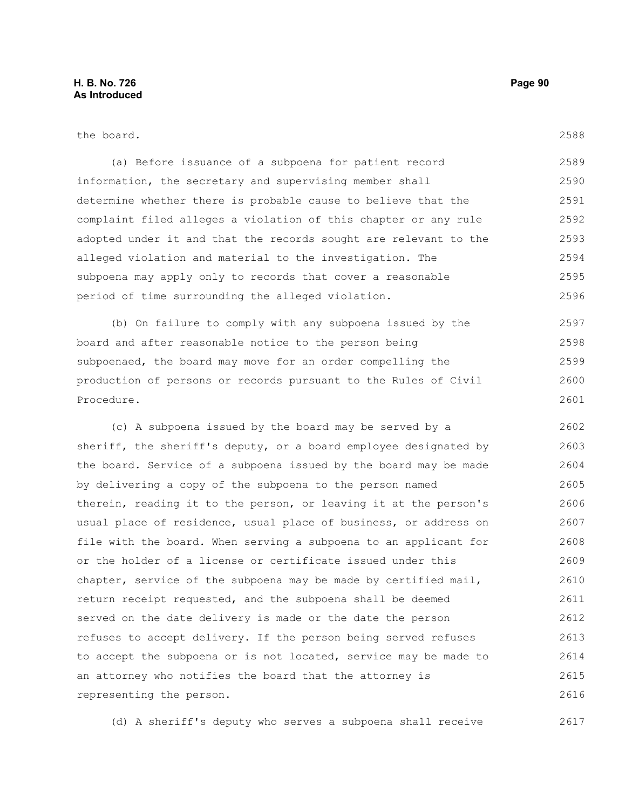(a) Before issuance of a subpoena for patient record information, the secretary and supervising member shall determine whether there is probable cause to believe that the complaint filed alleges a violation of this chapter or any rule adopted under it and that the records sought are relevant to the alleged violation and material to the investigation. The subpoena may apply only to records that cover a reasonable period of time surrounding the alleged violation. 2589 2590 2591 2592 2593 2594 2595 2596

(b) On failure to comply with any subpoena issued by the board and after reasonable notice to the person being subpoenaed, the board may move for an order compelling the production of persons or records pursuant to the Rules of Civil Procedure. 2597 2598 2599 2600 2601

(c) A subpoena issued by the board may be served by a sheriff, the sheriff's deputy, or a board employee designated by the board. Service of a subpoena issued by the board may be made by delivering a copy of the subpoena to the person named therein, reading it to the person, or leaving it at the person's usual place of residence, usual place of business, or address on file with the board. When serving a subpoena to an applicant for or the holder of a license or certificate issued under this chapter, service of the subpoena may be made by certified mail, return receipt requested, and the subpoena shall be deemed served on the date delivery is made or the date the person refuses to accept delivery. If the person being served refuses to accept the subpoena or is not located, service may be made to an attorney who notifies the board that the attorney is representing the person. 2602 2603 2604 2605 2606 2607 2608 2609 2610 2611 2612 2613 2614 2615 2616

(d) A sheriff's deputy who serves a subpoena shall receive 2617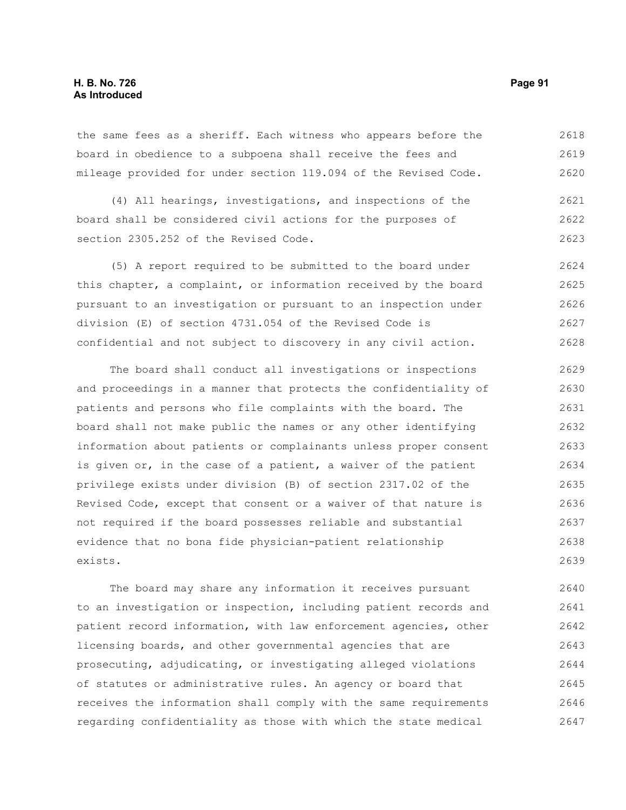#### **H. B. No. 726 Page 91 As Introduced**

the same fees as a sheriff. Each witness who appears before the board in obedience to a subpoena shall receive the fees and mileage provided for under section 119.094 of the Revised Code. 2618 2619 2620

(4) All hearings, investigations, and inspections of the board shall be considered civil actions for the purposes of section 2305.252 of the Revised Code. 2621 2622 2623

(5) A report required to be submitted to the board under this chapter, a complaint, or information received by the board pursuant to an investigation or pursuant to an inspection under division (E) of section 4731.054 of the Revised Code is confidential and not subject to discovery in any civil action. 2624 2625 2626 2627 2628

The board shall conduct all investigations or inspections and proceedings in a manner that protects the confidentiality of patients and persons who file complaints with the board. The board shall not make public the names or any other identifying information about patients or complainants unless proper consent is given or, in the case of a patient, a waiver of the patient privilege exists under division (B) of section 2317.02 of the Revised Code, except that consent or a waiver of that nature is not required if the board possesses reliable and substantial evidence that no bona fide physician-patient relationship exists. 2629 2630 2631 2632 2633 2634 2635 2636 2637 2638 2639

The board may share any information it receives pursuant to an investigation or inspection, including patient records and patient record information, with law enforcement agencies, other licensing boards, and other governmental agencies that are prosecuting, adjudicating, or investigating alleged violations of statutes or administrative rules. An agency or board that receives the information shall comply with the same requirements regarding confidentiality as those with which the state medical 2640 2641 2642 2643 2644 2645 2646 2647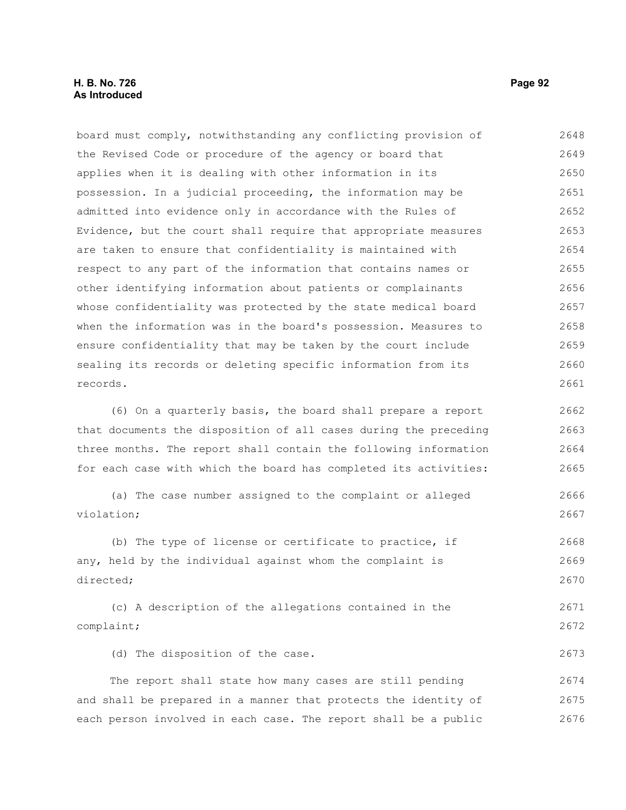### **H. B. No. 726 Page 92 As Introduced**

board must comply, notwithstanding any conflicting provision of the Revised Code or procedure of the agency or board that applies when it is dealing with other information in its possession. In a judicial proceeding, the information may be admitted into evidence only in accordance with the Rules of Evidence, but the court shall require that appropriate measures are taken to ensure that confidentiality is maintained with respect to any part of the information that contains names or other identifying information about patients or complainants whose confidentiality was protected by the state medical board when the information was in the board's possession. Measures to ensure confidentiality that may be taken by the court include sealing its records or deleting specific information from its records. 2648 2649 2650 2651 2652 2653 2654 2655 2656 2657 2658 2659 2660 2661

(6) On a quarterly basis, the board shall prepare a report that documents the disposition of all cases during the preceding three months. The report shall contain the following information for each case with which the board has completed its activities: 2662 2663 2664 2665

```
(a) The case number assigned to the complaint or alleged
violation; 
                                                                             2666
                                                                             2667
```
(b) The type of license or certificate to practice, if any, held by the individual against whom the complaint is directed; 2668 2669 2670

(c) A description of the allegations contained in the complaint; 2671 2672

(d) The disposition of the case. 2673

The report shall state how many cases are still pending and shall be prepared in a manner that protects the identity of each person involved in each case. The report shall be a public 2674 2675 2676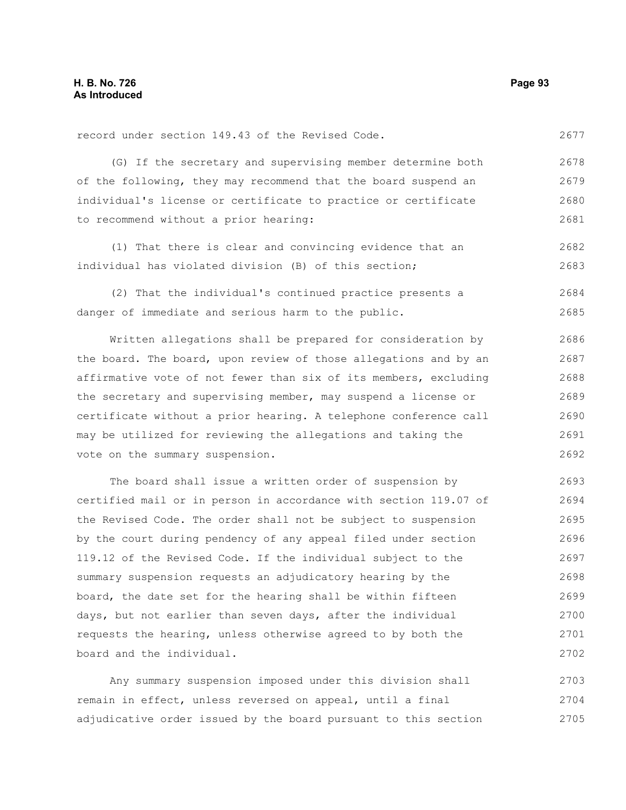record under section 149.43 of the Revised Code.

(G) If the secretary and supervising member determine both of the following, they may recommend that the board suspend an individual's license or certificate to practice or certificate to recommend without a prior hearing: 2678 2679 2680 2681

(1) That there is clear and convincing evidence that an individual has violated division (B) of this section; 2682 2683

(2) That the individual's continued practice presents a danger of immediate and serious harm to the public. 2684 2685

Written allegations shall be prepared for consideration by the board. The board, upon review of those allegations and by an affirmative vote of not fewer than six of its members, excluding the secretary and supervising member, may suspend a license or certificate without a prior hearing. A telephone conference call may be utilized for reviewing the allegations and taking the vote on the summary suspension. 2686 2687 2688 2689 2690 2691 2692

The board shall issue a written order of suspension by certified mail or in person in accordance with section 119.07 of the Revised Code. The order shall not be subject to suspension by the court during pendency of any appeal filed under section 119.12 of the Revised Code. If the individual subject to the summary suspension requests an adjudicatory hearing by the board, the date set for the hearing shall be within fifteen days, but not earlier than seven days, after the individual requests the hearing, unless otherwise agreed to by both the board and the individual. 2693 2694 2695 2696 2697 2698 2699 2700 2701 2702

Any summary suspension imposed under this division shall remain in effect, unless reversed on appeal, until a final adjudicative order issued by the board pursuant to this section 2703 2704 2705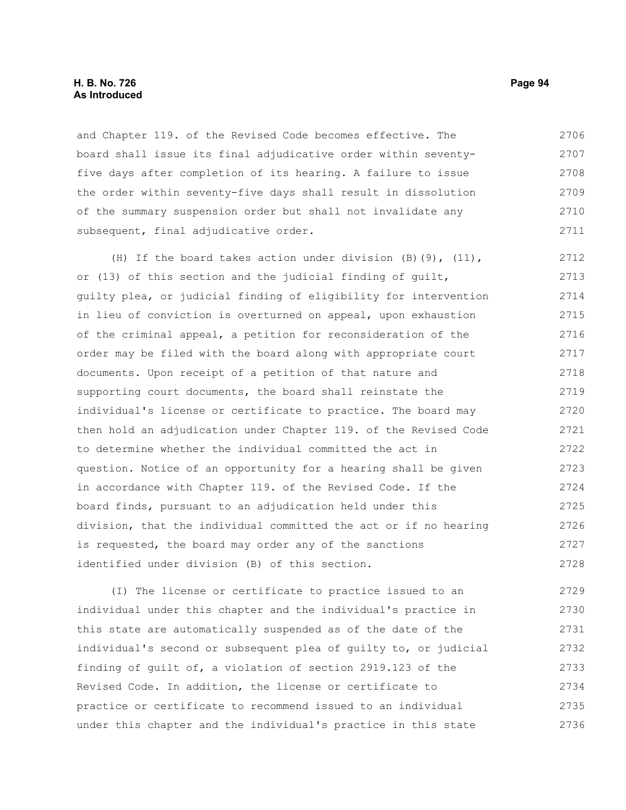#### **H. B. No. 726 Page 94 As Introduced**

and Chapter 119. of the Revised Code becomes effective. The board shall issue its final adjudicative order within seventyfive days after completion of its hearing. A failure to issue the order within seventy-five days shall result in dissolution of the summary suspension order but shall not invalidate any subsequent, final adjudicative order. 2706 2707 2708 2709 2710 2711

(H) If the board takes action under division  $(B)$  (9),  $(11)$ , or (13) of this section and the judicial finding of guilt, guilty plea, or judicial finding of eligibility for intervention in lieu of conviction is overturned on appeal, upon exhaustion of the criminal appeal, a petition for reconsideration of the order may be filed with the board along with appropriate court documents. Upon receipt of a petition of that nature and supporting court documents, the board shall reinstate the individual's license or certificate to practice. The board may then hold an adjudication under Chapter 119. of the Revised Code to determine whether the individual committed the act in question. Notice of an opportunity for a hearing shall be given in accordance with Chapter 119. of the Revised Code. If the board finds, pursuant to an adjudication held under this division, that the individual committed the act or if no hearing is requested, the board may order any of the sanctions identified under division (B) of this section. 2712 2713 2714 2715 2716 2717 2718 2719 2720 2721 2722 2723 2724 2725 2726 2727 2728

(I) The license or certificate to practice issued to an individual under this chapter and the individual's practice in this state are automatically suspended as of the date of the individual's second or subsequent plea of guilty to, or judicial finding of guilt of, a violation of section 2919.123 of the Revised Code. In addition, the license or certificate to practice or certificate to recommend issued to an individual under this chapter and the individual's practice in this state 2729 2730 2731 2732 2733 2734 2735 2736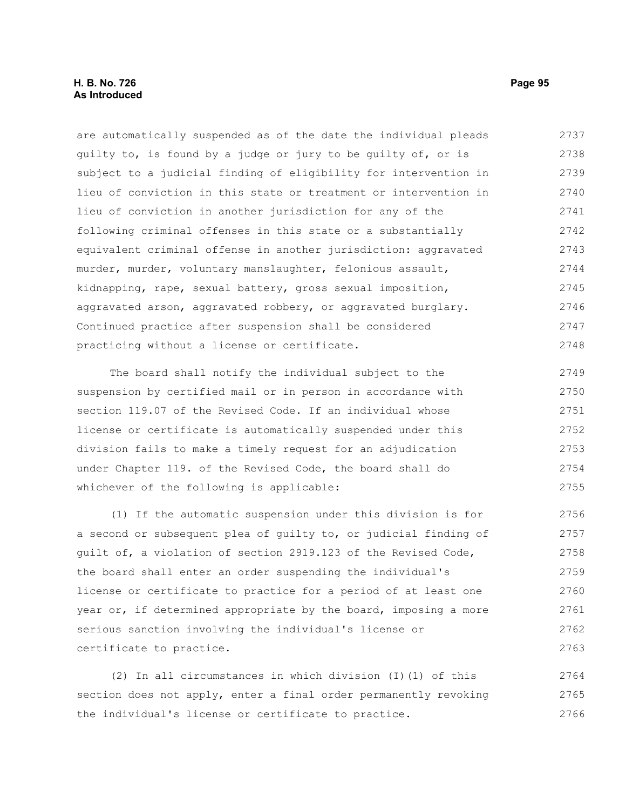## **H. B. No. 726 Page 95 As Introduced**

are automatically suspended as of the date the individual pleads guilty to, is found by a judge or jury to be guilty of, or is subject to a judicial finding of eligibility for intervention in lieu of conviction in this state or treatment or intervention in lieu of conviction in another jurisdiction for any of the following criminal offenses in this state or a substantially equivalent criminal offense in another jurisdiction: aggravated murder, murder, voluntary manslaughter, felonious assault, kidnapping, rape, sexual battery, gross sexual imposition, aggravated arson, aggravated robbery, or aggravated burglary. Continued practice after suspension shall be considered practicing without a license or certificate. 2737 2738 2739 2740 2741 2742 2743 2744 2745 2746 2747 2748

The board shall notify the individual subject to the suspension by certified mail or in person in accordance with section 119.07 of the Revised Code. If an individual whose license or certificate is automatically suspended under this division fails to make a timely request for an adjudication under Chapter 119. of the Revised Code, the board shall do whichever of the following is applicable: 2749 2750 2751 2752 2753 2754 2755

(1) If the automatic suspension under this division is for a second or subsequent plea of guilty to, or judicial finding of guilt of, a violation of section 2919.123 of the Revised Code, the board shall enter an order suspending the individual's license or certificate to practice for a period of at least one year or, if determined appropriate by the board, imposing a more serious sanction involving the individual's license or certificate to practice. 2756 2757 2758 2759 2760 2761 2762 2763

(2) In all circumstances in which division (I)(1) of this section does not apply, enter a final order permanently revoking the individual's license or certificate to practice. 2764 2765 2766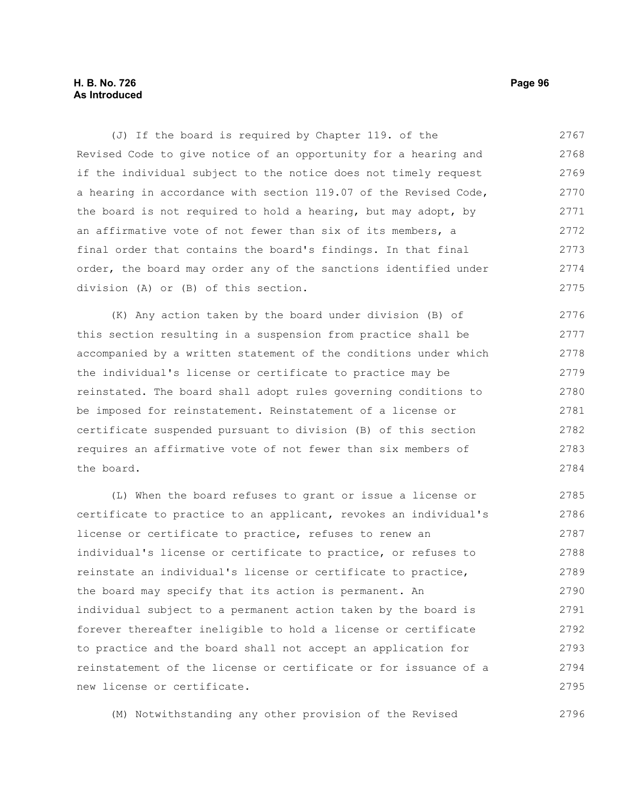## **H. B. No. 726 Page 96 As Introduced**

(J) If the board is required by Chapter 119. of the Revised Code to give notice of an opportunity for a hearing and if the individual subject to the notice does not timely request a hearing in accordance with section 119.07 of the Revised Code, the board is not required to hold a hearing, but may adopt, by an affirmative vote of not fewer than six of its members, a final order that contains the board's findings. In that final order, the board may order any of the sanctions identified under division (A) or (B) of this section. 2767 2768 2769 2770 2771 2772 2773 2774 2775

(K) Any action taken by the board under division (B) of this section resulting in a suspension from practice shall be accompanied by a written statement of the conditions under which the individual's license or certificate to practice may be reinstated. The board shall adopt rules governing conditions to be imposed for reinstatement. Reinstatement of a license or certificate suspended pursuant to division (B) of this section requires an affirmative vote of not fewer than six members of the board. 2776 2777 2778 2779 2780 2781 2782 2783 2784

(L) When the board refuses to grant or issue a license or certificate to practice to an applicant, revokes an individual's license or certificate to practice, refuses to renew an individual's license or certificate to practice, or refuses to reinstate an individual's license or certificate to practice, the board may specify that its action is permanent. An individual subject to a permanent action taken by the board is forever thereafter ineligible to hold a license or certificate to practice and the board shall not accept an application for reinstatement of the license or certificate or for issuance of a new license or certificate. 2785 2786 2787 2788 2789 2790 2791 2792 2793 2794 2795

(M) Notwithstanding any other provision of the Revised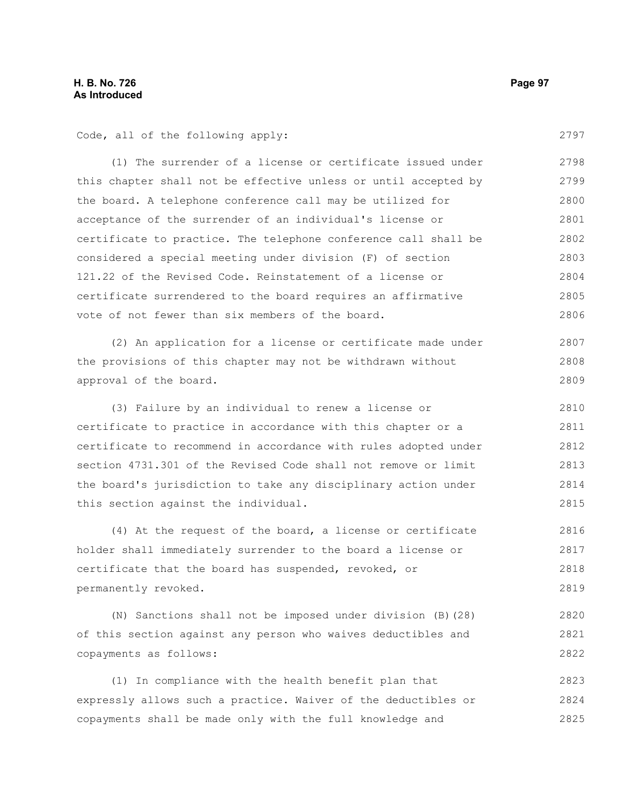Code, all of the following apply:

(1) The surrender of a license or certificate issued under this chapter shall not be effective unless or until accepted by the board. A telephone conference call may be utilized for acceptance of the surrender of an individual's license or certificate to practice. The telephone conference call shall be considered a special meeting under division (F) of section 121.22 of the Revised Code. Reinstatement of a license or certificate surrendered to the board requires an affirmative vote of not fewer than six members of the board. 2798 2799 2800 2801 2802 2803 2804 2805 2806

(2) An application for a license or certificate made under the provisions of this chapter may not be withdrawn without approval of the board. 2807 2808 2809

(3) Failure by an individual to renew a license or certificate to practice in accordance with this chapter or a certificate to recommend in accordance with rules adopted under section 4731.301 of the Revised Code shall not remove or limit the board's jurisdiction to take any disciplinary action under this section against the individual. 2810 2811 2812 2813 2814 2815

(4) At the request of the board, a license or certificate holder shall immediately surrender to the board a license or certificate that the board has suspended, revoked, or permanently revoked. 2816 2817 2818 2819

(N) Sanctions shall not be imposed under division (B)(28) of this section against any person who waives deductibles and copayments as follows: 2820 2821 2822

(1) In compliance with the health benefit plan that expressly allows such a practice. Waiver of the deductibles or copayments shall be made only with the full knowledge and 2823 2824 2825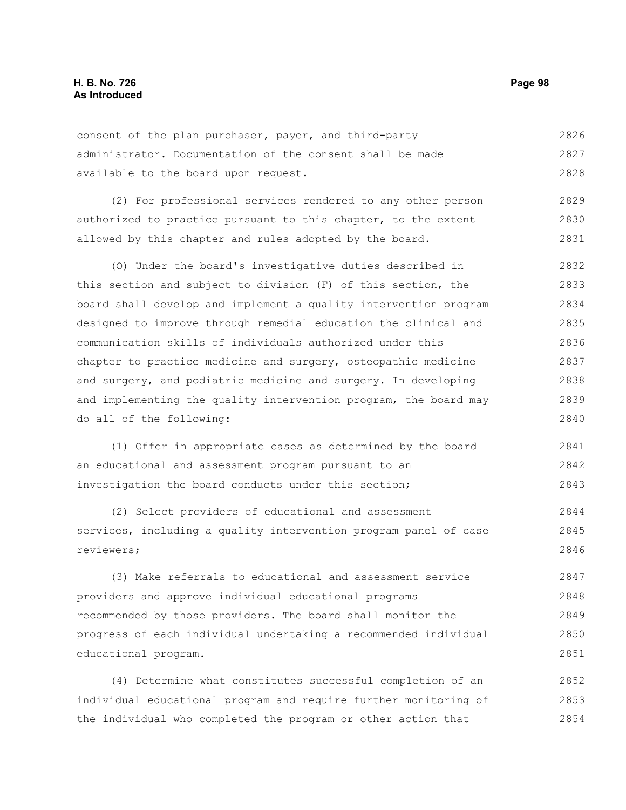consent of the plan purchaser, payer, and third-party administrator. Documentation of the consent shall be made available to the board upon request. 2826 2827 2828

(2) For professional services rendered to any other person authorized to practice pursuant to this chapter, to the extent allowed by this chapter and rules adopted by the board. 2829 2830 2831

(O) Under the board's investigative duties described in this section and subject to division (F) of this section, the board shall develop and implement a quality intervention program designed to improve through remedial education the clinical and communication skills of individuals authorized under this chapter to practice medicine and surgery, osteopathic medicine and surgery, and podiatric medicine and surgery. In developing and implementing the quality intervention program, the board may do all of the following: 2832 2833 2834 2835 2836 2837 2838 2839 2840

(1) Offer in appropriate cases as determined by the board an educational and assessment program pursuant to an investigation the board conducts under this section; 2841 2842 2843

(2) Select providers of educational and assessment services, including a quality intervention program panel of case reviewers; 2844 2845 2846

(3) Make referrals to educational and assessment service providers and approve individual educational programs recommended by those providers. The board shall monitor the progress of each individual undertaking a recommended individual educational program. 2847 2848 2849 2850 2851

(4) Determine what constitutes successful completion of an individual educational program and require further monitoring of the individual who completed the program or other action that 2852 2853 2854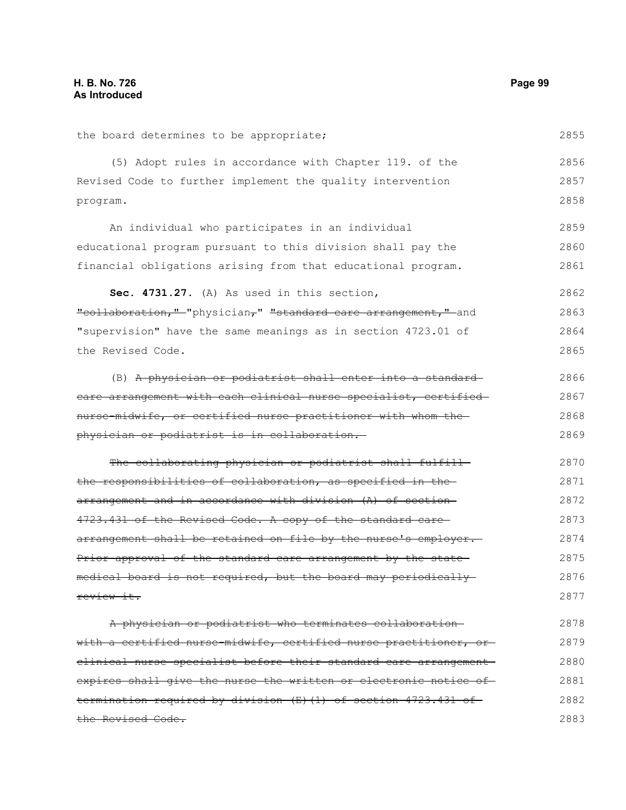| the board determines to be appropriate;                          | 2855 |
|------------------------------------------------------------------|------|
| (5) Adopt rules in accordance with Chapter 119. of the           | 2856 |
| Revised Code to further implement the quality intervention       | 2857 |
| program.                                                         | 2858 |
| An individual who participates in an individual                  | 2859 |
| educational program pursuant to this division shall pay the      | 2860 |
| financial obligations arising from that educational program.     | 2861 |
| Sec. 4731.27. (A) As used in this section,                       | 2862 |
| "collaboration," "physician," "standard care arrangement," and   | 2863 |
| "supervision" have the same meanings as in section 4723.01 of    | 2864 |
| the Revised Code.                                                | 2865 |
| (B) A physician or podiatrist shall enter into a standard        | 2866 |
| eare arrangement with each clinical nurse specialist, certified  | 2867 |
| nurse-midwife, or certified nurse practitioner with whom the-    | 2868 |
| physician or podiatrist is in collaboration.                     | 2869 |
| The collaborating physician or podiatrist shall fulfill-         | 2870 |
| the responsibilities of collaboration, as specified in the-      | 2871 |
| arrangement and in accordance with division (A) of section-      | 2872 |
| 4723.431 of the Revised Code. A copy of the standard care-       | 2873 |
| arrangement shall be retained on file by the nurse's employer.   | 2874 |
| Prior approval of the standard care arrangement by the state     | 2875 |
| medical board is not required, but the board may periodically    | 2876 |
| review it.                                                       | 2877 |
| A physician or podiatrist who terminates collaboration-          | 2878 |
| with a certified nurse-midwife, certified nurse practitioner, or | 2879 |
| clinical nurse specialist before their standard care arrangement | 2880 |
| expires shall give the nurse the written or electronic notice of | 2881 |
| termination required by division (E) (1) of section 4723.431 of  | 2882 |
| the Revised Code.                                                | 2883 |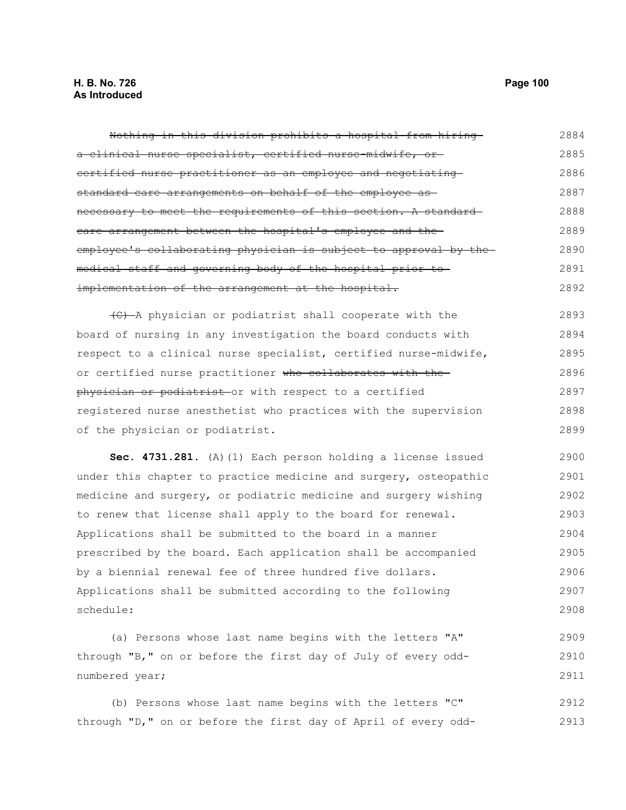schedule:

2908

Nothing in this division prohibits a hospital from hiring a clinical nurse specialist, certified nurse-midwife, or certified nurse practitioner as an employee and negotiating standard care arrangements on behalf of the employee as necessary to meet the requirements of this section. A standardcare arrangement between the hospital's employee and the employee's collaborating physician is subject to approval by the medical staff and governing body of the hospital prior to implementation of the arrangement at the hospital. (C) A physician or podiatrist shall cooperate with the board of nursing in any investigation the board conducts with respect to a clinical nurse specialist, certified nurse-midwife, or certified nurse practitioner who collaborates with thephysician or podiatrist or with respect to a certified registered nurse anesthetist who practices with the supervision of the physician or podiatrist. **Sec. 4731.281.** (A)(1) Each person holding a license issued under this chapter to practice medicine and surgery, osteopathic medicine and surgery, or podiatric medicine and surgery wishing to renew that license shall apply to the board for renewal. Applications shall be submitted to the board in a manner prescribed by the board. Each application shall be accompanied by a biennial renewal fee of three hundred five dollars. Applications shall be submitted according to the following 2884 2885 2886 2887 2888 2889 2890 2891 2892 2893 2894 2895 2896 2897 2898 2899 2900 2901 2902 2903 2904 2905 2906 2907

(a) Persons whose last name begins with the letters "A" through "B," on or before the first day of July of every oddnumbered year; 2909 2910 2911

(b) Persons whose last name begins with the letters "C" through "D," on or before the first day of April of every odd-2912 2913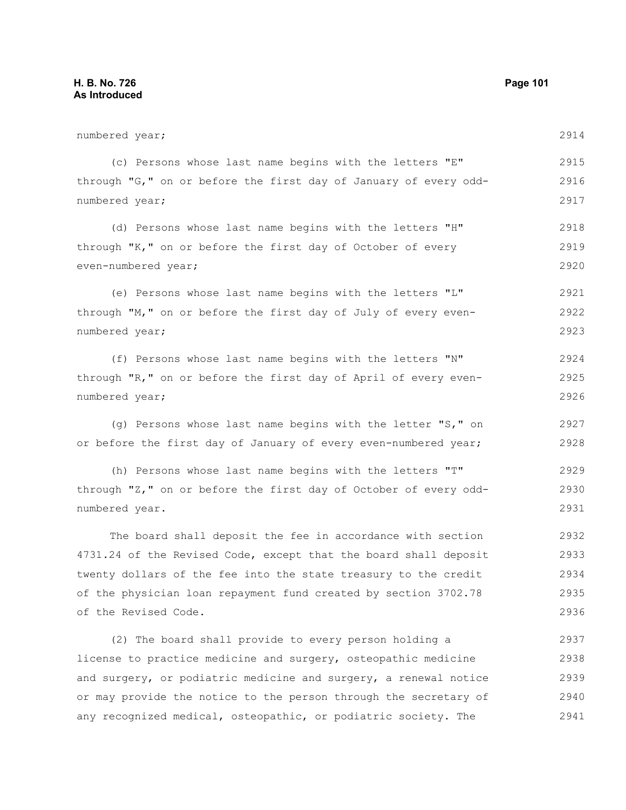| numbered year;                                                   | 2914 |
|------------------------------------------------------------------|------|
| (c) Persons whose last name begins with the letters "E"          | 2915 |
| through "G," on or before the first day of January of every odd- | 2916 |
| numbered year;                                                   | 2917 |
| (d) Persons whose last name begins with the letters "H"          | 2918 |
| through "K," on or before the first day of October of every      | 2919 |
| even-numbered year;                                              | 2920 |
| (e) Persons whose last name begins with the letters "L"          | 2921 |
| through "M," on or before the first day of July of every even-   | 2922 |
| numbered year;                                                   | 2923 |
| (f) Persons whose last name begins with the letters "N"          | 2924 |
| through "R," on or before the first day of April of every even-  | 2925 |
| numbered year;                                                   | 2926 |
| (g) Persons whose last name begins with the letter "S," on       | 2927 |
| or before the first day of January of every even-numbered year;  | 2928 |
| (h) Persons whose last name begins with the letters "T"          | 2929 |
| through "Z," on or before the first day of October of every odd- | 2930 |
| numbered year.                                                   | 2931 |
| The board shall deposit the fee in accordance with section       | 2932 |
| 4731.24 of the Revised Code, except that the board shall deposit | 2933 |
| twenty dollars of the fee into the state treasury to the credit  | 2934 |
| of the physician loan repayment fund created by section 3702.78  | 2935 |
| of the Revised Code.                                             | 2936 |
| (2) The board shall provide to every person holding a            | 2937 |
| license to practice medicine and surgery, osteopathic medicine   | 2938 |
| and surgery, or podiatric medicine and surgery, a renewal notice | 2939 |
| or may provide the notice to the person through the secretary of | 2940 |
| any recognized medical, osteopathic, or podiatric society. The   | 2941 |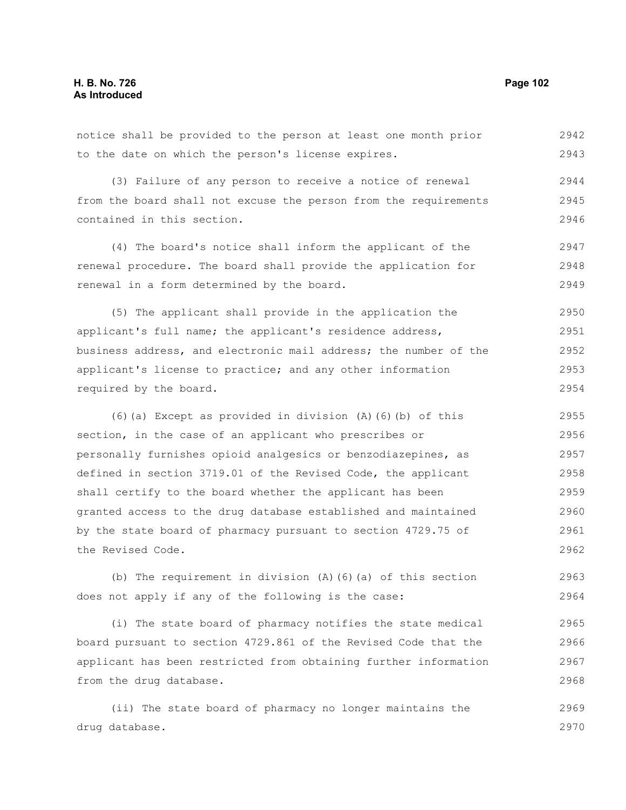notice shall be provided to the person at least one month prior to the date on which the person's license expires. (3) Failure of any person to receive a notice of renewal from the board shall not excuse the person from the requirements contained in this section. (4) The board's notice shall inform the applicant of the renewal procedure. The board shall provide the application for 2942 2943 2944 2945 2946 2947 2948

renewal in a form determined by the board. (5) The applicant shall provide in the application the 2949 2950

applicant's full name; the applicant's residence address, business address, and electronic mail address; the number of the applicant's license to practice; and any other information required by the board. 2951 2952 2953 2954

(6)(a) Except as provided in division (A)(6)(b) of this section, in the case of an applicant who prescribes or personally furnishes opioid analgesics or benzodiazepines, as defined in section 3719.01 of the Revised Code, the applicant shall certify to the board whether the applicant has been granted access to the drug database established and maintained by the state board of pharmacy pursuant to section 4729.75 of the Revised Code. 2955 2956 2957 2958 2959 2960 2961 2962

(b) The requirement in division (A)(6)(a) of this section does not apply if any of the following is the case: 2963 2964

(i) The state board of pharmacy notifies the state medical board pursuant to section 4729.861 of the Revised Code that the applicant has been restricted from obtaining further information from the drug database. 2965 2966 2967 2968

(ii) The state board of pharmacy no longer maintains the drug database. 2969 2970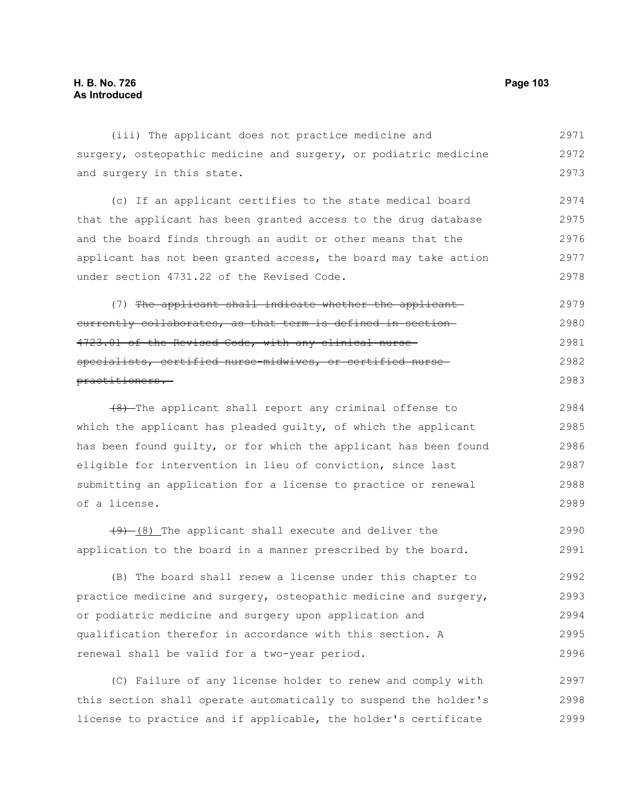2996

#### (iii) The applicant does not practice medicine and surgery, osteopathic medicine and surgery, or podiatric medicine and surgery in this state. (c) If an applicant certifies to the state medical board that the applicant has been granted access to the drug database and the board finds through an audit or other means that the applicant has not been granted access, the board may take action under section 4731.22 of the Revised Code. (7) The applicant shall indicate whether the applicantcurrently collaborates, as that term is defined in section 4723.01 of the Revised Code, with any clinical nursespecialists, certified nurse-midwives, or certified nurse practitioners. (8) The applicant shall report any criminal offense to which the applicant has pleaded guilty, of which the applicant has been found guilty, or for which the applicant has been found eligible for intervention in lieu of conviction, since last submitting an application for a license to practice or renewal of a license.  $(9)$  (8) The applicant shall execute and deliver the application to the board in a manner prescribed by the board. (B) The board shall renew a license under this chapter to practice medicine and surgery, osteopathic medicine and surgery, or podiatric medicine and surgery upon application and qualification therefor in accordance with this section. A 2971 2972 2973 2974 2975 2976 2977 2978 2979 2980 2981 2982 2983 2984 2985 2986 2987 2988 2989 2990 2991 2992 2993 2994 2995

(C) Failure of any license holder to renew and comply with this section shall operate automatically to suspend the holder's license to practice and if applicable, the holder's certificate 2997 2998 2999

renewal shall be valid for a two-year period.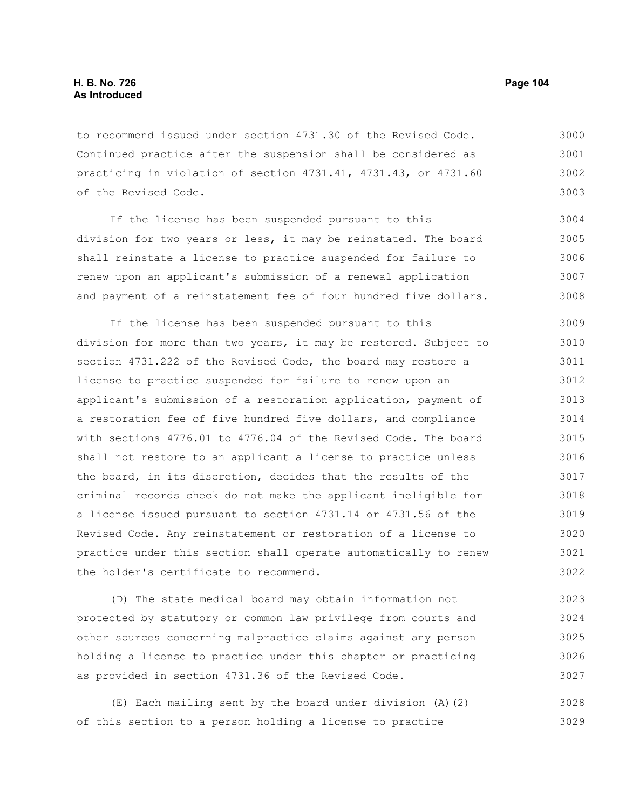#### **H. B. No. 726 Page 104 As Introduced**

to recommend issued under section 4731.30 of the Revised Code. Continued practice after the suspension shall be considered as practicing in violation of section 4731.41, 4731.43, or 4731.60 of the Revised Code. 3000 3001 3002 3003

If the license has been suspended pursuant to this division for two years or less, it may be reinstated. The board shall reinstate a license to practice suspended for failure to renew upon an applicant's submission of a renewal application and payment of a reinstatement fee of four hundred five dollars. 3004 3005 3006 3007 3008

If the license has been suspended pursuant to this division for more than two years, it may be restored. Subject to section 4731.222 of the Revised Code, the board may restore a license to practice suspended for failure to renew upon an applicant's submission of a restoration application, payment of a restoration fee of five hundred five dollars, and compliance with sections 4776.01 to 4776.04 of the Revised Code. The board shall not restore to an applicant a license to practice unless the board, in its discretion, decides that the results of the criminal records check do not make the applicant ineligible for a license issued pursuant to section 4731.14 or 4731.56 of the Revised Code. Any reinstatement or restoration of a license to practice under this section shall operate automatically to renew the holder's certificate to recommend. 3009 3010 3011 3012 3013 3014 3015 3016 3017 3018 3019 3020 3021 3022

(D) The state medical board may obtain information not protected by statutory or common law privilege from courts and other sources concerning malpractice claims against any person holding a license to practice under this chapter or practicing as provided in section 4731.36 of the Revised Code. 3023 3024 3025 3026 3027

(E) Each mailing sent by the board under division (A)(2) of this section to a person holding a license to practice 3028 3029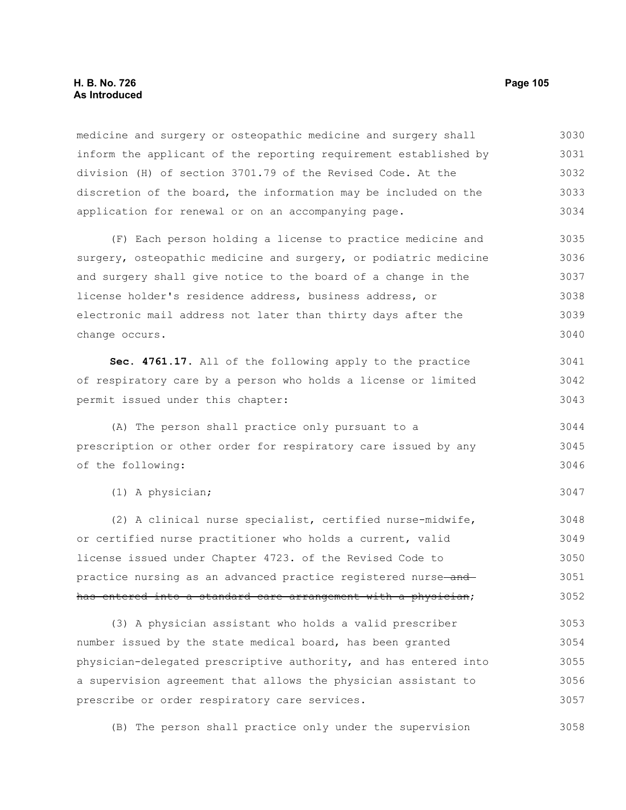#### **H. B. No. 726 Page 105 As Introduced**

medicine and surgery or osteopathic medicine and surgery shall inform the applicant of the reporting requirement established by division (H) of section 3701.79 of the Revised Code. At the discretion of the board, the information may be included on the application for renewal or on an accompanying page. 3030 3031 3032 3033 3034

(F) Each person holding a license to practice medicine and surgery, osteopathic medicine and surgery, or podiatric medicine and surgery shall give notice to the board of a change in the license holder's residence address, business address, or electronic mail address not later than thirty days after the change occurs. 3035 3036 3037 3038 3039 3040

**Sec. 4761.17.** All of the following apply to the practice of respiratory care by a person who holds a license or limited permit issued under this chapter: 3041 3042 3043

(A) The person shall practice only pursuant to a prescription or other order for respiratory care issued by any of the following: 3044 3045 3046

(1) A physician;

(2) A clinical nurse specialist, certified nurse-midwife, or certified nurse practitioner who holds a current, valid license issued under Chapter 4723. of the Revised Code to practice nursing as an advanced practice registered nurse-andhas entered into a standard care arrangement with a physician; 3048 3049 3050 3051 3052

(3) A physician assistant who holds a valid prescriber number issued by the state medical board, has been granted physician-delegated prescriptive authority, and has entered into a supervision agreement that allows the physician assistant to prescribe or order respiratory care services. 3053 3054 3055 3056 3057

(B) The person shall practice only under the supervision 3058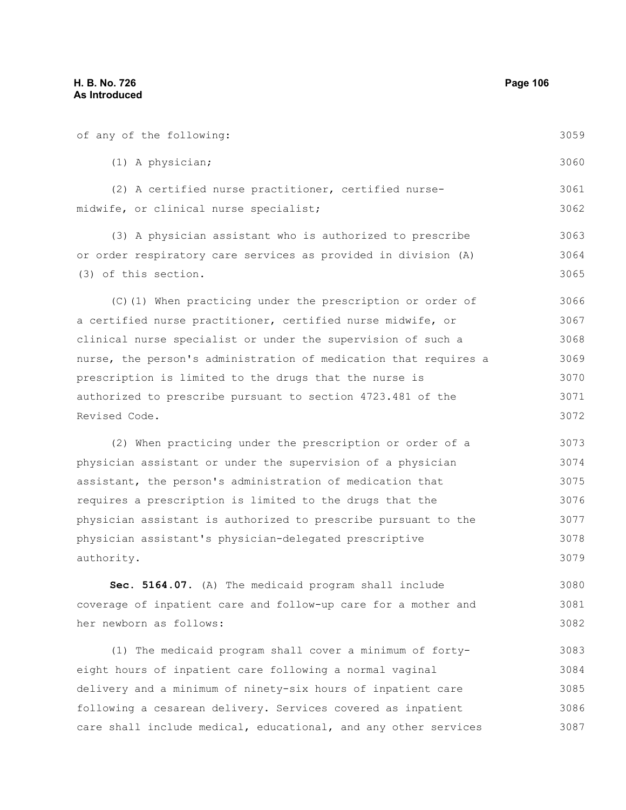of any of the following:

(1) A physician; (2) A certified nurse practitioner, certified nursemidwife, or clinical nurse specialist; (3) A physician assistant who is authorized to prescribe or order respiratory care services as provided in division (A) (3) of this section. (C)(1) When practicing under the prescription or order of a certified nurse practitioner, certified nurse midwife, or clinical nurse specialist or under the supervision of such a nurse, the person's administration of medication that requires a prescription is limited to the drugs that the nurse is authorized to prescribe pursuant to section 4723.481 of the Revised Code. (2) When practicing under the prescription or order of a physician assistant or under the supervision of a physician assistant, the person's administration of medication that requires a prescription is limited to the drugs that the physician assistant is authorized to prescribe pursuant to the physician assistant's physician-delegated prescriptive authority. **Sec. 5164.07.** (A) The medicaid program shall include coverage of inpatient care and follow-up care for a mother and her newborn as follows: (1) The medicaid program shall cover a minimum of fortyeight hours of inpatient care following a normal vaginal delivery and a minimum of ninety-six hours of inpatient care following a cesarean delivery. Services covered as inpatient 3060 3061 3062 3063 3064 3065 3066 3067 3068 3069 3070 3071 3072 3073 3074 3075 3076 3077 3078 3079 3080 3081 3082 3083 3084 3085 3086

care shall include medical, educational, and any other services 3087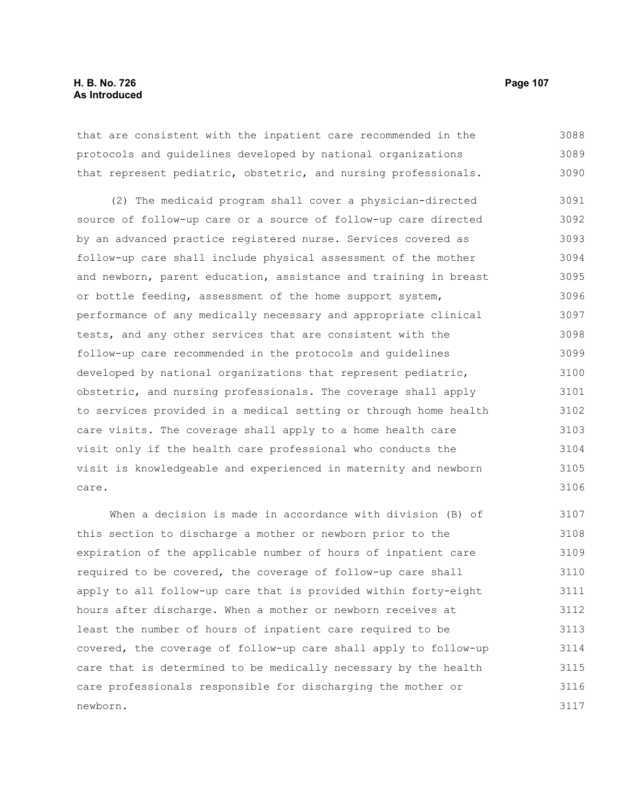that are consistent with the inpatient care recommended in the protocols and guidelines developed by national organizations that represent pediatric, obstetric, and nursing professionals. 3088 3089 3090

(2) The medicaid program shall cover a physician-directed source of follow-up care or a source of follow-up care directed by an advanced practice registered nurse. Services covered as follow-up care shall include physical assessment of the mother and newborn, parent education, assistance and training in breast or bottle feeding, assessment of the home support system, performance of any medically necessary and appropriate clinical tests, and any other services that are consistent with the follow-up care recommended in the protocols and guidelines developed by national organizations that represent pediatric, obstetric, and nursing professionals. The coverage shall apply to services provided in a medical setting or through home health care visits. The coverage shall apply to a home health care visit only if the health care professional who conducts the visit is knowledgeable and experienced in maternity and newborn care. 3091 3092 3093 3094 3095 3096 3097 3098 3099 3100 3101 3102 3103 3104 3105 3106

When a decision is made in accordance with division (B) of this section to discharge a mother or newborn prior to the expiration of the applicable number of hours of inpatient care required to be covered, the coverage of follow-up care shall apply to all follow-up care that is provided within forty-eight hours after discharge. When a mother or newborn receives at least the number of hours of inpatient care required to be covered, the coverage of follow-up care shall apply to follow-up care that is determined to be medically necessary by the health care professionals responsible for discharging the mother or newborn. 3107 3108 3109 3110 3111 3112 3113 3114 3115 3116 3117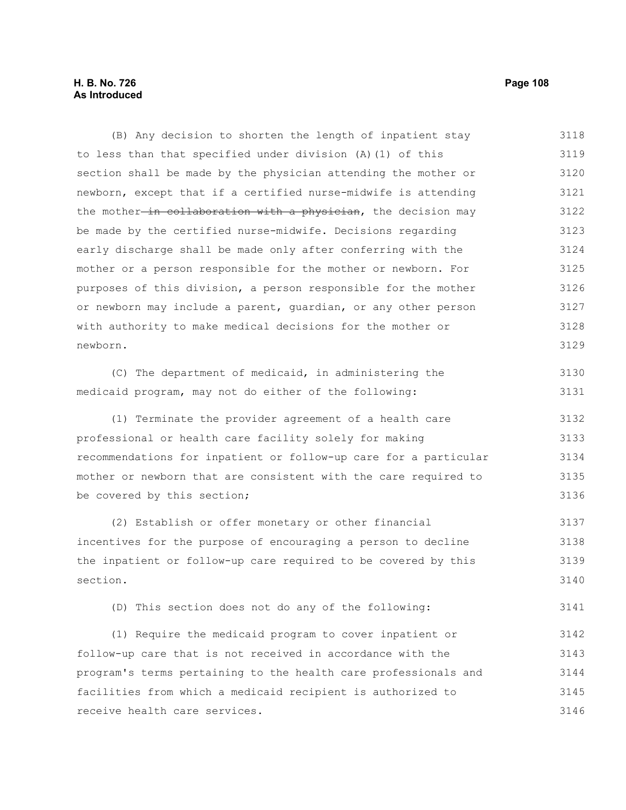# **H. B. No. 726 Page 108 As Introduced**

(B) Any decision to shorten the length of inpatient stay to less than that specified under division (A)(1) of this section shall be made by the physician attending the mother or newborn, except that if a certified nurse-midwife is attending the mother-in collaboration with a physician, the decision may be made by the certified nurse-midwife. Decisions regarding early discharge shall be made only after conferring with the mother or a person responsible for the mother or newborn. For purposes of this division, a person responsible for the mother or newborn may include a parent, guardian, or any other person with authority to make medical decisions for the mother or newborn. 3118 3119 3120 3121 3122 3123 3124 3125 3126 3127 3128 3129

(C) The department of medicaid, in administering the medicaid program, may not do either of the following: 3130 3131

(1) Terminate the provider agreement of a health care professional or health care facility solely for making recommendations for inpatient or follow-up care for a particular mother or newborn that are consistent with the care required to be covered by this section; 3132 3133 3134 3135 3136

(2) Establish or offer monetary or other financial incentives for the purpose of encouraging a person to decline the inpatient or follow-up care required to be covered by this section. 3137 3138 3139 3140

(D) This section does not do any of the following: 3141

(1) Require the medicaid program to cover inpatient or follow-up care that is not received in accordance with the program's terms pertaining to the health care professionals and facilities from which a medicaid recipient is authorized to receive health care services. 3142 3143 3144 3145 3146